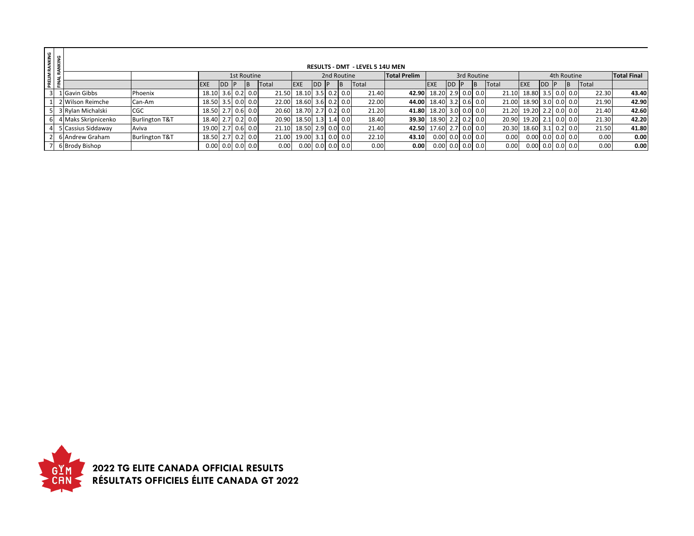| RANKING<br><b>NKING</b> |                     |                           |                     |             |             |       |                         |            |     |             | <b>RESULTS - DMT - LEVEL 5 14U MEN</b> |                     |                          |           |             |     |       |                          |            |             |       |                    |
|-------------------------|---------------------|---------------------------|---------------------|-------------|-------------|-------|-------------------------|------------|-----|-------------|----------------------------------------|---------------------|--------------------------|-----------|-------------|-----|-------|--------------------------|------------|-------------|-------|--------------------|
| PRELIM                  |                     |                           |                     |             | 1st Routine |       |                         |            |     | 2nd Routine |                                        | <b>Total Prelim</b> |                          |           | 3rd Routine |     |       |                          |            | 4th Routine |       | <b>Total Final</b> |
|                         |                     |                           | <b>EXE</b>          | <b>DD</b> P | IB.         | Total | <b>EXE</b>              | <b>IDD</b> | -IP |             | <b>Total</b>                           |                     | <b>EXE</b>               | <b>DD</b> |             | IB. | Total | <b>EXE</b>               | <b>IDD</b> |             | Total |                    |
| 3 <sup>1</sup>          | 1 Gavin Gibbs       | Phoenix                   | $18.10$ 3.6 0.2 0.0 |             |             |       | 21.50 18.10 3.5 0.2 0.0 |            |     |             | 21.40                                  | 42.90               | 18.20 2.9 0.0 0.0        |           |             |     | 21.10 | 18.80 3.5 0.0 0.0        |            |             | 22.30 | 43.40              |
|                         | 2 Wilson Reimche    | Can-Am                    | 18.50 3.5 0.0 0.0   |             |             |       | 22.00 18.60 3.6 0.2 0.0 |            |     |             | 22.00                                  | 44.00               | 18.40 3.2 0.6 0.0        |           |             |     | 21.00 | 18.90 3.0 0.0 0.0        |            |             | 21.90 | 42.90              |
|                         | 5 3 Rylan Michalski | CGC                       | 18.50 2.7 0.6 0.0   |             |             |       | 20.60 18.70 2.7 0.2 0.0 |            |     |             | 21.20                                  | 41.80               | 18.20 3.0 0.0 0.0        |           |             |     | 21.20 | 19.20 2.2 0.0 0.0        |            |             | 21.40 | 42.60              |
| 61                      | 4 Maks Skripnicenko | <b>Burlington T&amp;T</b> | 18.40 2.7 0.2 0.0   |             |             |       | 20.90 18.50 1.3 1.4 0.0 |            |     |             | 18.40                                  | 39.30               | 18.90 2.2 0.2 0.0        |           |             |     | 20.90 | 19.20 2.1 0.0 0.0        |            |             | 21.30 | 42.20              |
|                         | 5 Cassius Siddaway  | Aviva                     | 19.00 2.7 0.6 0.0   |             |             |       | 21.10 18.50 2.9 0.0 0.0 |            |     |             | 21.40                                  | 42.50               | 17.60 2.7 0.0 0.0        |           |             |     | 20.30 | 18.60 3.1 0.2 0.0        |            |             | 21.50 | 41.80              |
|                         | 2 6 Andrew Graham   | <b>Burlington T&amp;T</b> | 18.50 2.7 0.2 0.0   |             |             |       | 21.00 19.00 3.1 0.0 0.0 |            |     |             | 22.10                                  | 43.10               | $0.00$ $0.0$ $0.0$ $0.0$ |           |             |     | 0.00  | $0.00$ $0.0$ $0.0$ $0.0$ |            |             | 0.00  | 0.00               |
|                         | 6 Brody Bishop      |                           | $0.00$ 0.0 0.0 0.0  |             |             | 0.00  | $0.00$ 0.0 0.0 0.0      |            |     |             | 0.00                                   | 0.00                | $0.00$ 0.0 0.0 0.0       |           |             |     | 0.00  | $0.00$ 0.0 0.0 0.0       |            |             | 0.00  | 0.00               |

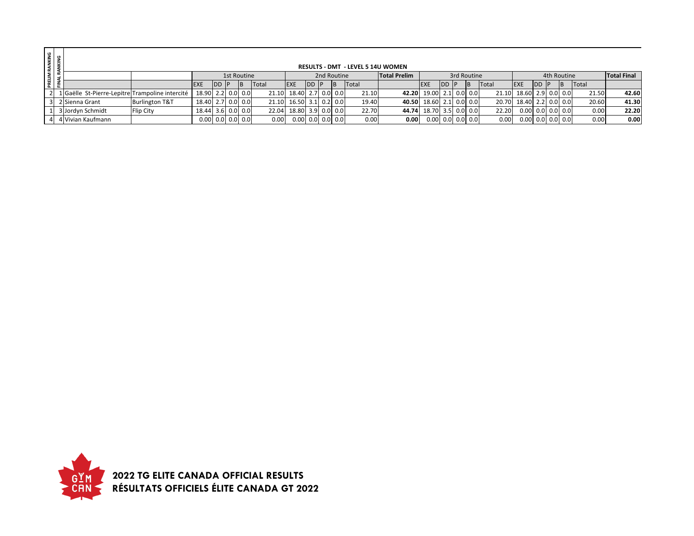| PRELIM RANKING<br>FINAL RANKING |                                                 |                           |                     |               |             |              |                         |       |             | <b>RESULTS - DMT - LEVEL 5 14U WOMEN</b> |                         |                         |      |             |              |                         |              |             |              |                    |
|---------------------------------|-------------------------------------------------|---------------------------|---------------------|---------------|-------------|--------------|-------------------------|-------|-------------|------------------------------------------|-------------------------|-------------------------|------|-------------|--------------|-------------------------|--------------|-------------|--------------|--------------------|
|                                 |                                                 |                           |                     |               | 1st Routine |              |                         |       | 2nd Routine |                                          | <b>Total Prelim</b>     |                         |      | 3rd Routine |              |                         |              | 4th Routine |              | <b>Total Final</b> |
|                                 |                                                 |                           |                     | <b>IDD IP</b> | B           | <b>Total</b> | <b>EXE</b>              | DD IP | IB.         | <b>Total</b>                             |                         | <b>EXE</b>              | IDD. |             | <b>Total</b> | <b>EXE</b>              | <b>IDD P</b> |             | <b>Total</b> |                    |
|                                 | 1 Gaëlle St-Pierre-Lepitre Trampoline intercité |                           | 18.90 2.2 0.0 0.0   |               |             |              | 21.10 18.40 2.7 0.0 0.0 |       |             | 21.10                                    | 42.20 19.00 2.1 0.0 0.0 |                         |      |             |              | 21.10 18.60 2.9 0.0 0.0 |              |             | 21.50        | 42.60              |
|                                 | 2 Sienna Grant                                  | <b>Burlington T&amp;T</b> | 18.40 2.7 0.0 0.0   |               |             |              | 21.10 16.50 3.1 0.2 0.0 |       |             | 19.40                                    |                         | 40.50 18.60 2.1 0.0 0.0 |      |             |              | 20.70 18.40 2.2 0.0 0.0 |              |             | 20.60        | 41.30              |
|                                 | 3 Jordyn Schmidt                                | <b>Flip City</b>          | $18.44$ 3.6 0.0 0.0 |               |             |              | 22.04 18.80 3.9 0.0 0.0 |       |             | 22.70                                    |                         | 44.74 18.70 3.5 0.0 0.0 |      |             | 22.20        | 0.00 0.0 0.0 0.0        |              |             | 0.00         | 22.20              |
|                                 | 4 Vivian Kaufmann                               |                           | $0.00$ 0.0 0.0 0.0  |               |             | 0.00         | $0.00$ 0.0 0.0 0.0      |       |             | 0.00                                     | 0.00                    | $0.00$ 0.0 0.0 0.0      |      |             | 0.00         | $0.00$   0.0  0.0  0.0  |              |             | 0.00         | 0.00               |

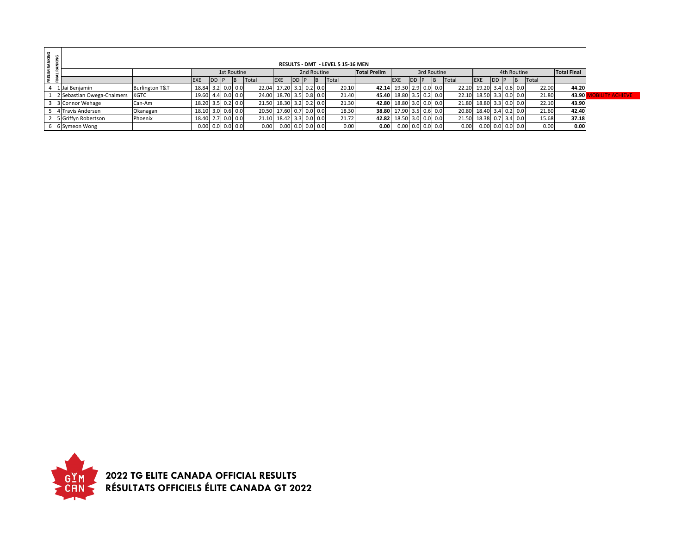| PRELIM RANKING<br>FINAL RANKING |                                                                                                                      |                           |                    |               |               |           |       |                         |               |  |  |       |                         |             |                    |                    |       |                         |              |           |       |       |                     |
|---------------------------------|----------------------------------------------------------------------------------------------------------------------|---------------------------|--------------------|---------------|---------------|-----------|-------|-------------------------|---------------|--|--|-------|-------------------------|-------------|--------------------|--------------------|-------|-------------------------|--------------|-----------|-------|-------|---------------------|
|                                 | RESULTS - DMT - LEVEL 5 15-16 MEN<br><b>Total Prelim</b><br>3rd Routine<br>4th Routine<br>1st Routine<br>2nd Routine |                           |                    |               |               |           |       |                         |               |  |  |       |                         |             |                    | <b>Total Final</b> |       |                         |              |           |       |       |                     |
|                                 |                                                                                                                      |                           | <b>EXE</b>         | <b>IDD IP</b> |               | <b>IB</b> | Total | <b>EXE</b>              | <b>IDD IP</b> |  |  | Total |                         | <b>IEXE</b> | <b>IDD</b>         | <b>IB</b>          | Total | EXE                     | <b>IDD P</b> | <b>IB</b> | Total |       |                     |
|                                 | 1 Jai Benjamin                                                                                                       | <b>Burlington T&amp;T</b> | 18.84              |               | $3.2$ 0.0 0.0 |           | 22.04 | 17.20                   | $3.1$ 0.2 0.0 |  |  | 20.10 | 42.14 19.30 2.9 0.0 0.0 |             |                    |                    |       | 22.20 19.20 3.4 0.6 0.0 |              |           | 22.00 | 44.20 |                     |
|                                 | 2 Sebastian Owega-Chalmers                                                                                           | <b>KGTC</b>               | 19.60              |               | 4.4 0.0 0.0   |           | 24.00 | 18.70                   | $3.5$ 0.8 0.0 |  |  | 21.40 | 45.40 18.80 3.5 0.2 0.0 |             |                    |                    |       | 22.10 18.50 3.3 0.0 0.0 |              |           | 21.80 | 43.90 | <b>LITY ACHIEVE</b> |
|                                 | 3 Connor Wehage                                                                                                      | Can-Am                    | 18.20 3.5 0.2 0.0  |               |               |           | 21.50 | 18.30                   | $3.2$ 0.2 0.0 |  |  | 21.30 | 42.80 18.80 3.0 0.0 0.0 |             |                    |                    |       | 21.80 18.80 3.3 0.0 0.0 |              |           | 22.10 | 43.90 |                     |
|                                 | 4 Travis Andersen                                                                                                    | Okanagan                  | 18.10 3.0 0.6 0.0  |               |               |           |       | 20.50 17.60 0.7 0.0 0.0 |               |  |  | 18.30 | 38.80 17.90 3.5 0.6 0.0 |             |                    |                    |       | 20.80 18.40 3.4 0.2 0.0 |              |           | 21.60 | 42.40 |                     |
|                                 | 5 Griffyn Robertson                                                                                                  | Phoenix                   | 18.40              |               | $2.7$ 0.0 0.0 |           | 21.10 | 18.42                   | $3.3$ 0.0 0.0 |  |  | 21.72 | 42.82 18.50 3.0 0.0 0.0 |             |                    |                    |       | 21.50 18.38 0.7 3.4 0.0 |              |           | 15.68 | 37.18 |                     |
|                                 | 6 6 Symeon Wong                                                                                                      |                           | $0.00$ 0.0 0.0 0.0 |               |               |           | 0.00  | $0.00$ 0.0 0.0 0.0      |               |  |  | 0.00  | 0.001                   |             | $0.00$ 0.0 0.0 0.0 |                    | 0.00  | $0.00$ 0.0 0.0 0.0      |              |           | 0.00  | 0.00  |                     |

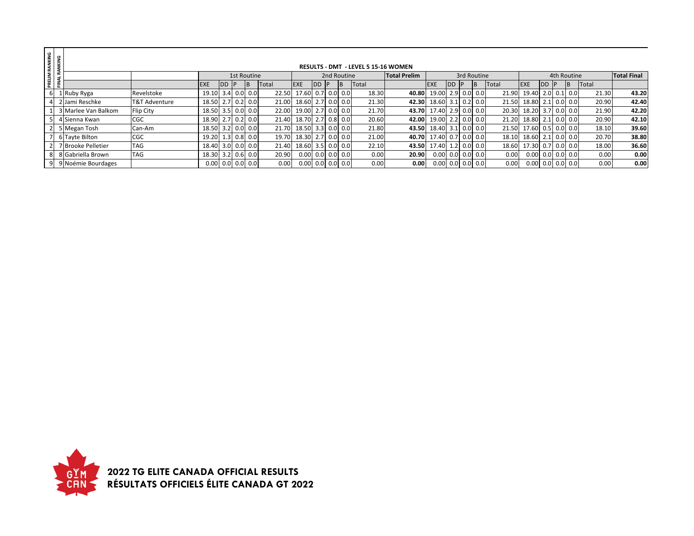| RANKING  | <b>UKING</b><br><b>RESULTS - DMT - LEVEL 5 15-16 WOMEN</b> |                      |                                                                                        |                    |      |  |     |       |                          |            |     |                           |              |       |                    |    |  |     |                    |                    |            |               |       |       |
|----------|------------------------------------------------------------|----------------------|----------------------------------------------------------------------------------------|--------------------|------|--|-----|-------|--------------------------|------------|-----|---------------------------|--------------|-------|--------------------|----|--|-----|--------------------|--------------------|------------|---------------|-------|-------|
|          |                                                            |                      |                                                                                        |                    |      |  |     |       |                          |            |     |                           |              |       |                    |    |  |     |                    |                    |            |               |       |       |
|          |                                                            |                      | <b>Total Prelim</b><br>3rd Routine<br><b>1st Routine</b><br>2nd Routine<br>4th Routine |                    |      |  |     |       |                          |            |     |                           |              |       |                    |    |  |     | <b>Total Final</b> |                    |            |               |       |       |
| PRELIM I | f.                                                         |                      |                                                                                        | <b>EXE</b>         | DD P |  | IB. | Total | <b>EXE</b>               | <b>IDD</b> | -lP |                           | <b>Total</b> |       | <b>EXE</b>         | DD |  | IB. | Total              | <b>EXE</b>         | <b>IDD</b> |               | Total |       |
| 61       |                                                            | 1 Ruby Ryga          | Revelstoke                                                                             | 19.10 3.4 0.0 0.0  |      |  |     | 22.50 | 17.60 0.7 0.0 0.0        |            |     |                           | 18.30        | 40.80 | 19.00 2.9 0.0 0.0  |    |  |     | 21.90              | 19.40              |            | $2.0$ 0.1 0.0 | 21.30 | 43.20 |
|          |                                                            | 2 Jami Reschke       | T&T Adventure                                                                          | 18.50 2.7 0.2 0.0  |      |  |     | 21.00 | 18.60 2.7 0.0 0.0        |            |     |                           | 21.30        | 42.30 | 18.60 3.1 0.2 0.0  |    |  |     | 21.50              | 18.80 2.1 0.0 0.0  |            |               | 20.90 | 42.40 |
|          |                                                            | 3 Marlee Van Balkom  | <b>Flip City</b>                                                                       | 18.50 3.5 0.0 0.0  |      |  |     |       | 22.00 19.00 2.7 0.0 0.0  |            |     |                           | 21.70        | 43.70 | 17.40 2.9 0.0 0.0  |    |  |     | 20.30              | 18.20 3.7 0.0 0.0  |            |               | 21.90 | 42.20 |
|          |                                                            | 5 4 Sienna Kwan      | <b>CGC</b>                                                                             | 18.90 2.7 0.2 0.0  |      |  |     | 21.40 | 18.70 2.7 0.8 0.0        |            |     |                           | 20.60        | 42.00 | 19.00 2.2 0.0 0.0  |    |  |     | 21.20              | 18.80              |            | $2.1$ 0.0 0.0 | 20.90 | 42.10 |
|          |                                                            | 5 Megan Tosh         | Can-Am                                                                                 | 18.50 3.2 0.0 0.0  |      |  |     | 21.70 | 18.50 3.3 0.0 0.0        |            |     |                           | 21.80        | 43.50 | 18.40 3.1 0.0 0.0  |    |  |     | 21.50              | 17.60 0.5 0.0 0.0  |            |               | 18.10 | 39.60 |
|          |                                                            | 7 6 Tayte Bilton     | <b>CGC</b>                                                                             | 19.20 1.3 0.8 0.0  |      |  |     | 19.70 | 18.30 2.7 0.0 0.0        |            |     |                           | 21.00        | 40.70 | 17.40 0.7 0.0 0.0  |    |  |     | 18.10              | 18.60 2.1 0.0 0.0  |            |               | 20.70 | 38.80 |
|          |                                                            | 7 Brooke Pelletier   | <b>TAG</b>                                                                             | 18.40 3.0 0.0 0.0  |      |  |     | 21.40 | 18.60 3.5 0.0 0.0        |            |     |                           | 22.10        | 43.50 | 17.40 1.2 0.0 0.0  |    |  |     | 18.60              | 17.30 0.7 0.0 0.0  |            |               | 18.00 | 36.60 |
|          |                                                            | 8 8 Gabriella Brown  | <b>TAG</b>                                                                             | 18.30 3.2 0.6 0.0  |      |  |     | 20.90 | $0.00$ $0.0$ $0.0$ $0.0$ |            |     |                           | 0.00         | 20.90 | $0.00$ 0.0 0.0 0.0 |    |  |     | 0.00               | $0.00$ 0.0 0.0 0.0 |            |               | 0.00  | 0.00  |
|          |                                                            | 9 9 Noémie Bourdages |                                                                                        | $0.00$ 0.0 0.0 0.0 |      |  |     | 0.00  |                          |            |     | $0.00$ $0.01$ $0.0$ $0.0$ | 0.00         | 0.00  | $0.00$ 0.0 0.0 0.0 |    |  |     | 0.00               | $0.00$ 0.0 0.0 0.0 |            |               | 0.00  | 0.00  |

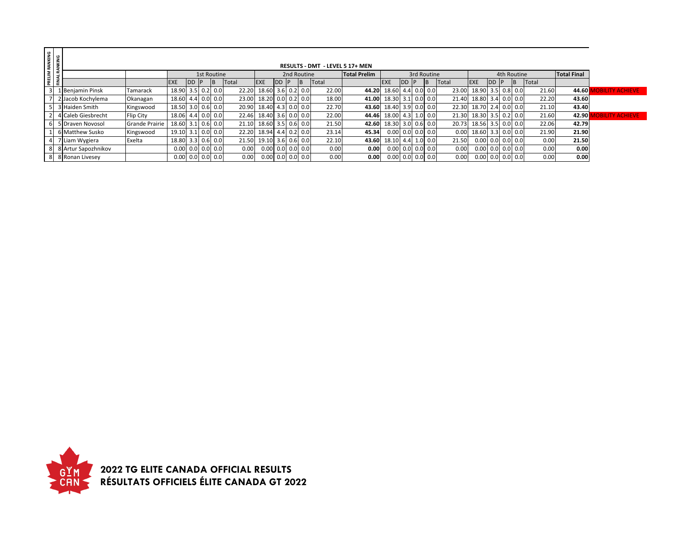| PRELIM RANKING<br>FINAL RANKING |                       |                       |                     |      |                    |    |       |                  |              |                                 |           |              |                     |                            |      |             |       |                   |                    |                |       |                    |                        |
|---------------------------------|-----------------------|-----------------------|---------------------|------|--------------------|----|-------|------------------|--------------|---------------------------------|-----------|--------------|---------------------|----------------------------|------|-------------|-------|-------------------|--------------------|----------------|-------|--------------------|------------------------|
|                                 |                       |                       |                     |      |                    |    |       |                  |              | RESULTS - DMT - LEVEL 5 17+ MEN |           |              |                     |                            |      |             |       |                   |                    |                |       |                    |                        |
|                                 |                       |                       |                     |      | 1st Routine        |    |       |                  |              | 2nd Routine                     |           |              | <b>Total Prelim</b> |                            |      | 3rd Routine |       |                   |                    | 4th Routine    |       | <b>Total Final</b> |                        |
|                                 |                       |                       | <b>EXE</b>          | DD P |                    | IΒ | Total | <b>EXE</b>       | <b>IDD P</b> |                                 | <b>IB</b> | <b>Total</b> |                     | <b>EXE</b>                 | DD P | <b>IB</b>   | Total | <b>EXE</b>        | <b>DD</b>          | $\overline{B}$ | Total |                    |                        |
|                                 | L Benjamin Pinsk      | Tamarack              | 18.90               |      | $3.5$ 0.2 0.0      |    | 22.20 | 18.60            |              | $3.6$ 0.2 0.0                   |           | 22.00        | 44.20               | 18.60 4.4 0.0 0.0          |      |             | 23.00 | 18.90 3.5 0.8 0.0 |                    |                | 21.60 | 44.60              | <b>OBILITY ACHIEVE</b> |
|                                 | 2 Jacob Kochylema     | Okanagan              | 18.60 4.4 0.0 0.0   |      |                    |    | 23.00 | 18.20            |              | $0.0$ 0.2 0.0                   |           | 18.00        | 41.00               | 18.30 3.1 0.0 0.0          |      |             | 21.40 | 18.80 3.4 0.0 0.0 |                    |                | 22.20 | 43.60              |                        |
|                                 | 3 Haiden Smith        | Kingswood             | 18.50 3.0 0.6 0.0   |      |                    |    |       | 20.90 18.40      |              | $4.3$ 0.0 0.0                   |           | 22.70        |                     | 43.60 18.40 3.9 0.0 0.0    |      |             | 22.30 | 18.70 2.4 0.0 0.0 |                    |                | 21.10 | 43.40              |                        |
|                                 | 4 Caleb Giesbrecht    | Flip City             | 18.06 4.4 0.0 0.0   |      |                    |    | 22.46 | 18.40            |              | $3.6$ 0.0 0.0                   |           | 22.00        | 44.46               | 18.00 4.3 1.0 0.0          |      |             | 21.30 | 18.30 3.5 0.2 0.0 |                    |                | 21.60 | 42.90              | <b>BILITY ACHIEVE</b>  |
|                                 | <b>Draven Novosol</b> | <b>Grande Prairie</b> | $18.60$ 3.1 0.6 0.0 |      |                    |    | 21.10 | 18.60            |              | $3.5$ 0.6 0.0                   |           | 21.50        | 42.60               | 18.30 3.0 0.6 0.0          |      |             | 20.73 | 18.56 3.5 0.0 0.0 |                    |                | 22.06 | 42.79              |                        |
|                                 | 5 Matthew Susko       | Kingswood             | 19.10               |      | $3.1$ 0.0 0.0      |    | 22.20 | 18.94            |              | $4.4$ 0.2 0.0                   |           | 23.14        | 45.34               | $0.00$ 0.0 0.0 0.0         |      |             | 0.00  | 18.60 3.3 0.0 0.0 |                    |                | 21.90 | 21.90              |                        |
|                                 | 7 Liam Wygiera        | Exelta                | $18.80$ 3.3 0.6 0.0 |      |                    |    | 21.50 | 19.10            |              | $3.6$ 0.6 0.0                   |           | 22.10        | 43.60               | 18.10 4.4 1.0 0.0          |      |             | 21.50 |                   | $0.00$ 0.0 0.0 0.0 |                | 0.00  | 21.50              |                        |
|                                 | 8 Artur Sapozhnikov   |                       | $0.00$ 0.0 0.0 0.0  |      |                    |    | 0.00  | 0.00 0.0 0.0 0.0 |              |                                 |           | 0.00         | 0.00                | $0.00$ 0.0 $0.0$ 0.0 $0.0$ |      |             | 0.00  |                   | 0.00 0.0 0.0 0.0   |                | 0.00  | 0.00               |                        |
|                                 | 8 Ronan Livesey       |                       |                     |      | $0.00$ 0.0 0.0 0.0 |    | 0.00  | 0.00             |              | $0.0$ 0.0 0.0                   |           | 0.00         | 0.00 <sub>l</sub>   | $0.00$ 0.0 0.0 0.0         |      |             | 0.00  |                   | $0.00$ 0.0 0.0 0.0 |                | 0.00  | 0.00               |                        |

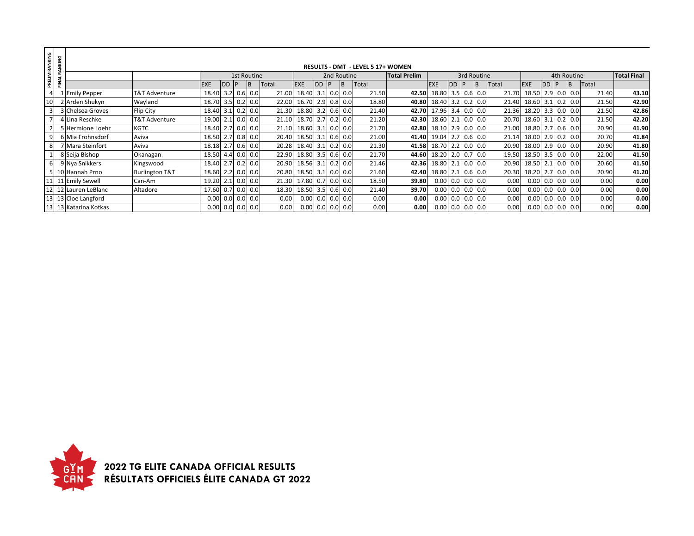| RANKING        | RANKING |                       |                           |                    |            |               |       |                    |              |               | <b>RESULTS - DMT - LEVEL 5 17+ WOMEN</b> |                     |                         |           |             |       |                    |           |              |                    |       |                    |
|----------------|---------|-----------------------|---------------------------|--------------------|------------|---------------|-------|--------------------|--------------|---------------|------------------------------------------|---------------------|-------------------------|-----------|-------------|-------|--------------------|-----------|--------------|--------------------|-------|--------------------|
|                |         |                       |                           |                    |            | 1st Routine   |       |                    |              | 2nd Routine   |                                          | <b>Total Prelim</b> |                         |           | 3rd Routine |       |                    |           |              | 4th Routine        |       | <b>Total Final</b> |
| PRELIM I       | FINAL   |                       |                           | <b>EXE</b>         | <b>IDD</b> | IB.           | Total | <b>EXE</b>         | <b>IDD P</b> | IB.           | Total                                    |                     | <b>EXE</b>              | <b>DD</b> | IB.         | Total | <b>EXE</b>         | <b>DD</b> |              | B                  | Total |                    |
| $\overline{4}$ |         | Emily Pepper          | T&T Adventure             | 18.40 3.2 0.6 0.0  |            |               | 21.00 | 18.40 3.1 0.0 0.0  |              |               | 21.50                                    | 42.50               | 18.80 3.5 0.6           |           | 0.0         | 21.70 | 18.50              |           | $2.9 \ 0.0$  | 0.0                | 21.40 | 43.10              |
| 10             |         | 2 Arden Shukyn        | Wayland                   | 18.70 3.5 0.2 0.0  |            |               | 22.00 | 16.70              |              | $2.9$ 0.8 0.0 | 18.80                                    |                     | 40.80 18.40 3.2 0.2     |           | 0.0         | 21.40 | 18.60              |           | $3.1$ 0.2    | 0.0                | 21.50 | 42.90              |
| $\overline{3}$ |         | 3 Chelsea Groves      | <b>Flip City</b>          | 18.40 3.1 0.2 0.0  |            |               | 21.30 | 18.80 3.2 0.6 0.0  |              |               | 21.40                                    |                     | 42.70 17.96 3.4 0.0     |           | 0.0         | 21.36 | 18.20              |           |              | $3.3$ 0.0 0.0      | 21.50 | 42.86              |
|                |         | 4 Lina Reschke        | T&T Adventure             | 19.00 2.1 0.0 0.0  |            |               | 21.10 | 18.70              |              | $2.7$ 0.2 0.0 | 21.20                                    |                     | 42.30 18.60 2.1 0.0 0.0 |           |             | 20.70 | 18.60              |           | $3.1$ 0.2    | 0.0                | 21.50 | 42.20              |
| $\overline{2}$ |         | 5 Hermione Loehr      | <b>KGTC</b>               | 18.40 2.7 0.0 0.0  |            |               | 21.10 | 18.60 3.1 0.0 0.0  |              |               | 21.70                                    |                     | 42.80 18.10 2.9 0.0     |           | 0.0         | 21.00 | 18.80              |           |              | $2.7$ 0.6 0.0      | 20.90 | 41.90              |
| 91             |         | 6 Mia Frohnsdorf      | Aviva                     | 18.50 2.7 0.8 0.0  |            |               | 20.40 | 18.50 3.1 0.6 0.0  |              |               | 21.00                                    |                     | 41.40 19.04 2.7 0.6     |           | 0.0         | 21.14 | 18.00              |           |              | $2.9$ 0.2 0.0      | 20.70 | 41.84              |
| 8              |         | 7 Mara Steinfort      | Aviva                     | 18.18 2.7 0.6 0.0  |            |               | 20.28 | 18.40 3.1 0.2 0.0  |              |               | 21.30                                    |                     | 41.58 18.70 2.2 0.0     |           | 0.0         | 20.90 | 18.00              |           | $2.9 \ 0.0$  | 0.0                | 20.90 | 41.80              |
|                |         | 8 Seija Bishop        | Okanagan                  | 18.50              |            | 4.4 0.0 0.0   | 22.90 | 18.80 3.5 0.6 0.0  |              |               | 21.70                                    |                     | 44.60 18.20 2.0 0.7 0.0 |           |             | 19.50 | 18.50              |           | $3.5 \, 0.0$ | 0.0                | 22.00 | 41.50              |
| 6              |         | 9 Nya Snikkers        | Kingswood                 | 18.40 2.7 0.2 0.0  |            |               | 20.90 | 18.56 3.1 0.2 0.0  |              |               | 21.46                                    |                     | 42.36 18.80 2.1 0.0     |           | 0.0         | 20.90 | 18.50              |           |              | $2.1$ 0.0 0.0      | 20.60 | 41.50              |
|                |         | 5 10 Hannah Prno      | <b>Burlington T&amp;T</b> | 18.60              |            | $2.2$ 0.0 0.0 | 20.80 | 18.50 3.1 0.0 0.0  |              |               | 21.60                                    | 42.40               | 18.80 2.1 0.6           |           | 0.0         | 20.30 | 18.20              |           |              | $2.7$ 0.0 0.0      | 20.90 | 41.20              |
|                |         | 11 11 Emily Sewell    | Can-Am                    | 19.20 2.1 0.0 0.0  |            |               | 21.30 | 17.80 0.7 0.0 0.0  |              |               | 18.50                                    | 39.80               | $0.00$ 0.0 0.0 0.0      |           |             | 0.00  | $0.00$ 0.0 0.0 0.0 |           |              |                    | 0.00  | 0.00               |
|                |         | 12 12 Lauren LeBlanc  | Altadore                  | 17.60              |            | $0.7$ 0.0 0.0 | 18.30 | 18.50 3.5 0.6 0.0  |              |               | 21.40                                    | 39.70               | $0.00$ 0.0 0.0          |           | 0.0         | 0.00  | $0.00$ 0.0 0.0 0.0 |           |              |                    | 0.00  | 0.00               |
|                |         | 13 13 Cloe Langford   |                           | 0.00               |            | $0.0$ 0.0 0.0 | 0.00  | $0.00$ 0.0 0.0 0.0 |              |               | 0.00                                     | 0.00                | $0.00$ 0.0 0.0 0.0      |           |             | 0.00  | $0.00$ 0.0 0.0 0.0 |           |              |                    | 0.00  | 0.00               |
|                |         | 13 13 Katarina Kotkas |                           | $0.00$ 0.0 0.0 0.0 |            |               | 0.00  | $0.00$ 0.0 0.0 0.0 |              |               | 0.00                                     | 0.00                | $0.00$ 0.0 0.0          |           | 0.0         | 0.00  |                    |           |              | $0.00$ 0.0 0.0 0.0 | 0.00  | 0.00               |

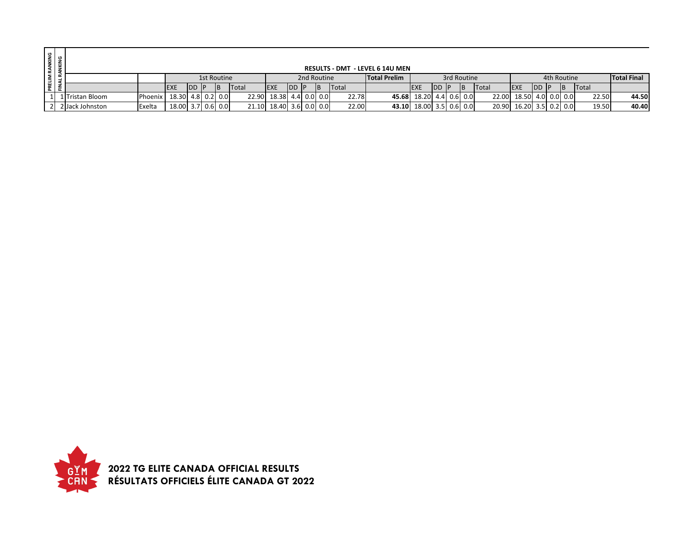| <b>I RANKING<br/>IANKING</b> |                 |                |                   |            |             |           |       |                         |            |             |              | <b>RESULTS - DMT - LEVEL 6 14U MEN</b> |                         |            |             |           |              |                     |     |             |              |                    |
|------------------------------|-----------------|----------------|-------------------|------------|-------------|-----------|-------|-------------------------|------------|-------------|--------------|----------------------------------------|-------------------------|------------|-------------|-----------|--------------|---------------------|-----|-------------|--------------|--------------------|
| PRELIM<br>FINAL RJ           |                 |                |                   |            | 1st Routine |           |       |                         |            | 2nd Routine |              | <b>Total Prelim</b>                    |                         |            | 3rd Routine |           |              |                     |     | 4th Routine |              | <b>Total Final</b> |
|                              |                 |                | <b>IEXE</b>       | <b>IDD</b> | - I D       | <b>IB</b> | Total | <b>IEXE</b>             | <b>IDD</b> |             | <b>Total</b> |                                        | <b>IEXE</b>             | <b>IDD</b> |             | <b>IB</b> | <b>Total</b> | <b>IEXE</b>         | IDD |             | <b>Total</b> |                    |
|                              | LlTristan Bloom | <b>Phoenix</b> | 18.30 4.8 0.2 0.0 |            |             |           |       | 22.90 18.38             |            | 4.4 0.0 0.0 | 22.78        |                                        | 45.68 18.20 4.4         |            |             | $0.6$ 0.0 | 22.00        | 18.50 4.0 0.0 0.0   |     |             | 22.50        | 44.50              |
|                              | 2 Jack Johnston | Exelta         | 18.00 3.7 0.6 0.0 |            |             |           |       | 21.10 18.40 3.6 0.0 0.0 |            |             | 22.00        |                                        | 43.10 18.00 3.5 0.6 0.0 |            |             |           | 20.90        | $16.20$ 3.5 0.2 0.0 |     |             | 19.50        | 40.40              |

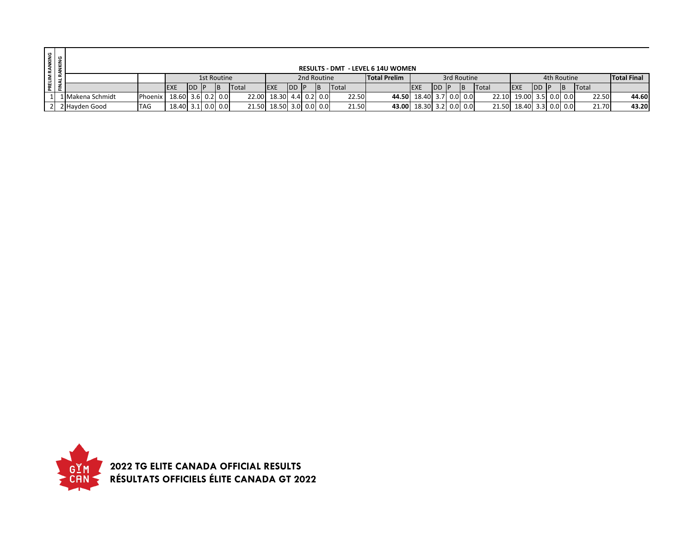| RANKING<br>ANKING  |                    |            |                   |               |             |           |       |                         |            |             |       | <b>RESULTS - DMT - LEVEL 6 14U WOMEN</b> |                         |            |             |              |                   |            |             |              |                    |
|--------------------|--------------------|------------|-------------------|---------------|-------------|-----------|-------|-------------------------|------------|-------------|-------|------------------------------------------|-------------------------|------------|-------------|--------------|-------------------|------------|-------------|--------------|--------------------|
|                    |                    |            |                   |               | 1st Routine |           |       |                         |            | 2nd Routine |       | <b>Total Prelim</b>                      |                         |            | 3rd Routine |              |                   |            | 4th Routine |              | <b>Total Final</b> |
| PRELIM<br>FINAL RJ |                    |            | <b>IEXE</b>       | <b>IDD IP</b> |             | <b>IB</b> | Total | <b>EXE</b>              | <b>IDD</b> | <b>IB</b>   | Total |                                          | <b>IEXE</b>             | <b>IDD</b> |             | <b>Total</b> | <b>EXE</b>        | <b>IDD</b> |             | <b>Total</b> |                    |
|                    | 1   Makena Schmidt | Phoenix    | 18.60 3.6 0.2 0.0 |               |             |           |       | 22.00 18.30 4.4 0.2 0.0 |            |             | 22.50 |                                          | 44.50 18.40 3.7 0.0 0.0 |            |             | 22.10        | 19.00 3.5 0.0 0.0 |            |             | 22.50        | 44.60              |
|                    | 2 Hayden Good      | <b>TAG</b> | 18.40 3.1 0.0 0.0 |               |             |           |       | 21.50 18.50 3.0 0.0 0.0 |            |             | 21.50 |                                          | 43.00 18.30 3.2 0.0 0.0 |            |             | 21.50        | 18.40 3.3 0.0 0.0 |            |             | 21.70        | 43.20              |

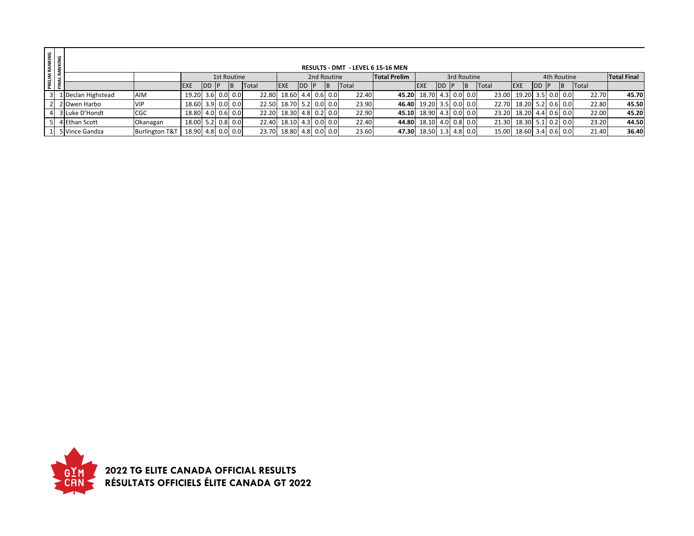| RANKING<br>ANKING  |                    |                           |                     |               |             |     |              |             |               |               |       | <b>RESULTS - DMT - LEVEL 6 15-16 MEN</b> |                         |      |             |    |       |                   |        |             |     |       |                    |
|--------------------|--------------------|---------------------------|---------------------|---------------|-------------|-----|--------------|-------------|---------------|---------------|-------|------------------------------------------|-------------------------|------|-------------|----|-------|-------------------|--------|-------------|-----|-------|--------------------|
|                    |                    |                           |                     |               | 1st Routine |     |              |             |               | 2nd Routine   |       | <b>Total Prelim</b>                      |                         |      | 3rd Routine |    |       |                   |        | 4th Routine |     |       | <b>Total Final</b> |
| PRELIM<br>FINAL RJ |                    |                           | <b>EXE</b>          | <b>IDD IP</b> |             | IB. | <b>Total</b> | <b>IEXE</b> | <b>IDD IP</b> | <b>IB</b>     | Total |                                          | <b>IEXE</b>             | IDD. | IP.         | ΙB | Total | <b>EXE</b>        | IDD IP |             | IB. | Total |                    |
|                    | 1 Declan Highstead | AIM                       | 19.20 3.6 0.0 0.0   |               |             |     | 22.80        | 18.60       |               | $4.4$ 0.6 0.0 | 22.40 |                                          | 45.20 18.70 4.3 0.0 0.0 |      |             |    | 23.00 | 19.20 3.5 0.0 0.0 |        |             |     | 22.70 | 45.70              |
|                    | 2 Owen Harbo       | <b>VIP</b>                | 18.60 3.9 0.0 0.0   |               |             |     | 22.50        | 18.70       |               | $5.2$ 0.0 0.0 | 23.90 |                                          | 46.40 19.20 3.5 0.0 0.0 |      |             |    | 22.70 | 18.20 5.2 0.6 0.0 |        |             |     | 22.80 | 45.50              |
|                    | 3 Luke D'Hondt     | CGC                       | $18.80$ 4.0 0.6 0.0 |               |             |     | 22.20        | 18.30       |               | $4.8$ 0.2 0.0 | 22.90 |                                          | 45.10 18.90 4.3 0.0 0.0 |      |             |    | 23.20 | 18.20 4.4 0.6 0.0 |        |             |     | 22.00 | 45.20              |
|                    | 4 Ethan Scott      | Okanagan                  | 18.00 5.2 0.8 0.0   |               |             |     | 22.40        | 18.10       |               | 4.3 0.0 0.0   | 22.40 |                                          | 44.80 18.10 4.0 0.8 0.0 |      |             |    | 21.30 | 18.30 5.1 0.2 0.0 |        |             |     | 23.20 | 44.50              |
|                    | 5 Vince Gandza     | <b>Burlington T&amp;T</b> | 18.90 4.8 0.0 0.0   |               |             |     | 23.70        | 18.80       |               | $4.8$ 0.0 0.0 | 23.60 |                                          | 47.30 18.50 1.3 4.8 0.0 |      |             |    | 15.00 | 18.60 3.4 0.6 0.0 |        |             |     | 21.40 | 36.40              |

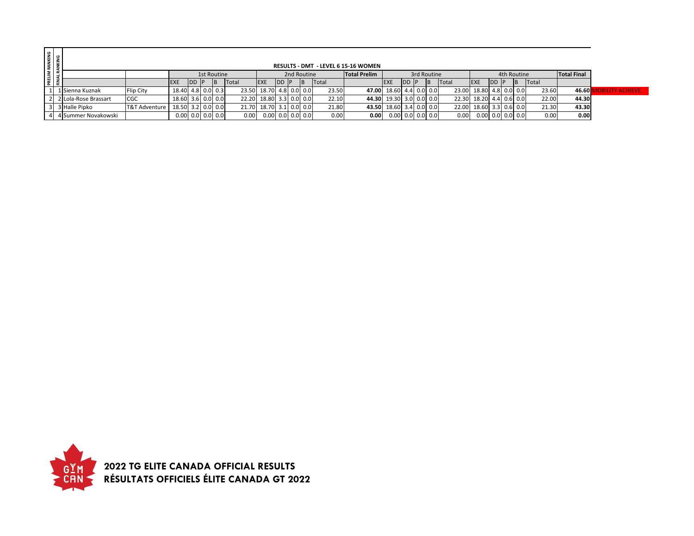| PRELIM RANKING<br>FINAL RANKING |                      |                          |                    |             |             |                         |                         |       |             |    |       | <b>RESULTS - DMT - LEVEL 6 15-16 WOMEN</b> |                         |        |             |       |                         |              |             |    |       |                    |                        |
|---------------------------------|----------------------|--------------------------|--------------------|-------------|-------------|-------------------------|-------------------------|-------|-------------|----|-------|--------------------------------------------|-------------------------|--------|-------------|-------|-------------------------|--------------|-------------|----|-------|--------------------|------------------------|
|                                 |                      |                          |                    |             | 1st Routine |                         |                         |       | 2nd Routine |    |       | <b>Total Prelim</b>                        |                         |        | 3rd Routine |       |                         |              | 4th Routine |    |       | <b>Total Final</b> |                        |
|                                 |                      |                          | <b>EXE</b>         | <b>DD P</b> | B           | <b>Total</b>            | <b>EXE</b>              | DD IP |             | IΒ | Total |                                            | <b>EXE</b>              | IDD IP |             | Total | <b>EXE</b>              | <b>IDD P</b> |             | IΒ | Total |                    |                        |
|                                 | 1 Sienna Kuznak      | Flip City                | 18.40 4.8 0.0 0.3  |             |             | 23.50 18.70 4.8 0.0 0.0 |                         |       |             |    | 23.50 |                                            | 47.00 18.60 4.4 0.0 0.0 |        |             |       | 23.00 18.80 4.8 0.0 0.0 |              |             |    | 23.60 | 46.60              | <b>DBILITY ACHIEVE</b> |
|                                 | 2 Lola-Rose Brassart | <b>CGC</b>               | 18.60 3.6 0.0 0.0  |             |             | 22.20                   | 18.80 3.3 0.0 0.0       |       |             |    | 22.10 |                                            | 44.30 19.30 3.0 0.0 0.0 |        |             |       | 22.30 18.20 4.4 0.6 0.0 |              |             |    | 22.00 | 44.30              |                        |
|                                 | 3 Halle Pipko        | <b>T&amp;T Adventure</b> | 18.50 3.2 0.0 0.0  |             |             |                         | 21.70 18.70 3.1 0.0 0.0 |       |             |    | 21.80 |                                            | 43.50 18.60 3.4 0.0 0.0 |        |             |       | 22.00 18.60 3.3 0.6 0.0 |              |             |    | 21.30 | 43.30              |                        |
|                                 | 4 Summer Novakowski  |                          | $0.00$ 0.0 0.0 0.0 |             |             | 0.00                    | $0.00$ 0.0 0.0 0.0      |       |             |    | 0.00  | 0.00                                       | $0.00$ 0.0 0.0 0.0      |        |             | 0.00  | $0.00$ 0.0 0.0 0.0      |              |             |    | 0.00  | 0.00               |                        |

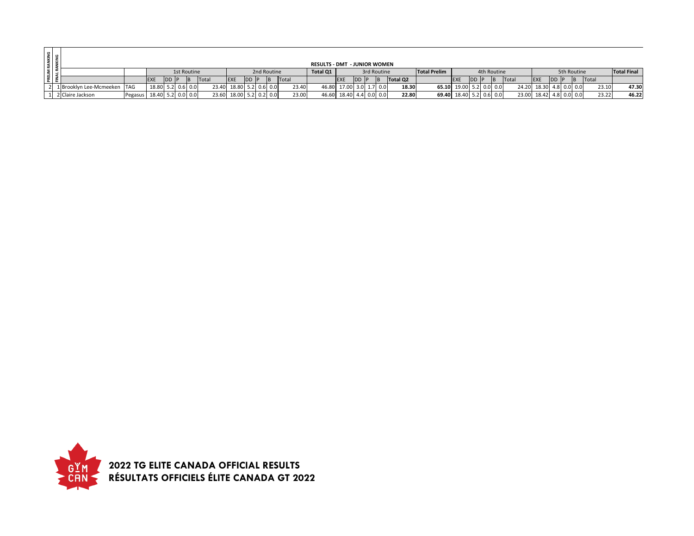|  |                             |                           |                   |      |             |                         |     |      |                         |       | <b>RESULTS - DMT - JUNIOR WOMEN</b> |                         |      |             |          |                     |                         |      |             |                         |             |      |             |       |                    |
|--|-----------------------------|---------------------------|-------------------|------|-------------|-------------------------|-----|------|-------------------------|-------|-------------------------------------|-------------------------|------|-------------|----------|---------------------|-------------------------|------|-------------|-------------------------|-------------|------|-------------|-------|--------------------|
|  |                             |                           |                   |      | 1st Routine |                         |     |      | 2nd Routine             |       | Total Q1                            |                         |      | 3rd Routine |          | <b>Total Prelim</b> |                         |      | 4th Routine |                         |             |      | 5th Routine |       | <b>Total Final</b> |
|  |                             |                           | <b>IEXE</b>       | DD F |             | Total                   | EXE | DD P |                         | Total |                                     | <b>IEXE</b>             | DD P | <b>IB</b>   | Total Q2 |                     | <b>IEXE</b>             | DD P | <b>B</b>    | Total                   | <b>IEXE</b> | DD P |             | Total |                    |
|  | 1 Brooklyn Lee-Mcmeeken TAG |                           | 18.80 5.2 0.6 0.0 |      |             | 23.40 18.80 5.2 0.6 0.0 |     |      |                         | 23.40 |                                     | 46.80 17.00 3.0 1.7 0.0 |      |             | 18.30    |                     | 65.10 19.00 5.2 0.0 0.0 |      |             | 24.20 18.30 4.8 0.0 0.0 |             |      |             | 23.10 | 47.30              |
|  | 2 Claire Jackson            | Pegasus 18.40 5.2 0.0 0.0 |                   |      |             |                         |     |      | 23.60 18.00 5.2 0.2 0.0 | 23.00 |                                     | 46.60 18.40 4.4 0.0 0.0 |      |             | 22.80    |                     | 69.40 18.40 5.2 0.6 0.0 |      |             | 23.00 18.42 4.8 0.0 0.0 |             |      |             | 23.22 | 46.22              |

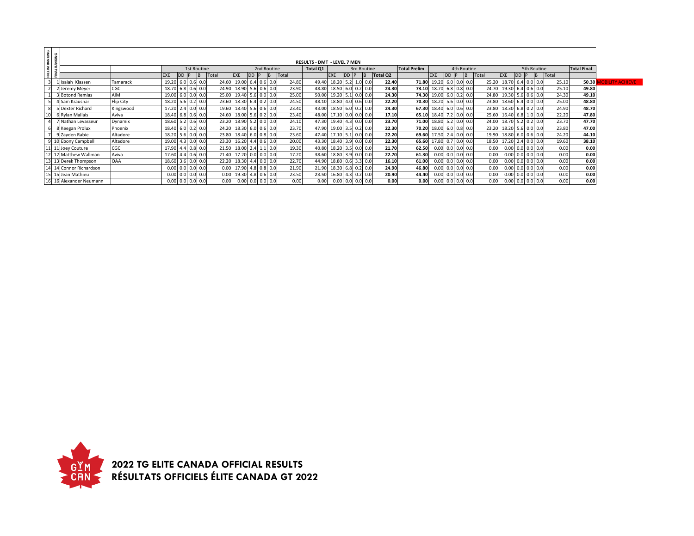|                         | PRELIM RANKING<br>FINAL RANKING |                                    |            |            |                   |     |             |     |       |                         |                          |  |      |                          |          |       |       |             |             |      |                     |          |       |                 |              |                 |                         |             |       |       |                   |               |                    |         |       |                        |
|-------------------------|---------------------------------|------------------------------------|------------|------------|-------------------|-----|-------------|-----|-------|-------------------------|--------------------------|--|------|--------------------------|----------|-------|-------|-------------|-------------|------|---------------------|----------|-------|-----------------|--------------|-----------------|-------------------------|-------------|-------|-------|-------------------|---------------|--------------------|---------|-------|------------------------|
|                         |                                 | <b>RESULTS - DMT - LEVEL 7 MEN</b> |            |            |                   |     |             |     |       |                         |                          |  |      |                          |          |       |       |             |             |      |                     |          |       |                 |              |                 |                         |             |       |       |                   |               |                    |         |       |                        |
|                         | 1st Routine<br>2nd Routine      |                                    |            |            |                   |     |             |     |       |                         |                          |  |      |                          | Total Q1 |       |       |             | 3rd Routine |      | <b>Total Prelim</b> |          |       |                 | 4th Routine  |                 |                         |             |       |       | 5th Routine       |               | <b>Total Final</b> |         |       |                        |
|                         |                                 |                                    |            | <b>EXE</b> | D <sub>D</sub>    |     | IB.         |     | Total |                         | <b>EXE</b>               |  | DD P |                          | B        | Total |       | EXE         |             | DD P | <b>IB</b>           | Total Q2 |       |                 | <b>EXE</b>   | <b>DD</b>       |                         | <b>B</b>    | Total |       | <b>EXE</b>        | <b>DD</b>     |                    | B Total |       |                        |
| $\overline{\mathbf{3}}$ |                                 | 1 Isaiah Klassen                   | Tamarack   | 19.20      |                   | 6.0 | 0.6         | 0.0 |       | 24.60 19.00 6.4 0.6 0.0 |                          |  |      |                          |          | 24.80 | 49.40 | 18.20       | 5.2         |      |                     | 22.40    | 71.80 |                 | 19.20        | 6. <sub>C</sub> |                         | 0.0 0.0     | 25.20 |       | 18.70 6.4 0.0 0.0 |               |                    | 25.10   | 50.30 | <b>DBILITY ACHIEVE</b> |
|                         |                                 | 2 Jeremy Meyer                     | <b>CGC</b> | 18.70      |                   | 6.8 | $0.6$ 0.0   |     |       | 24.90 18.90 5.6 0.6 0.0 |                          |  |      |                          |          | 23.90 | 48.80 | 18.50       | 6.0         |      | $0.2 \ 0.0$         | 24.30    |       | 73.10 18.70 6.8 |              |                 |                         | $0.8$ 0.0   | 24.70 |       | 19.30             | $6.4$ 0.6 0.0 |                    | 25.10   | 49.80 |                        |
|                         |                                 | 3 Botond Remias                    | <b>AIM</b> | 19.00      |                   | 6.0 | 0.0         | 0.0 |       | 25.00 19.40 5.6 0.0 0.0 |                          |  |      |                          |          | 25.00 | 50.00 | 19.20       | 5.1         |      | $0.0$ 0.0           | 24.30    |       | 74.30 19.00 6.0 |              |                 |                         | $0.2 \ 0.0$ | 24.80 |       | 19.30             | 5.6           | $0.6$ 0.0          | 24.30   | 49.10 |                        |
|                         |                                 | 4 Sam Kraushar                     | Flip City  |            | 18.20 5.6         |     | $0.2 \ 0.0$ |     |       | 23.60 18.30 6.4 0.2 0.0 |                          |  |      |                          |          | 24.50 | 48.10 | 18.80       | 4.0         |      | $0.6$ 0.0           | 22.20    |       |                 |              |                 | 70.30 18.20 5.6 0.0 0.0 |             |       | 23.80 | 18.60 6.4 0.0 0.0 |               |                    | 25.00   | 48.80 |                        |
| 8                       |                                 | 5 Dexter Richard                   | Kingswood  | 17.20      |                   | 2.4 | 0.0         | 0.0 |       | 19.60 18.40 5.6 0.6 0.0 |                          |  |      |                          |          | 23.40 | 43.00 | 18.50       | 6.0         |      | $0.2 \ 0.0$         | 24.30    |       | 67.30 18.40 6.0 |              |                 |                         | $0.6$ 0.0   | 23.80 |       | 18.30             | $6.8$ 0.2 0.0 |                    | 24.90   | 48.70 |                        |
| 10                      |                                 | 6 Rylan Mallais                    | Aviva      | 18.40      |                   | 6.8 | 0.6         | 0.0 |       | 24.60 18.00 5.6 0.2 0.0 |                          |  |      |                          |          | 23.40 | 48.00 | 17.10       | 0.0         |      | 0.01                | 17.10    | 65.10 |                 | 18.40        |                 |                         | 0.0 0.0     | 25.60 |       | 16.40             | 6.8           | 1.0 0.0            | 22.20   | 47.80 |                        |
|                         |                                 | 7 Nathan Levasseur                 | Dynamix    | 18.60      |                   | 5.2 | $0.6$ 0.0   |     |       | 23.20 18.90 5.2 0.0 0.0 |                          |  |      |                          |          | 24.10 | 47.30 | 19.40       | 4.3         |      | $0.0$ 0.0           | 23.70    |       |                 |              |                 | 71.00 18.80 5.2 0.0 0.0 |             |       | 24.00 | 18.70             | $5.2$ 0.2 0.0 |                    | 23.70   | 47.70 |                        |
| 6                       |                                 | 8 Keegan Prolux                    | Phoenix    |            | 18.40 6.0         |     | $0.2 \ 0.0$ |     |       | 24.20 18.30 6.0 0.6 0.0 |                          |  |      |                          |          | 23.70 | 47.90 | 19.00       | 3.5         |      | $0.2 \ 0.0$         | 22.30    |       | 70.20 18.00 6.0 |              |                 |                         | $0.8$ 0.0   | 23.20 |       | 18.20             | $5.6$ 0.0 0.0 |                    | 23.80   | 47.00 |                        |
|                         |                                 | 9 Zayden Rabie                     | Altadore   |            | 18.20 5.6 0.0 0.0 |     |             |     |       | 23.80 18.40 6.0 0.8 0.0 |                          |  |      |                          |          | 23.60 |       | 47.40 17.10 | 5.1         |      | $0.0$ 0.0           | 22.20    |       |                 |              |                 | 69.60 17.50 2.4 0.0 0.0 |             |       | 19.90 | 18.80 6.0 0.6 0.0 |               |                    | 24.20   | 44.10 |                        |
|                         |                                 | 9 10 Ebony Campbell                | Altadore   | 19.00      |                   | 4.3 | 0.0         | 0.0 |       | 23.30 16.20 4.4 0.6 0.0 |                          |  |      |                          |          | 20.00 | 43.30 | 18.40       | 3.9         |      | $0.0\,0.0$          | 22.30    |       | 65.60 17.80 0.7 |              |                 |                         | 0.0 0.0     | 18.50 |       | 17.20             | $2.4$ 0.0 0.0 |                    | 19.60   | 38.10 |                        |
|                         |                                 | 11 11 Joey Couture                 | CGC        | 17.90      |                   | 4.4 | 0.8         | 0.0 |       | 21.50 18.00 2.4 1.1 0.0 |                          |  |      |                          |          | 19.30 | 40.80 | 18.20       | 3.5         |      | 0.0                 | 21.70    | 62.50 |                 | 0.00         | 0.0             |                         | 0.0 0.0     |       | 0.00  | 0.00              | $0.0$ 0.0 0.0 |                    | 0.00    | 0.00  |                        |
|                         |                                 | 12 12 Matthew Wallman              | Aviva      | 17.60      |                   | 4.4 | $0.6$ 0.0   |     |       | 21.40 17.20 0.0 0.0 0.0 |                          |  |      |                          |          | 17.20 | 38.60 | 18.80       | 3.9         |      | $0.0$ 0.0           | 22.70    | 61.30 |                 | 0.00 0.0     |                 |                         | 0.0 0.0     |       | 0.00  | 0.00              | $0.0$ 0.0 0.0 |                    | 0.00    | 0.00  |                        |
|                         |                                 | 13 13 Derek Thompson               | <b>OAA</b> |            | 18.60 3.6         |     | 0.0         | 0.0 |       | 22.20 18.30 4.4 0.0 0.0 |                          |  |      |                          |          | 22.70 | 44.90 | 18.80       | 0.6         |      | $3.3 \ 0.0$         | 16.10    | 61.00 |                 | $0.00$ $0.0$ |                 |                         | 0.0 0.0     |       | 0.00  | 0.00              | 0.0           | 0.0 0.0            | 0.00    | 0.00  |                        |
|                         |                                 | 14 14 Connor Richardson            |            | 0.00       |                   | 0.0 | $0.0\ 0.0$  |     |       |                         | $0.00$ 17.90 4.8 0.8 0.0 |  |      |                          |          | 21.90 | 21.90 | 18.30       | 6.8         |      | $0.2 \ 0.0$         | 24.90    | 46.80 |                 | 0.00 0.0     |                 |                         | 0.0 0.0     |       | 0.00  | 0.00              | $0.0$ 0.0 0.0 |                    | 0.00    | 0.00  |                        |
|                         |                                 | 15 15 Jean Mathieu                 |            |            |                   | 0.0 | 0.0         | 0.0 |       |                         | $0.00$ 19.30 4.8 0.6 0.0 |  |      |                          |          | 23.50 | 23.50 | 16.80       | 4.3         |      | $0.2 \ 0.0$         | 20.90    | 44.40 |                 | 0.00         | 0.0             | 0.0                     | 0.0         |       | 0.00  | 0.00              | $0.0$ 0.0 0.0 |                    | 0.00    | 0.00  |                        |
|                         |                                 | 16 16 Alexander Neumann            |            |            | 0.00 0.0          |     | 0.0         | 0.0 |       | 0.00                    |                          |  |      | $0.00$ $0.0$ $0.0$ $0.0$ |          | 0.00  | 0.00  | 0.00        | 0.0         |      | 0.0 0.0             | 0.00     |       | 0.00            | 0.00 0.0     |                 |                         | $0.0\ 0.0$  |       | 0.00  | 0.00              | $0.0$ 0.0 0.0 |                    | 0.00    | 0.00  |                        |

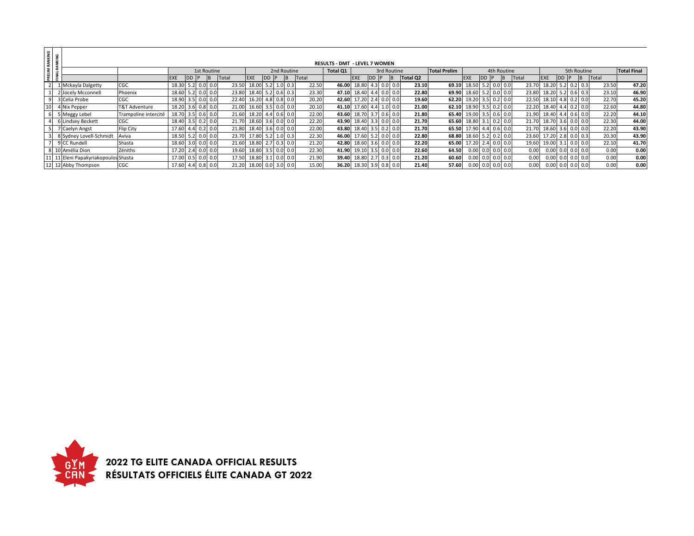|                          | RANKING<br>ANKING |                                      |                          |                   |           |               |       |                   |  |               |       |                                      |                   |            |             |          |                     |                     |                |     |       |                         |     |             |       |                    |
|--------------------------|-------------------|--------------------------------------|--------------------------|-------------------|-----------|---------------|-------|-------------------|--|---------------|-------|--------------------------------------|-------------------|------------|-------------|----------|---------------------|---------------------|----------------|-----|-------|-------------------------|-----|-------------|-------|--------------------|
|                          |                   |                                      |                          |                   |           |               |       |                   |  |               |       | <b>RESULTS - DMT - LEVEL 7 WOMEN</b> |                   |            |             |          |                     |                     |                |     |       |                         |     |             |       |                    |
| $\overline{\phantom{0}}$ |                   |                                      |                          |                   |           | 1st Routine   |       |                   |  | 2nd Routine   |       | Total Q1                             |                   |            | 3rd Routine |          | <b>Total Prelim</b> |                     | 4th Routine    |     |       |                         |     | 5th Routine |       | <b>Total Final</b> |
| PRELI                    |                   |                                      |                          | <b>EXE</b>        | <b>DD</b> |               | Total | <b>EXE</b>        |  |               | Total |                                      | <b>EXE</b>        | <b>IDD</b> | <b>IB</b>   | Total Q2 |                     | <b>EXE</b>          |                |     | Total | <b>EXE</b>              | IDD |             | Total |                    |
|                          |                   | 1 Mckayla Dalgetty                   | CGC                      | 18.30             |           | $5.2$ 0.0 0.0 | 23.50 | 18.00             |  | $5.2$ 1.0 0.3 | 22.50 | 46.00                                | 18.80 4.3 0.0 0.0 |            |             | 23.10    | 69.10               | 18.50 5.2 0.0       |                | 0.0 | 23.70 | 18.20                   | 5.2 | $0.2$ 0.3   | 23.50 | 47.20              |
|                          |                   | 2 Jocely Mcconnell                   | Phoenix                  | 18.60 5.2 0.0 0.0 |           |               | 23.80 | 18.40 5.2 0.6 0.3 |  |               | 23.30 | 47.10                                | 18.40 4.4 0.0 0.0 |            |             | 22.80    |                     | 69.90 18.60 5.2 0.0 |                | 0.0 |       | 23.80 18.20 5.2 0.6 0.3 |     |             | 23.10 | 46.90              |
| 9                        |                   | 3 Celia Probe                        | CGC                      | 18.90 3.5 0.0 0.0 |           |               | 22.40 | 16.20 4.8 0.8 0.0 |  |               | 20.20 | 42.60                                | 17.20 2.4 0.0 0.0 |            |             | 19.60    | 62.20               | 19.20 3.5 0.2 0.0   |                |     |       | 22.50 18.10 4.8 0.2 0.0 |     |             | 22.70 | 45.20              |
|                          |                   | 4 Nix Pepper                         | <b>T&amp;T Adventure</b> | 18.20             |           | $3.6$ 0.8 0.0 | 21.00 | 16.60 3.5 0.0     |  | 0.0           | 20.10 | 41.10                                | 17.60 4.4 1.0 0.0 |            |             | 21.00    | 62.10               | 18.90               | $3.5$ 0.2 0.0  |     |       | 22.20 18.40 4.4         |     | $0.2 \ 0.0$ | 22.60 | 44.80              |
|                          |                   | 5 Meggy Lebel                        | Trampoline intercité     | 18.70 3.5 0.6 0.0 |           |               | 21.60 | 18.20 4.4 0.6 0.0 |  |               | 22.00 | 43.60                                | 18.70 3.7 0.6 0.0 |            |             | 21.80    | 65.40               | 19.00 3.5 0.6 0.0   |                |     |       | 21.90 18.40 4.4 0.6 0.0 |     |             | 22.20 | 44.10              |
|                          |                   | 6 Lindsey Beckett                    | <b>CGC</b>               | 18.40             |           | $3.5$ 0.2 0.0 | 21.70 | 18.60 3.6 0.0     |  | 0.0           | 22.20 | 43.90                                | 18.40 3.3 0.0 0.0 |            |             | 21.70    | 65.60               | 18.80 3.1 0.2 0.0   |                |     |       | 21.70 18.70 3.6         |     | $0.0$ 0.0   | 22.30 | 44.00              |
|                          |                   | 7 Caelyn Angst                       | Flip City                | 17.60             |           | 4.4 0.2 0.0   | 21.80 | 18.40 3.6 0.0 0.0 |  |               | 22.00 | 43.80                                | 18.40 3.5 0.2 0.0 |            |             | 21.70    | 65.50               | 17.90 4.4 0.6       |                | 0.0 |       | 21.70 18.60 3.6         |     | $0.0$ 0.0   | 22.20 | 43.90              |
|                          |                   | 8 Sydney Lovell-Schmidt              | Aviva                    | 18.50             |           | $5.2$ 0.0 0.0 | 23.70 | 17.80 5.2 1.0 0.3 |  |               | 22.30 | 46.00                                | 17.60 5.2 0.0 0.0 |            |             | 22.80    | 68.80               | 18.60 5.2 0.2 0.0   |                |     |       | 23.60 17.20             |     | $0.0$ 0.3   | 20.30 | 43.90              |
|                          |                   | 9 CC Rundell                         | Shasta                   | 18.60 3.0 0.0 0.0 |           |               | 21.60 | 18.80 2.7 0.3 0.0 |  |               | 21.20 | 42.80                                | 18.60 3.6 0.0 0.0 |            |             | 22.20    | 65.00               | 17.20               | $2.4 \ 0.0$    | 0.0 |       | 19.60 19.00 3.1         |     | $0.0$ 0.0   | 22.10 | 41.70              |
|                          |                   | 8 10 Amélia Dion                     | Zéniths                  | 17.20             |           | $2.4$ 0.0 0.0 | 19.60 | 18.80 3.5 0.0 0.0 |  |               | 22.30 | 41.90                                | 19.10 3.5 0.0 0.0 |            |             | 22.60    | 64.50               |                     | $0.00$ 0.0 0.0 | 0.0 | 0.00  | $0.00\,0.0$             |     | $0.0$ 0.0   | 0.00  | 0.00               |
|                          |                   | 11 11 Eleni Papakyriakopoulos Shasta |                          | 17.00 0.5         |           | $0.0$ 0.0     | 17.50 | 18.80 3.1 0.0     |  | 0.0           | 21.90 | 39.40                                | 18.80 2.7 0.3 0.0 |            |             | 21.20    | 60.60               | 0.00                | $0.0$ 0.0      | 0.0 | 0.00  | 0.00                    | 0.  | $0.0$ 0.0   | 0.00  | 0.00               |
|                          |                   | 12 12 Abby Thompson                  | <b>CGC</b>               | 17.60             |           | 4.4 0.8 0.0   | 21.20 | 18.00 0.0 3.0     |  | 0.0           | 15.00 | 36.20                                | 18.30 3.9 0.8 0.0 |            |             | 21.40    | 57.60               |                     | $0.00$ 0.0 0.0 | 0.0 | 0.00  | 0.00                    | 0.0 | $0.0$ 0.0   | 0.00  | 0.00               |

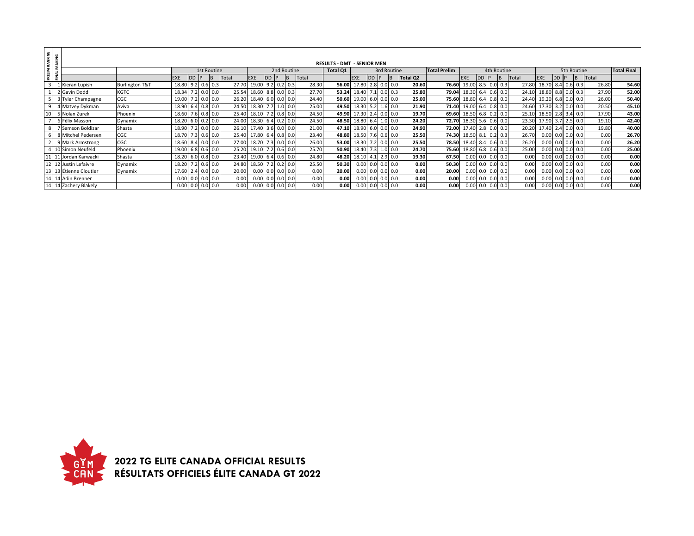|                | PRELIM RANKING<br>FINAL RANKING |                        |                           |            |           |             |              |             |           |             |       |                                   |                         |     |   |                    |                   |                     |                   |                    |     |             |       |                   |                    |             |       |                    |
|----------------|---------------------------------|------------------------|---------------------------|------------|-----------|-------------|--------------|-------------|-----------|-------------|-------|-----------------------------------|-------------------------|-----|---|--------------------|-------------------|---------------------|-------------------|--------------------|-----|-------------|-------|-------------------|--------------------|-------------|-------|--------------------|
|                |                                 |                        |                           |            |           |             |              |             |           |             |       | <b>RESULTS - DMT - SENIOR MEN</b> |                         |     |   |                    |                   |                     |                   |                    |     |             |       |                   |                    |             |       |                    |
|                |                                 |                        |                           |            |           | 1st Routine |              |             |           | 2nd Routine |       | Total Q1                          |                         |     |   | 3rd Routine        |                   | <b>Total Prelim</b> |                   |                    |     | 4th Routine |       |                   |                    | 5th Routine |       | <b>Total Final</b> |
|                |                                 |                        |                           | <b>EXE</b> | <b>DD</b> | B.          | <b>Total</b> | EXE         | <b>DD</b> | ΙB          | Total |                                   | <b>EXE</b>              | IDD | P |                    | Total Q2          |                     | <b>EXE</b>        | DD IP              |     | IB          | Total | <b>EXE</b>        |                    | <b>IB</b>   | Total |                    |
| $\overline{3}$ |                                 | 1 Kieran Lupish        | <b>Burlington T&amp;T</b> | 18.80      | 9.2       | $0.6$ 0.3   | 27.70        | 19.00       | 9.2       | $0.2 \ 0.3$ | 28.30 | 56.00                             | 17.80                   |     |   | $2.8$ 0.0 0.0      | 20.60             | 76.60               | 19.00 8.5         |                    |     | $0.0$ 0.3   | 27.80 | 18.70 8.4 0.6 0.3 |                    |             | 26.80 | 54.60              |
|                |                                 | 2 Gavin Dodd           | <b>KGTC</b>               | 18.34      |           | 0.0 0.0     | 25.54        | 18.60       | 8.8       | 0.0 0.3     | 27.70 | 53.24                             | 18.40                   |     |   | $0.0 \ 0.3$        | 25.80             | 79.04               | 18.30 6.4 0.6 0.0 |                    |     |             | 24.10 | 18.80 8.8         |                    | $0.0$ 0.3   | 27.90 | 52.00              |
|                |                                 | 3 Tyler Champagne      | CGC                       | 19.00      |           | 0.0 0.0     |              | 26.20 18.40 | 6.0       | 0.0 0.0     | 24.40 |                                   | 50.60 19.00 6.0 0.0 0.0 |     |   |                    | 25.00             | 75.60               | 18.80 6.4 0.8 0.0 |                    |     |             | 24.40 | 19.20 6.8 0.0 0.0 |                    |             | 26.00 | 50.40              |
| -9             |                                 | 4 Matvey Dykman        | Aviva                     | 18.90      | 6.4       | $0.8$ 0.0   |              | 24.50 18.30 |           | $1.0 \ 0.0$ | 25.00 |                                   | 49.50 18.30 5.2         |     |   | $1.6$ 0.0          | 21.90             | 71.40               | 19.00 6.4 0.8 0.0 |                    |     |             | 24.60 | 17.30 3.2 0.0 0.0 |                    |             | 20.50 | 45.10              |
| 10             |                                 | 5 Nolan Zurek          | Phoenix                   | 18.60      |           | $0.8$ 0.0   | 25.40        | 18.10       |           | $0.8$ 0.0   | 24.50 |                                   | 49.90 17.30 2.4         |     |   | $0.0\ 0.0$         | 19.70             | 69.60               | 18.50 6.8 0.2 0.0 |                    |     |             | 25.10 | 18.50 2.8 3.4 0.0 |                    |             | 17.90 | 43.00              |
|                |                                 | 6 Félix Masson         | Dynamix                   | 18.20      | 6.0       | $0.2 \ 0.0$ | 24.00        | 18.30       | 6.4       | $0.2 \ 0.0$ | 24.50 |                                   | 48.50 18.80 6.4         |     |   | $1.0 \ 0.0$        | 24.20             | 72.70               | 18.30 5.6         |                    |     | $0.6$ 0.0   | 23.30 | 17.90             |                    | $2.5 \ 0.0$ | 19.10 | 42.40              |
| 8              |                                 | 7 Samson Boldizar      | Shasta                    | 18.90      |           | 0.0 0.0     | 26.10        | 17.40       | 3.6       | 0.0 0.0     | 21.00 |                                   | 47.10 18.90 6.0 0.0 0.0 |     |   |                    | 24.90             | 72.00               | 17.40 2.8         |                    |     | $0.0$ 0.0   | 20.20 | 17.40 2.4 0.0 0.0 |                    |             | 19.80 | 40.00              |
|                |                                 | 8 Mitchel Pedersen     | CGC                       | 18.70      |           | $0.6$ 0.0   |              | 25.40 17.80 | 6.4       | $0.8$ 0.0   | 23.40 | 48.80                             | 18.50 7.6 0.6 0.0       |     |   |                    | 25.50             | 74.30               | 18.50 8.1 0.2 0.3 |                    |     |             | 26.70 |                   | $0.00$ 0.0 0.0 0.0 |             | 0.00  | 26.70              |
| $\overline{2}$ |                                 | 9 Mark Armstrong       | CGC                       | 18.60      | 8.4       | 0.0 0.0     | 27.00        | 18.70       |           | 0.0 0.0     | 26.00 |                                   | 53.00 18.30 7.2 0.0 0.0 |     |   |                    | 25.50             | 78.50               | 18.40 8.4 0.6 0.0 |                    |     |             | 26.20 |                   | $0.00$ 0.0 0.0 0.0 |             | 0.00  | 26.20              |
|                |                                 | 4 10 Simon Neufeld     | Phoenix                   | 19.00      | 6.8       | $0.6$ 0.0   | 25.20        | 19.10       |           | $0.6$ 0.0   | 25.70 | 50.90                             | 18.40 7.3 1.0 0.0       |     |   |                    | 24.70             | 75.60               | 18.80 6.8 0.6 0.0 |                    |     |             | 25.00 |                   | $0.00$ 0.0 0.0 0.0 |             | 0.00  | 25.00              |
|                |                                 | 11 11 Jordan Karwacki  | Shasta                    | 18.20      | 6.0       | $0.8$ 0.0   | 23.40        | 19.00       | 6.4       | $0.6$ 0.0   | 24.80 | 48.20                             | 18.10 4.1               |     |   | $2.9$ 0.0          | 19.30             | 67.50               |                   | $0.00$ 0.0 0.0 0.0 |     |             | 0.00  |                   | $0.00$ 0.0 0.0 0.0 |             | 0.00  | 0.00               |
|                |                                 | 12 12 Justin Lefaivre  | Dynamix                   | 18.20      |           | $0.6$ 0.0   | 24.80        | 18.50       |           | $0.2 \ 0.0$ | 25.50 | 50.30                             | $0.00 \, 0.0$           |     |   | 0.0 0.0            | 0.00              | 50.30               |                   | $0.00$ 0.0 0.0 0.0 |     |             | 0.00  |                   | $0.00$ 0.0 0.0 0.0 |             | 0.00  | 0.00               |
|                |                                 | 13 13 Étienne Cloutier | Dynamix                   | 17.60      |           | 0.0 0.0     | 20.00        | 0.00        | 0.0       | 0.0 0.0     | 0.00  | 20.00                             | 0.00                    | 0.0 |   | $0.0$ 0.0          | 0.00              | 20.00               |                   | $0.00$ 0.0 0.0 0.0 |     |             | 0.00  |                   | $0.00$ 0.0 0.0 0.0 |             | 0.00  | 0.00               |
|                |                                 | 14 14 Adin Brenner     |                           | 0.00       | 0.0       | $0.0$ 0.0   | 0.00         | 0.00        | 0.0       | 0.0 0.0     | 0.00  | 0.00                              |                         |     |   | $0.00$ 0.0 0.0 0.0 | 0.00              | 0.00                |                   | $0.00$ 0.0 0.0 0.0 |     |             | 0.00  |                   | $0.00$ 0.0 0.0 0.0 |             | 0.00  | 0.00               |
|                |                                 | 14 14 Zachery Blakely  |                           | 0.00       | 0.0       | 0.0 0.0     | 0.00         | 0.00        | 0.0       | 0.0 0.0     | 0.00  | 0.00                              | $0.00 \ 0.0$            |     |   | $0.0$ 0.0          | 0.00 <sub>l</sub> | 0.00                |                   | $0.00 \ 0.0$       | 0.0 | 0.01        | 0.00  |                   | $0.00$ 0.0 0.0     | 0.0         | 0.00  | 0.00               |

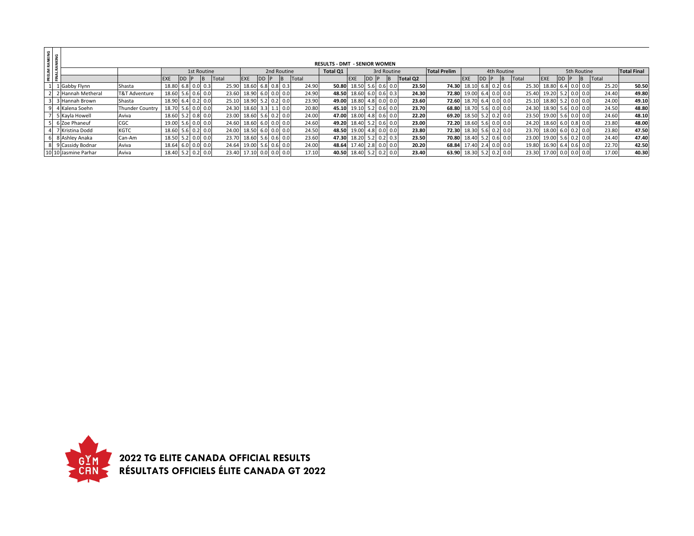| <b>PRELIM RANKING<br/>FINAL RANKING</b> |                      |                        |                   |       |             |       |                   |      |     |             |       |                                     |       |             |               |          |                     |                   |      |             |     |       |                         |  |                |       |                    |
|-----------------------------------------|----------------------|------------------------|-------------------|-------|-------------|-------|-------------------|------|-----|-------------|-------|-------------------------------------|-------|-------------|---------------|----------|---------------------|-------------------|------|-------------|-----|-------|-------------------------|--|----------------|-------|--------------------|
|                                         |                      |                        |                   |       |             |       |                   |      |     |             |       | <b>RESULTS - DMT - SENIOR WOMEN</b> |       |             |               |          |                     |                   |      |             |     |       |                         |  |                |       |                    |
|                                         |                      |                        |                   |       | 1st Routine |       |                   |      |     | 2nd Routine |       | Total Q1                            |       |             | 3rd Routine   |          | <b>Total Prelim</b> |                   |      | 4th Routine |     |       |                         |  | 5th Routine    |       | <b>Total Final</b> |
|                                         |                      |                        | <b>EXE</b>        | DD IP |             | Total | <b>EXE</b>        | DD P |     | IB.         | Total |                                     | EXE   | DD F        | IB.           | Total Q2 |                     | <b>EXE</b>        | DD P |             | IB. | Total | <b>IEXE</b>             |  | $\overline{B}$ | Total |                    |
|                                         | 1 Gabby Flynn        | Shasta                 | 18.80 6.8 0.0 0.3 |       |             | 25.90 | 18.60 6.8         |      | 0.8 |             | 24.90 | 50.80                               | 18.50 | 5.6 0.6     | 0.0           | 23.50    | 74.30               | 18.10 6.8 0.2     |      |             | 0.6 | 25.30 | 18.80                   |  | $6.4$ 0.0 0.0  | 25.20 | 50.50              |
|                                         | 2 Hannah Metheral    | T&T Adventure          | 18.60 5.6 0.6 0.0 |       |             | 23.60 | 18.90 6.0 0.0     |      |     | 0.0         | 24.90 | 48.50 18.60 6.0 0.6                 |       |             | 0.3           | 24.30    | 72.80               | 19.00 6.4 0.0 0.0 |      |             |     |       | 25.40 19.20 5.2 0.0 0.0 |  |                | 24.40 | 49.80              |
|                                         | 3 3 Hannah Brown     | Shasta                 | 18.90 6.4 0.2 0.0 |       |             | 25.10 | 18.90 5.2 0.2 0.0 |      |     |             | 23.90 | 49.00 18.80 4.8 0.0                 |       |             | 0.0           | 23.60    | 72.60               | 18.70 6.4 0.0 0.0 |      |             |     | 25.10 | 18.80                   |  | $5.2$ 0.0 0.0  | 24.00 | 49.10              |
| 9                                       | 4 Kalena Soehn       | <b>Thunder Country</b> | 18.70 5.6 0.0 0.0 |       |             | 24.30 | 18.60 3.3         |      | 1.1 | 0.0         | 20.80 | 45.10 19.10                         |       | $5.2 \ 0.6$ | 0.0           | 23.70    | 68.80               | 18.70 5.6 0.0 0.0 |      |             |     |       | 24.30 18.90 5.6 0.0 0.0 |  |                | 24.50 | 48.80              |
|                                         | 5 Kayla Howell       | Aviva                  | 18.60 5.2 0.8 0.0 |       |             | 23.00 | 18.60 5.6 0.2 0.0 |      |     |             | 24.00 | 47.00 18.00                         |       | 4.8 0.6     | 0.0           | 22.20    | 69.20               | 18.50 5.2 0.2 0.0 |      |             |     | 23.50 | 19.00 5.6 0.0 0.0       |  |                | 24.60 | 48.10              |
|                                         | 5 6 Zoe Phaneuf      | CGC                    | 19.00 5.6 0.0 0.0 |       |             | 24.60 | 18.60 6.0 0.0 0.0 |      |     |             | 24.60 | 49.20 18.40                         |       | $5.2 \ 0.6$ | 0.0           | 23.00    | 72.20               | 18.60 5.6 0.0 0.0 |      |             |     |       | 24.20 18.60 6.0 0.8 0.0 |  |                | 23.80 | 48.00              |
|                                         | 7 Kristina Dodd      | KGTC                   | 18.60 5.6 0.2 0.0 |       |             | 24.00 | 18.50 6.0 0.0     |      |     |             | 24.50 | 48.50 19.00                         |       | $4.8 \ 0.0$ | 0.0           | 23.80    | 72.30               | 18.30 5.6 0.2 0.0 |      |             |     | 23.70 | 18.00 6.0 0.2 0.0       |  |                | 23.80 | 47.50              |
|                                         | 6 8 Ashley Anaka     | Can-Am                 | 18.50 5.2 0.0 0.0 |       |             | 23.70 | 18.60 5.6 0.6     |      |     | 0.0         | 23.60 | 47.30 18.20                         |       |             | $5.2$ 0.2 0.3 | 23.50    | 70.80               | 18.40 5.2 0.6 0.0 |      |             |     |       | 23.00 19.00 5.6 0.2 0.0 |  |                | 24.40 | 47.40              |
|                                         | 8 9 Cassidy Bodnar   | Aviva                  | 18.64 6.0 0.0 0.0 |       |             | 24.64 | 19.00 5.6         |      | 0.6 | 0.0         | 24.00 | 48.64 17.40                         |       | $2.8$ 0.0   | 0.0           | 20.20    | 68.84               | 17.40 2.4 0.0 0.0 |      |             |     |       | 19.80 16.90 6.4 0.6 0.0 |  |                | 22.70 | 42.50              |
|                                         | 10 10 Jasmine Parhar | Aviva                  | 18.40 5.2 0.2 0.0 |       |             | 23.40 | 17.10 0.0 0.0     |      |     | 0.0         | 17.10 | 40.50 18.40                         |       | $5.2 \ 0.2$ | 0.0           | 23.40    | 63.90               | 18.30 5.2 0.2 0.0 |      |             |     |       | 23.30 17.00             |  | $0.0$ 0.0 0.0  | 17.00 | 40.30              |

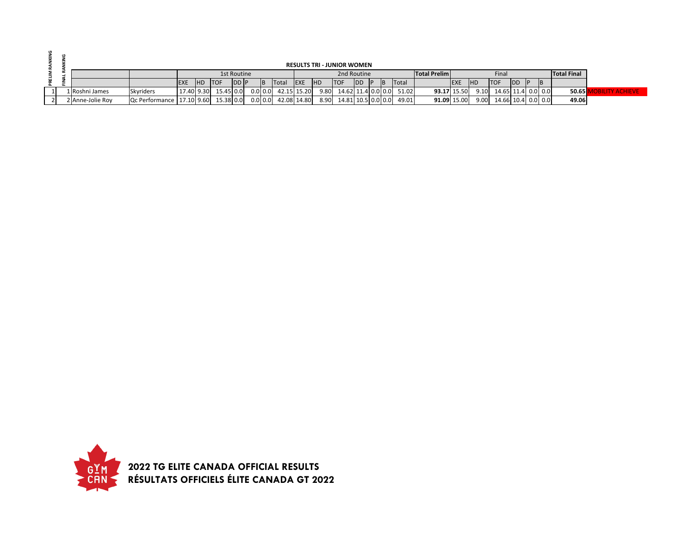|  |                  |                                         |             |            |                        |             |     |                       |             |           | <b>RESULTS TRI - JUNIOR WOMEN</b> |               |     |              |                     |             |            |                           |            |  |                    |                |
|--|------------------|-----------------------------------------|-------------|------------|------------------------|-------------|-----|-----------------------|-------------|-----------|-----------------------------------|---------------|-----|--------------|---------------------|-------------|------------|---------------------------|------------|--|--------------------|----------------|
|  |                  |                                         |             |            |                        | 1st Routine |     |                       |             |           | 2nd Routine                       |               |     |              | <b>Total Prelim</b> |             |            | Final                     |            |  | <b>Total Final</b> |                |
|  |                  |                                         | <b>IEXE</b> | <b>IHD</b> | <b>ITOF</b>            | <b>DD P</b> | IB. | Total                 | <b>IEXE</b> | <b>HD</b> | <b>ITOF</b>                       | <b>IDD IP</b> | IB. | <b>Total</b> |                     | <b>EXE</b>  | <b>IHD</b> | <b>ITOF</b>               | <b>IDD</b> |  |                    |                |
|  | 1 Roshni James   | <b>Skyriders</b>                        |             |            | $17.40$ 9.30 15.45 0.0 |             |     | $0.0$ 0.0 42.15 15.20 |             |           | $9.80$ 14.62 11.4 0.0 0.0 51.02   |               |     |              |                     | 93.17 15.50 |            | $9.10$ 14.65 11.4 0.0 0.0 |            |  | 50.65              | <b>ACHIEVE</b> |
|  | 2 Anne-Jolie Roy | Qc Performance   17.10 9.60   15.38 0.0 |             |            |                        |             |     | $0.0$ 0.0 42.08 14.80 |             |           | $8.90$ 14.81 10.5 0.0 0.0         |               |     | 49.01        |                     | 91.09 15.00 | 9.00       | 14.66 10.4 0.0 0.0        |            |  | 49.06              |                |

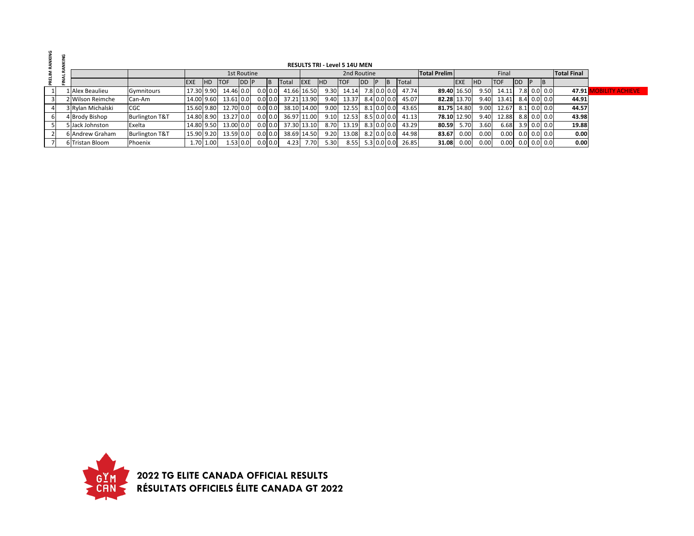|  |                   |                           |            |           |             |             |           |              |             |            | <b>RESULTS TRI - Level 5 14U MEN</b> |            |     |                 |       |                     |             |                   |             |               |               |                    |                        |
|--|-------------------|---------------------------|------------|-----------|-------------|-------------|-----------|--------------|-------------|------------|--------------------------------------|------------|-----|-----------------|-------|---------------------|-------------|-------------------|-------------|---------------|---------------|--------------------|------------------------|
|  |                   |                           |            |           |             | 1st Routine |           |              |             |            | 2nd Routine                          |            |     |                 |       | <b>Total Prelim</b> |             |                   | Final       |               |               | <b>Total Final</b> |                        |
|  |                   |                           | <b>EXE</b> | <b>HD</b> | <b>ITOF</b> | DD P        |           | <b>Total</b> | <b>IEXE</b> | <b>IHD</b> | <b>ITOF</b>                          | <b>IDD</b> | IP. |                 | Total |                     | <b>EXE</b>  | <b>HD</b>         | <b>ITOF</b> | <b>IDD</b>    | ΙB.           |                    |                        |
|  | 1 Alex Beaulieu   | Gymnitours                | 17.30 9.90 |           | 14.46 0.0   |             | $0.0$ 0.0 | 41.66 16.50  |             | 9.30       | 14.14                                |            |     | 7.8 0.0 0.0     | 47.74 |                     | 89.40 16.50 | 9.50              | 14.11       |               | 7.8 0.0 0.0   | 47.91              | <b>DBILITY ACHIEVE</b> |
|  | 2 Wilson Reimche  | Can-Am                    | 14.00 9.60 |           | 13.61 0.0   |             | $0.0$ 0.0 | 37.21 13.90  |             | 9.40       | 13.37                                |            |     | 8.4 0.0 0.0     | 45.07 |                     | 82.28 13.70 | 9.40              | 13.41       |               | 8.4 0.0 0.0   | 44.91              |                        |
|  | 3 Rylan Michalski | <b>CGC</b>                | 15.60 9.80 |           | 12.70 0.0   |             | $0.0$ 0.0 | 38.10 14.00  |             | 9.00       | 12.55                                |            |     | $8.1$ 0.0 0.0   | 43.65 |                     | 81.75 14.80 | 9.00 <sub>1</sub> | 12.67       |               | 8.1 0.0 0.0   | 44.57              |                        |
|  | 4 Brody Bishop    | <b>Burlington T&amp;T</b> | 14.80 8.90 |           | 13.27 0.0   |             | $0.0$ 0.0 | 36.97 11.00  |             | 9.10       | 12.53                                |            |     | 8.5   0.0   0.0 | 41.13 |                     | 78.10 12.90 | 9.40              | 12.88       |               | 8.8 0.0 0.0   | 43.98              |                        |
|  | 5 Jack Johnston   | Exelta                    | 14.80 9.50 |           | 13.00 0.0   |             | $0.0$ 0.0 | 37.30 13.10  |             | 8.70       | 13.19                                |            |     | 8.3   0.0   0.0 | 43.29 | 80.59               | 5.70        | 3.60              | 6.68        |               | $3.9$ 0.0 0.0 | 19.88              |                        |
|  | 6 Andrew Graham   | <b>Burlington T&amp;T</b> | 15.90 9.20 |           | 13.59 0.0   |             | $0.0$ 0.0 | 38.69 14.50  |             | 9.20       | 13.08                                |            |     | $8.2$ 0.0 0.0   | 44.98 | 83.67               | 0.00        | 0.00              | 0.00        |               | $0.0$ 0.0 0.0 | 0.00               |                        |
|  | 6 Tristan Bloom   | Phoenix                   |            | 1.70 1.00 |             | 1.53 0.0    | $0.0$ 0.0 | 4.23         | 7.70        | 5.30       | 8.55                                 |            |     | $5.3$ 0.0 0.0   | 26.85 | 31.08               | 0.00        | 0.00 <sub>1</sub> | 0.00        | $0.0$ 0.0 0.0 |               | 0.00               |                        |

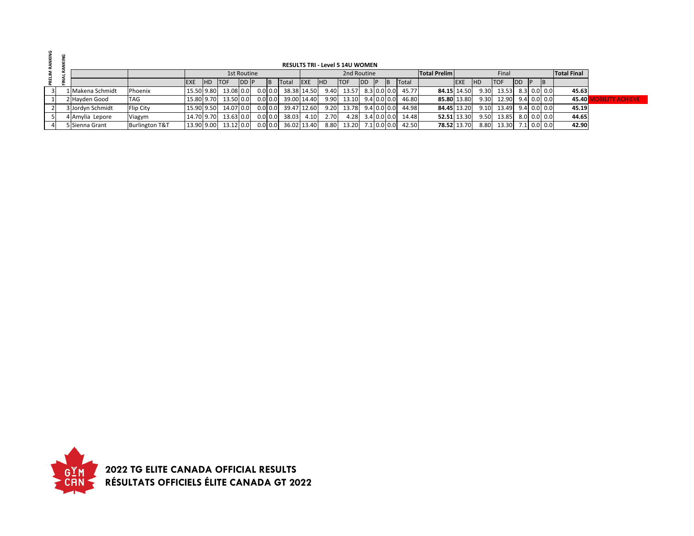|                |                  |                           |             |           |             |             |            |              |             |            | <b>RESULTS TRI - Level 5 14U WOMEN</b> |                  |             |       |                     |             |            |                          |            |               |                    |                       |
|----------------|------------------|---------------------------|-------------|-----------|-------------|-------------|------------|--------------|-------------|------------|----------------------------------------|------------------|-------------|-------|---------------------|-------------|------------|--------------------------|------------|---------------|--------------------|-----------------------|
| 큶              |                  |                           |             |           |             | 1st Routine |            |              |             |            | 2nd Routine                            |                  |             |       | <b>Total Prelim</b> |             |            | Final                    |            |               | <b>Total Final</b> |                       |
|                |                  |                           | <b>IEXE</b> | <b>HD</b> | <b>ITOF</b> | <b>DD</b> P | IB.        | <b>Total</b> | <b>EXE</b>  | <b>IHD</b> | <b>TOF</b>                             | <b>IDD</b>       | <b>IB</b>   | Total |                     | <b>EXE</b>  | <b>IHD</b> | <b>ITOF</b>              | <b>IDD</b> | <b>ID</b>     |                    |                       |
| $\overline{3}$ | 1 Makena Schmidt | Phoenix                   | 15.50 9.80  |           | 13.08 0.0   |             | $0.0\,0.0$ |              | 38.38 14.50 | 9.40       | 13.57                                  |                  | 8.3 0.0 0.0 | 45.77 |                     | 84.15 14.50 |            | $9.30$ 13.53 8.3 0.0 0.0 |            |               | 45.63              |                       |
|                | 2 Havden Good    | <b>TAG</b>                | 15.80 9.70  |           | 13.50 0.0   |             | $0.0$ 0.0  |              | 39.00 14.40 | 9.90       | $13.10$ $9.4$ 0.0 0.0                  |                  |             | 46.80 |                     | 85.80 13.80 |            | 9.30 12.90               |            | $9.4$ 0.0 0.0 | 45.40 <b>1</b>     | <b>AILITY ACHIEVE</b> |
|                | 3 Jordyn Schmidt | Flip City                 | 15.90 9.50  |           | 14.07 0.0   |             | $0.0\,0.0$ |              | 39.47 12.60 | 9.20       | 13.78 9.4 0.0 0.0                      |                  |             | 44.98 | 84.45 13.20         |             |            | 9.10 13.49               |            | $9.4$ 0.0 0.0 | 45.19              |                       |
|                | 4 Amylia Lepore  | Viagym                    | 14.70 9.70  |           | 13.63 0.0   |             | $0.0\,0.0$ | 38.03        | 4.10        | 2.70       |                                        | 4.28 3.4 0.0 0.0 |             | 14.48 |                     | 52.51 13.30 |            | 9.50 13.85               |            | 8.0 0.0 0.0   | 44.65              |                       |
|                | 5 Sienna Grant   | <b>Burlington T&amp;T</b> | 13.90 9.00  |           | 13.12 0.0   |             | $0.0$ 0.0  |              | 36.02 13.40 | 8.80       | 13.20                                  | 7.1 0.0 0.0      |             | 42.50 |                     | 78.52 13.70 |            | 8.80 13.30               |            | 7.1 0.0 0.0   | 42.90              |                       |

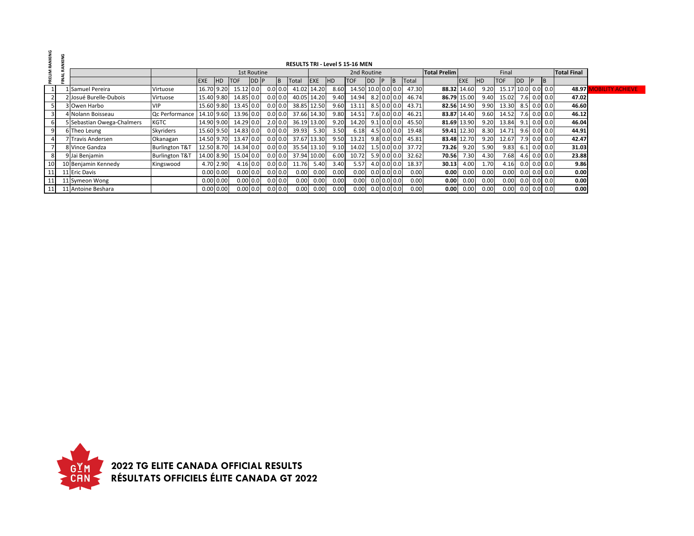| RANKING |                            |                           |            |              |            |             |           |             |      | <b>RESULTS TRI - Level 5 15-16 MEN</b> |                    |               |               |               |       |                     |            |            |                    |      |               |                    |                        |
|---------|----------------------------|---------------------------|------------|--------------|------------|-------------|-----------|-------------|------|----------------------------------------|--------------------|---------------|---------------|---------------|-------|---------------------|------------|------------|--------------------|------|---------------|--------------------|------------------------|
|         |                            |                           |            |              |            |             |           |             |      |                                        |                    |               |               |               |       |                     |            |            |                    |      |               | <b>Total Final</b> |                        |
|         |                            |                           |            |              |            | 1st Routine |           |             |      |                                        | 2nd Routine        |               |               |               |       | <b>Total Prelim</b> |            |            | Final              |      |               |                    |                        |
|         |                            |                           | <b>EXE</b> | IHD.         | <b>TOF</b> | <b>DDP</b>  | B         | Total       | EXE  | <b>HD</b>                              | <b>TOF</b>         | <b>IDD</b>    | P             | <b>IB</b>     | Total |                     | <b>EXE</b> | <b>IHD</b> | <b>TOF</b>         | DD P | <b>B</b>      |                    |                        |
|         | Samuel Pereira             | Virtuose                  | 16.70 9.20 |              | 15.12 0.0  |             | $0.0$ 0.0 | 41.02 14.20 |      | 8.60                                   | 14.50 10.0 0.0 0.0 |               |               |               | 47.30 | 88.32 14.60         |            | 9.20       | 15.17 10.0 0.0 0.0 |      |               | 48.97              | <b>OBILITY ACHIEVE</b> |
|         | 2 Josué Burelle-Dubois     | Virtuose                  | 15.40 9.80 |              | 14.85 0.0  |             | $0.0$ 0.0 | 40.05 14.20 |      | 9.40                                   | 14.94              | $8.2$ 0.0 0.0 |               |               | 46.74 | 86.79 15.00         |            | 9.40       | 15.02 7.6 0.0 0.0  |      |               | 47.02              |                        |
|         | 3 Owen Harbo               | <b>VIP</b>                | 15.60 9.80 |              | 13.45 0.0  |             | $0.0$ 0.0 | 38.85 12.50 |      | 9.60                                   | 13.11              | $8.5$ 0.0 0.0 |               |               | 43.71 | 82.56 14.90         |            | 9.90       | 13.30              |      | 8.5 0.0 0.0   | 46.60              |                        |
|         | 4 Nolann Boisseau          | Qc Performance            | 14.10 9.60 |              | 13.96 0.0  |             | 0.0 0.0   | 37.66 14.30 |      | 9.80                                   | 14.51              |               | $7.6$ 0.0 0.0 |               | 46.21 | 83.87 14.40         |            | 9.60       | 14.52              |      | $7.6$ 0.0 0.0 | 46.12              |                        |
|         | 5 Sebastian Owega-Chalmers | <b>KGTC</b>               | 14.90 9.00 |              | 14.29 0.0  |             | $2.0$ 0.0 | 36.19 13.00 |      | 9.20                                   | 14.20              |               |               | $9.1$ 0.0 0.0 | 45.50 | 81.69 13.90         |            | 9.20       | 13.84              |      | $9.1$ 0.0 0.0 | 46.04              |                        |
|         | 6 Theo Leung               | Skyriders                 | 15.60 9.50 |              | 14.83 0.0  |             | $0.0$ 0.0 | 39.93       | 5.30 | 3.50                                   | 6.18               |               | $4.5$ 0.0 0.0 |               | 19.48 | 59.41 12.30         |            | 8.30       | 14.71              |      | $9.6$ 0.0 0.0 | 44.91              |                        |
|         | 7 Travis Andersen          | Okanagan                  | 14.50 9.70 |              | 13.47 0.0  |             | $0.0$ 0.0 | 37.67 13.30 |      | 9.50                                   | 13.21              |               | $9.8$ 0.0 0.0 |               | 45.81 | 83.48 12.70         |            | 9.20       | 12.67              |      | 7.9 0.0 0.0   | 42.47              |                        |
|         | 8 Vince Gandza             | <b>Burlington T&amp;T</b> | 12.50 8.70 |              | 14.34 0.0  |             | $0.0$ 0.0 | 35.54 13.10 |      | 9.10                                   | 14.02              |               |               | $1.5$ 0.0 0.0 | 37.72 | 73.26               | 9.20       | 5.90       | 9.83               |      | $6.1$ 0.0 0.0 | 31.03              |                        |
|         | 9 Jai Benjamin             | <b>Burlington T&amp;T</b> | 14.00 8.90 |              | 15.04 0.0  |             | 0.0 0.0   | 37.94 10.00 |      | 6.00                                   | 10.72              | $5.9$ 0.0 0.0 |               |               | 32.62 | 70.56               | 7.30       | 4.30       | 7.68               |      | $4.6$ 0.0 0.0 | 23.88              |                        |
|         | 10 Benjamin Kennedy        | Kingswood                 |            | 4.70 2.90    | 4.16 0.0   |             | $0.0$ 0.0 | 11.76       | 5.40 | 3.40                                   | 5.57               |               | $4.0$ 0.0 0.0 |               | 18.37 | 30.13               | 4.00       | 1.70       | 4.16               |      | $0.0$ 0.0 0.0 | 9.86               |                        |
|         | 11 Eric Davis              |                           |            | $0.00\,0.00$ | 0.00 0.0   |             | $0.0$ 0.0 | 0.00        | 0.00 | 0.00                                   | 0.00               |               |               | $0.0$ 0.0 0.0 | 0.00  | 0.00                | 0.00       | 0.00       | 0.00               |      | $0.0$ 0.0 0.0 | 0.00               |                        |
|         | 11 Symeon Wong             |                           |            | 0.00   0.00  | $0.00$ 0.0 |             | $0.0$ 0.0 | 0.00        | 0.00 | 0.00                                   | 0.00               |               | $0.0$ 0.0 0.0 |               | 0.00  | 0.00                | 0.00       | 0.00       | 0.00               |      | $0.0$ 0.0 0.0 | 0.00               |                        |
|         | 11 Antoine Beshara         |                           |            | 0.00   0.00  | 0.00 0.0   |             | 0.0 0.0   | 0.00        | 0.00 | 0.00                                   | 0.00               |               | $0.0$ 0.0 0.0 |               | 0.00  | 0.00                | 0.00       | 0.00       | 0.00               |      | $0.0$ 0.0 0.0 | 0.00               |                        |

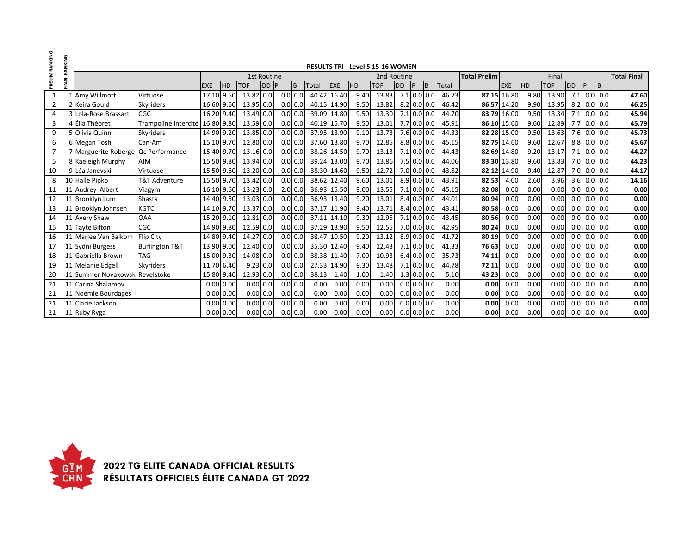| PRELIM RANKING | RANKING |                                     |                           |              |            |              |                    |           |           |             |             |      | <b>RESULTS TRI - Level 5 15-16 WOMEN</b> |            |   |               |              |                     |             |           |            |     |           |               |                    |
|----------------|---------|-------------------------------------|---------------------------|--------------|------------|--------------|--------------------|-----------|-----------|-------------|-------------|------|------------------------------------------|------------|---|---------------|--------------|---------------------|-------------|-----------|------------|-----|-----------|---------------|--------------------|
|                |         |                                     |                           |              |            |              | <b>1st Routine</b> |           |           |             |             |      | 2nd Routine                              |            |   |               |              | <b>Total Prelim</b> |             |           | Final      |     |           |               | <b>Total Final</b> |
|                | FINAL   |                                     |                           | <b>EXE</b>   | <b>IHD</b> | <b>TOF</b>   | <b>DDP</b>         |           | B         | Total       | <b>EXE</b>  | HD   | <b>TOF</b>                               | <b>IDD</b> | P | ΙB            | <b>Total</b> |                     | <b>EXE</b>  | <b>HD</b> | <b>TOF</b> | DD  | <b>IP</b> | B             |                    |
| 1              |         | Amy Willmott                        | Virtuose                  | 17.10 9.50   |            | 13.82 0.0    |                    | $0.0$ 0.0 |           | 40.42       | 16.40       | 9.40 | 13.83                                    |            |   | $7.1$ 0.0 0.0 | 46.73        | 87.15               | 16.80       | 9.80      | 13.90      |     |           | $7.1$ 0.0 0.0 | 47.60              |
| $\overline{2}$ |         | 2 Keira Gould                       | Skyriders                 | 16.60 9.60   |            | 13.95 0.0    |                    |           | $0.0$ 0.0 | 40.15       | 14.90       | 9.50 | 13.82                                    |            |   | $8.2$ 0.0 0.0 | 46.42        | 86.57               | 14.20       | 9.90      | 13.95      |     |           | $8.2$ 0.0 0.0 | 46.25              |
| $\overline{4}$ |         | 3 Lola-Rose Brassart                | CGC                       | 16.20 9.40   |            | 13.49 0.0    |                    |           | 0.0 0.0   | 39.09       | 14.80       | 9.50 | 13.30                                    |            |   | $7.1$ 0.0 0.0 | 44.70        | 83.79               | 16.00       | 9.50      | 13.34      | 7.1 |           | $0.0\, 0.0$   | 45.94              |
| 3              |         | 4 Élia Théoret                      | Trampoline intercité      | 16.80 9.80   |            | 13.59 0.0    |                    |           | $0.0$ 0.0 | 40.19       | 15.70       | 9.50 | 13.01                                    |            |   | $7.7$ 0.0 0.0 | 45.91        |                     | 86.10 15.60 | 9.60      | 12.89      |     |           | $7.7$ 0.0 0.0 | 45.79              |
| 9              |         | 5 Olivia Quinn                      | Skyriders                 | 14.90 9.20   |            | 13.85 0.0    |                    |           | $0.0$ 0.0 | 37.95 13.90 |             | 9.10 | 13.73                                    |            |   | $7.6$ 0.0 0.0 | 44.33        |                     | 82.28 15.00 | 9.50      | 13.63      |     |           | 7.6 0.0 0.0   | 45.73              |
| 6              |         | 6 Megan Tosh                        | Can-Am                    | 15.10 9.70   |            | 12.80 0.0    |                    |           | $0.0$ 0.0 | 37.60       | 13.80       | 9.70 | 12.85                                    |            |   | $8.8$ 0.0 0.0 | 45.15        | 82.75               | 14.60       | 9.60      | 12.67      |     |           | $8.8$ 0.0 0.0 | 45.67              |
| $\overline{7}$ |         | 7 Marguerite Roberge Qc Performance |                           | 15.40 9.70   |            | 13.16 0.0    |                    |           | $0.0$ 0.0 | 38.26       | 14.50       | 9.70 | 13.13                                    |            |   | $7.1$ 0.0 0.0 | 44.43        | 82.69               | 14.80       | 9.20      | 13.17      | 7.1 |           | $0.0$ 0.0     | 44.27              |
| 5              |         | 8 Kaeleigh Murphy                   | <b>AIM</b>                | 15.50 9.80   |            | 13.94 0.0    |                    |           | $0.0$ 0.0 | 39.24 13.00 |             | 9.70 | 13.86                                    |            |   | 7.5 0.0 0.0   | 44.06        |                     | 83.30 13.80 | 9.60      | 13.83      |     |           | 7.0 0.0 0.0   | 44.23              |
| 10             |         | 9 Léa Janevski                      | Virtuose                  | 15.50 9.60   |            | 13.20 0.0    |                    |           | $0.0$ 0.0 | 38.30 14.60 |             | 9.50 | 12.72                                    |            |   | $7.0$ 0.0 0.0 | 43.82        | 82.12               | 14.90       | 9.40      | 12.87      |     |           | 7.0 0.0 0.0   | 44.17              |
| 8              |         | 10 Halle Pipko                      | T&T Adventure             | 15.50 9.70   |            | 13.42 0.0    |                    |           | $0.0$ 0.0 |             | 38.62 12.40 | 9.60 | 13.01                                    |            |   | $8.9$ 0.0 0.0 | 43.91        | 82.53               | 4.00        | 2.60      | 3.96       |     |           | $3.6$ 0.0 0.0 | 14.16              |
| 11             |         | 11 Audrey Albert                    | Viagym                    | 16.10 9.60   |            | 13.23 0.0    |                    |           | 2.0 0.0   | 36.93 15.50 |             | 9.00 | 13.55                                    |            |   | $7.1$ 0.0 0.0 | 45.15        | 82.08               | 0.00        | 0.00      | 0.00       |     |           | $0.0$ 0.0 0.0 | 0.00               |
| 12             |         | 11 Brooklyn Lum                     | Shasta                    | 14.40 9.50   |            | 13.03 0.0    |                    |           | $0.0$ 0.0 |             | 36.93 13.40 | 9.20 | 13.01                                    |            |   | $8.4$ 0.0 0.0 | 44.01        | 80.94               | 0.00        | 0.00      | 0.00       |     |           | $0.0$ 0.0 0.0 | 0.00               |
| 13             |         | 11 Brooklyn Johnsen                 | <b>KGTC</b>               | 14.10 9.70   |            | 13.37 0.0    |                    |           | $0.0$ 0.0 | 37.17       | 11.90       | 9.40 | 13.71                                    |            |   | 8.4 0.0 0.0   | 43.41        | 80.58               | 0.00        | 0.00      | 0.00       |     |           | $0.0$ 0.0 0.0 | 0.00               |
| 14             |         | 11 Avery Shaw                       | <b>OAA</b>                | 15.20 9.10   |            | 12.81 0.0    |                    | 0.0 0.0   |           | 37.11       | 14.10       | 9.30 | 12.95                                    |            |   | $7.1$ 0.0 0.0 | 43.45        | 80.56               | 0.00        | 0.00      | 0.00       |     |           | $0.0$ 0.0 0.0 | 0.00               |
| 15             |         | 11 Tayte Bilton                     | <b>CGC</b>                | 14.90 9.80   |            | 12.59 0.0    |                    |           | $0.0$ 0.0 | 37.29       | 13.90       | 9.50 | 12.55                                    |            |   | $7.0$ 0.0 0.0 | 42.95        | 80.24               | 0.00        | 0.00      | 0.00       | 0.0 |           | $0.0$ 0.0     | 0.00               |
| 16             |         | 11 Marlee Van Balkom                | <b>Flip City</b>          | 14.80 9.40   |            | 14.27 0.0    |                    |           | $0.0$ 0.0 | 38.47       | 10.50       | 9.20 | 13.12                                    |            |   | $8.9$ 0.0 0.0 | 41.72        | 80.19               | 0.00        | 0.00      | 0.00       |     |           | $0.0$ 0.0 0.0 | 0.00               |
| 17             |         | 11 Sydni Burgess                    | <b>Burlington T&amp;T</b> | 13.90 9.00   |            | 12.40 0.0    |                    |           | $0.0$ 0.0 | 35.30 12.40 |             | 9.40 | 12.43                                    |            |   | $7.1$ 0.0 0.0 | 41.33        | 76.63               | 0.00        | 0.00      | 0.00       |     |           | $0.0$ 0.0 0.0 | 0.00               |
| 18             |         | 11 Gabriella Brown                  | <b>TAG</b>                | 15.00 9.30   |            | 14.08 0.0    |                    |           | $0.0$ 0.0 | 38.38       | 11.40       | 7.00 | 10.93                                    |            |   | $6.4$ 0.0 0.0 | 35.73        | 74.11               | 0.00        | 0.00      | 0.00       |     |           | $0.0$ 0.0 0.0 | 0.00               |
| 19             |         | 11 Melanie Edgell                   | <b>Skyriders</b>          | 11.70 6.40   |            | $9.23 \ 0.0$ |                    |           | $0.0$ 0.0 | 27.33       | 14.90       | 9.30 | 13.48                                    |            |   | $7.1$ 0.0 0.0 | 44.78        | 72.11               | 0.00        | 0.00      | 0.00       | 0.0 |           | $0.0\,$ 0.0   | 0.00               |
| 20             |         | 11 Summer Novakowski Revelstoke     |                           | 15.80 9.40   |            | 12.93 0.0    |                    |           | $0.0$ 0.0 | 38.13       | 1.40        | 1.00 | 1.40                                     |            |   | $1.3$ 0.0 0.0 | 5.10         | 43.23               | 0.00        | 0.00      | 0.00       |     |           | $0.0$ 0.0 0.0 | 0.00               |
| 21             |         | 11 Carina Shalamov                  |                           | $0.00\ 0.00$ |            | 0.00 0.0     |                    |           | $0.0$ 0.0 | 0.00        | 0.00        | 0.00 | 0.00                                     |            |   | $0.0$ 0.0 0.0 | 0.00         | 0.00                | 0.00        | 0.00      | 0.00       |     |           | $0.0$ 0.0 0.0 | 0.00               |
| 21             |         | 11 Noémie Bourdages                 |                           | 0.00 0.00    |            | 0.00 0.0     |                    |           | $0.0$ 0.0 | 0.00        | 0.00        | 0.00 | 0.00                                     |            |   | $0.0$ 0.0 0.0 | 0.00         | 0.00                | 0.00        | 0.00      | 0.00       |     |           | $0.0$ 0.0 0.0 | 0.00               |
| 21             |         | 11 Clarie Jackson                   |                           | 0.00 0.00    |            | 0.00 0.0     |                    |           | $0.0$ 0.0 | 0.00        | 0.00        | 0.00 | 0.00                                     |            |   | $0.0$ 0.0 0.0 | 0.00         | 0.00                | 0.00        | 0.00      | 0.00       |     |           | $0.0$ 0.0 0.0 | 0.00               |
| 21             |         | 11 Ruby Ryga                        |                           | 0.00 0.00    |            | 0.00 0.0     |                    |           | $0.0$ 0.0 | 0.00        | 0.00        | 0.00 | 0.00                                     |            |   | $0.0$ 0.0 0.0 | 0.00         | 0.00                | 0.00        | 0.00      | 0.00       |     |           | $0.0$ 0.0 0.0 | 0.00               |

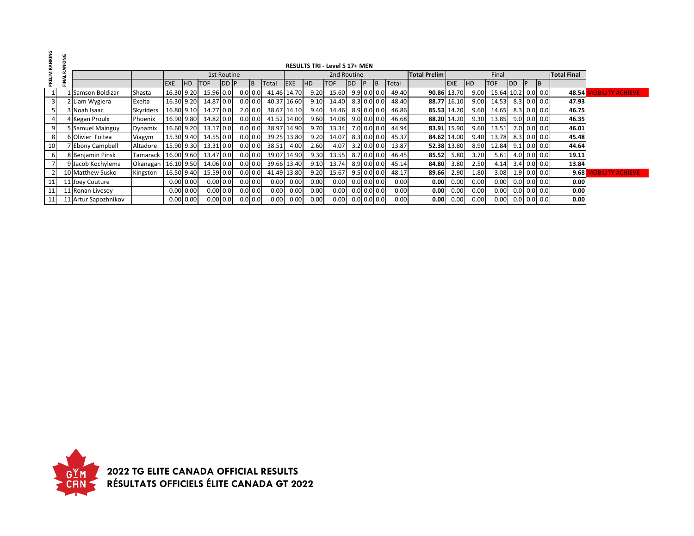| RANKING |                                                                        |                       |                |            |             |             |  |  |           |                     |       |      |            |                |   |             |                    |                   |             |           |                    |            |           |               |       |                         |
|---------|------------------------------------------------------------------------|-----------------------|----------------|------------|-------------|-------------|--|--|-----------|---------------------|-------|------|------------|----------------|---|-------------|--------------------|-------------------|-------------|-----------|--------------------|------------|-----------|---------------|-------|-------------------------|
|         | <b>RESULTS TRI - Level 5 17+ MEN</b><br>1st Routine                    |                       |                |            |             |             |  |  |           |                     |       |      |            |                |   |             |                    |                   |             |           |                    |            |           |               |       |                         |
| PRELIM  |                                                                        |                       |                |            | 2nd Routine |             |  |  |           | <b>Total Prelim</b> |       |      | Final      |                |   |             | <b>Total Final</b> |                   |             |           |                    |            |           |               |       |                         |
|         | <b>EXE</b><br><b>ITOF</b><br><b>IEXE</b><br><b>HD</b><br>DD P<br>Total |                       |                |            |             |             |  |  |           |                     |       |      | <b>TOF</b> | D <sub>D</sub> | P | ΙB          | Total              |                   | <b>IEXE</b> | <b>HD</b> | <b>TOF</b>         | <b>IDD</b> | <b>IP</b> | <b>IB</b>     |       |                         |
|         |                                                                        | Samson Boldizar       | Shasta         | 16.30      | 9.20        | 15.96 0.0   |  |  | $0.0$ 0.0 | 41.46 14.70         |       | 9.20 | 15.60      | $9.9$ 0.0 0.0  |   |             | 49.40              |                   | 90.86 13.70 | 9.00      | 15.64 10.2 0.0 0.0 |            |           |               | 48.54 | <b>IOBILITY ACHIEVE</b> |
|         |                                                                        | 2 Liam Wygiera        | Exelta         | 16.30 9.20 |             | 14.87 0.0   |  |  | $0.0$ 0.0 | 40.37               | 16.60 | 9.10 | 14.40      | $8.3$ 0.0 0.0  |   |             | 48.40              |                   | 88.77 16.10 | 9.00      | 14.53              |            |           | $8.3$ 0.0 0.0 | 47.93 |                         |
|         |                                                                        | 3 Noah Isaac          | Skyriders      | 16.80 9.10 |             | 14.77 0.0   |  |  | $2.0$ 0.0 | 38.67 14.10         |       | 9.40 | 14.46      | $8.9$ 0.0 0.0  |   |             | 46.86              |                   | 85.53 14.20 | 9.60      | 14.65              |            |           | $8.3$ 0.0 0.0 | 46.75 |                         |
|         |                                                                        | 4 Kegan Proulx        | <b>Phoenix</b> | 16.90 9.80 |             | 14.82 0.0   |  |  | $0.0$ 0.0 | 41.52 14.00         |       | 9.60 | 14.08      | 9.0 0.0 0.0    |   |             | 46.68              |                   | 88.20 14.20 | 9.30      | 13.85              |            |           | $9.0$ 0.0 0.0 | 46.35 |                         |
|         |                                                                        | 5 Samuel Mainguy      | Dynamix        | 16.60 9.20 |             | 13.17 0.0   |  |  | $0.0$ 0.0 | 38.97               | 14.90 | 9.70 | 13.34      |                |   | 7.0 0.0 0.0 | 44.94              |                   | 83.91 15.90 | 9.60      | 13.51              |            |           | 7.0 0.0 0.0   | 46.01 |                         |
|         |                                                                        | 6 Olivier Foltea      | Viagym         | 15.30 9.40 |             | 14.55 0.0   |  |  | $0.0$ 0.0 | 39.25 13.80         |       | 9.20 | 14.07      | $8.3$ 0.0 0.0  |   |             | 45.37              |                   | 84.62 14.00 | 9.40      | 13.78              |            |           | $8.3$ 0.0 0.0 | 45.48 |                         |
| 10      |                                                                        | <b>Ebony Campbell</b> | Altadore       | 15.90 9.30 |             | 13.31 0.0   |  |  | $0.0$ 0.0 | 38.51               | 4.00  | 2.60 | 4.07       | $3.2$ 0.0 0.0  |   |             | 13.87              |                   | 52.38 13.80 | 8.90      | 12.84              |            |           | $9.1$ 0.0 0.0 | 44.64 |                         |
|         |                                                                        | 8 Benjamin Pinsk      | Tamarack       | 16.00 9.60 |             | 13.47 0.0   |  |  | $0.0$ 0.0 | 39.07 14.90         |       | 9.30 | 13.55      | 8.7 0.0 0.0    |   |             | 46.45              | 85.52             | 5.80        | 3.70      | 5.61               |            |           | $4.0$ 0.0 0.0 | 19.11 |                         |
|         |                                                                        | 9 Jacob Kochylema     | Okanagan       | 16.10 9.50 |             | 14.06 0.0   |  |  | $0.0$ 0.0 | 39.66 13.40         |       | 9.10 | 13.74      | $8.9$ 0.0 0.0  |   |             | 45.14              | 84.80             | 3.80        | 2.50      | 4.14               |            |           | $3.4$ 0.0 0.0 | 13.84 |                         |
|         |                                                                        | 10 Matthew Susko      | Kingston       | 16.50 9.40 |             | 15.59 0.0   |  |  | $0.0$ 0.0 | 41.49 13.80         |       | 9.20 | 15.67      | $9.5$ 0.0 0.0  |   |             | 48.17              | 89.66             | 2.90        | 1.80      | 3.08               |            |           | $1.9$ 0.0 0.0 | 9.68  | <b>IOBILITY ACHIEVE</b> |
|         |                                                                        | 11 Joey Couture       |                |            | 0.00   0.00 | 0.00 0.0    |  |  | $0.0$ 0.0 | 0.00                | 0.00  | 0.00 | 0.00       | $0.0$ 0.0 0.0  |   |             | 0.00               | 0.00              | 0.00        | 0.00      | 0.00               |            |           | $0.0$ 0.0 0.0 | 0.00  |                         |
|         |                                                                        | 11 Ronan Livesey      |                |            | 0.00   0.00 | $0.00\,0.0$ |  |  | $0.0$ 0.0 | 0.00                | 0.00  | 0.00 | 0.00       | $0.0$ 0.0 0.0  |   |             | 0.00               | 0.00              | 0.00        | 0.00      | 0.00               |            |           | $0.0$ 0.0 0.0 | 0.00  |                         |
|         |                                                                        | 11 Artur Sapozhnikov  |                |            | 0.00   0.00 | $0.00$ 0.0  |  |  | $0.0$ 0.0 | 0.00                | 0.00  | 0.00 | 0.00       | $0.0$ 0.0 0.0  |   |             | 0.00               | 0.00 <sub>1</sub> | 0.00        | 0.00      | 0.00               |            |           | $0.0$ 0.0 0.0 | 0.00  |                         |

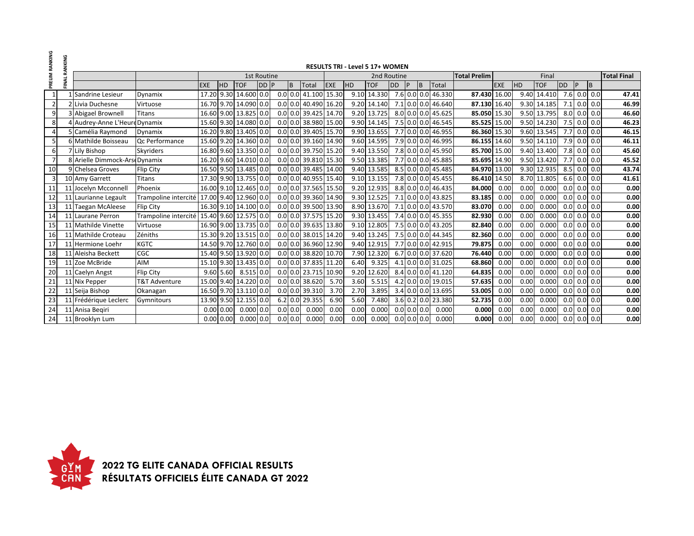| PRELIM RANKING | FINAL RANKING |                                |                      |            |             |                       |             |           |                                   |            |           | <b>RESULTS TRI - Level 5 17+ WOMEN</b> |           |               |     |                    |                     |            |           |             |               |           |               |                    |
|----------------|---------------|--------------------------------|----------------------|------------|-------------|-----------------------|-------------|-----------|-----------------------------------|------------|-----------|----------------------------------------|-----------|---------------|-----|--------------------|---------------------|------------|-----------|-------------|---------------|-----------|---------------|--------------------|
|                |               |                                |                      |            |             |                       | 1st Routine |           |                                   |            |           | 2nd Routine                            |           |               |     |                    | <b>Total Prelim</b> |            |           | Final       |               |           |               | <b>Total Final</b> |
|                |               |                                |                      | <b>EXE</b> | <b>HD</b>   | <b>TOF</b>            | DD P        | l B       | Total                             | <b>EXE</b> | <b>HD</b> | <b>TOF</b>                             | <b>DD</b> | P             | IB. | Total              |                     | <b>EXE</b> | <b>HD</b> | <b>TOF</b>  | <b>DD</b>     | <b>P</b>  | B             |                    |
| 1              |               | Sandrine Lesieur               | Dynamix              |            |             | 17.20 9.30 14.600 0.0 |             |           | $0.0$ 0.0 41.100 15.30            |            |           | 9.10 14.330                            |           |               |     | 7.6 0.0 0.0 46.330 | 87.430 16.00        |            | 9.40      | 14.410      | $7.6$ 0.0 0.0 |           |               | 47.41              |
| $\overline{2}$ |               | Livia Duchesne                 | Virtuose             |            |             | 16.70 9.70 14.090 0.0 |             |           | $0.0$ 0.0 40.490 16.20            |            |           | 9.20 14.140                            |           |               |     | 7.1 0.0 0.0 46.640 | 87.130 16.40        |            |           | 9.30 14.185 | 7.1           |           | $0.0\ 0.0$    | 46.99              |
| 9              |               | 3 Abigael Brownell             | <b>Titans</b>        |            |             | 16.60 9.00 13.825 0.0 |             |           | 0.0 0.0 39.425 14.70              |            |           | 9.20 13.725                            |           |               |     | 8.0 0.0 0.0 45.625 | 85.050 15.30        |            |           | 9.50 13.795 | $8.0$ 0.0 0.0 |           |               | 46.60              |
| 8              |               | 4 Audrey-Anne L'Heure Dynamix  |                      |            |             | 15.60 9.30 14.080 0.0 |             |           | $0.0$ 0.0 38.980 15.00            |            |           | 9.90 14.145                            |           |               |     | 7.5 0.0 0.0 46.545 | 85.525 15.00        |            |           | 9.50 14.230 | $7.5$ 0.0 0.0 |           |               | 46.23              |
| $\overline{a}$ |               | 5 Camélia Raymond              | Dynamix              |            |             | 16.20 9.80 13.405 0.0 |             |           | $0.0$ 0.0 39.405 15.70            |            |           | 9.90 13.655                            |           |               |     | 7.7 0.0 0.0 46.955 | 86.360 15.30        |            |           | 9.60 13.545 | $7.7$ 0.0 0.0 |           |               | 46.15              |
| 5              |               | 6 Mathilde Boisseau            | Qc Performance       |            |             | 15.60 9.20 14.360 0.0 |             |           | $0.0$ 0.0 39.160 14.90            |            |           | 9.60 14.595                            |           |               |     | 7.9 0.0 0.0 46.995 | 86.155 14.60        |            |           | 9.50 14.110 | $7.9$ 0.0 0.0 |           |               | 46.11              |
| 6              |               | Lily Bishop                    | Skyriders            |            |             | 16.80 9.60 13.350 0.0 |             |           | $0.0$ 0.0 39.750 15.20            |            |           | 9.40 13.550                            |           |               |     | 7.8 0.0 0.0 45.950 | 85.700 15.00        |            |           | 9.40 13.400 | $7.8$ 0.0 0.0 |           |               | 45.60              |
| $\overline{7}$ |               | 8 Arielle Dimmock-Arse Dynamix |                      |            |             | 16.20 9.60 14.010 0.0 |             |           | $0.0$ 0.0 39.810 15.30            |            |           | 9.50 13.385                            |           |               |     | 7.7 0.0 0.0 45.885 | 85.695 14.90        |            |           | 9.50 13.420 | $7.7$ 0.0 0.0 |           |               | 45.52              |
| 10             |               | 9 Chelsea Groves               | Flip City            |            |             | 16.50 9.50 13.485 0.0 |             |           | $0.0$ 0.0 39.485 14.00            |            |           | 9.40 13.585                            |           |               |     | 8.5 0.0 0.0 45.485 | 84.970 13.00        |            |           | 9.30 12.935 | $8.5$ 0.0 0.0 |           |               | 43.74              |
| 3              |               | 10 Amy Garrett                 | <b>Titans</b>        |            |             | 17.30 9.90 13.755 0.0 |             |           | $0.0$ 0.0 40.955 15.40            |            |           | 9.10 13.155                            |           |               |     | 7.8 0.0 0.0 45.455 | 86.410 14.50        |            |           | 8.70 11.805 | $6.6$ 0.0 0.0 |           |               | 41.61              |
| 11             |               | 11 Jocelyn Mcconnell           | Phoenix              |            |             | 16.00 9.10 12.465 0.0 |             |           | $\overline{0.0}$ 0.0 37.565 15.50 |            |           | 9.20 12.935                            |           |               |     | 8.8 0.0 0.0 46.435 | 84.000              | 0.00       | 0.00      | 0.000       | 0.0           |           | $0.0\ 0.0$    | 0.00               |
| 12             |               | 11 Laurianne Legault           | Trampoline intercité |            |             | 17.00 9.40 12.960 0.0 |             |           | $0.0$ 0.0 39.360 14.90            |            |           | 9.30 12.525                            |           |               |     | 7.1 0.0 0.0 43.825 | 83.185              | 0.00       | 0.00      | 0.000       | 0.0           |           | $0.0\,$ 0.0   | 0.00               |
| 13             |               | 11 Taegan McAleese             | Flip City            |            |             | 16.30 9.10 14.100 0.0 |             |           | $0.0$ 0.0 39.500 13.90            |            |           | 8.90 13.670                            |           |               |     | 7.1 0.0 0.0 43.570 | 83.070              | 0.00       | 0.00      | 0.000       | 0.0           |           | $0.0\ 0.0$    | 0.00               |
| 14             |               | 11 Laurane Perron              | Trampoline intercité |            |             | 15.40 9.60 12.575 0.0 |             |           | 0.0 0.0 37.575 15.20              |            |           | 9.30 13.455                            |           |               |     | 7.4 0.0 0.0 45.355 | 82.930              | 0.00       | 0.00      | 0.000       | 0.0           |           | $0.0\, 0.0$   | 0.00               |
| 15             |               | 11 Mathilde Vinette            | Virtuose             |            |             | 16.90 9.00 13.735 0.0 |             |           | $0.0$ 0.0 39.635 13.80            |            |           | 9.10 12.805                            |           |               |     | 7.5 0.0 0.0 43.205 | 82.840              | 0.00       | 0.00      | 0.000       | 0.0           |           | 0.0 0.0       | 0.00               |
| 16             |               | 11 Mathilde Croteau            | Zéniths              |            |             | 15.30 9.20 13.515 0.0 |             |           | 0.0 0.0 38.015 14.20              |            |           | 9.40 13.245                            |           |               |     | 7.5 0.0 0.0 44.345 | 82.360              | 0.00       | 0.00      | 0.000       | 0.0           | $0.0$ 0.0 |               | 0.00               |
| 17             |               | 11 Hermione Loehr              | <b>KGTC</b>          |            |             | 14.50 9.70 12.760 0.0 |             |           | $0.0$ 0.0 36.960 12.90            |            |           | 9.40 12.915                            |           |               |     | 7.7 0.0 0.0 42.915 | 79.875              | 0.00       | 0.00      | 0.000       | 0.0           |           | 0.0 0.0       | 0.00               |
| 18             |               | 11 Aleisha Beckett             | <b>CGC</b>           |            |             | 15.40 9.50 13.920 0.0 |             |           | 0.0 0.0 38.820 10.70              |            |           | 7.90 12.320                            |           |               |     | 6.7 0.0 0.0 37.620 | 76.440              | 0.00       | 0.00      | 0.000       |               |           | $0.0$ 0.0 0.0 | 0.00               |
| 19             |               | 11 Zoe McBride                 | AIM                  |            |             | 15.10 9.30 13.435 0.0 |             |           | 0.0 0.0 37.835 11.20              |            | 6.40      | 9.325                                  |           |               |     | 4.1 0.0 0.0 31.025 | 68.860              | 0.00       | 0.00      | 0.000       | 0.0           |           | $0.0$ 0.0     | 0.00               |
| 20             |               | 11 Caelyn Angst                | Flip City            |            | $9.60$ 5.60 | $8.515$ 0.0           |             |           | $0.0$ 0.0 23.715 10.90            |            |           | 9.20 12.620                            |           |               |     | 8.4 0.0 0.0 41.120 | 64.835              | 0.00       | 0.00      | 0.000       |               |           | $0.0$ 0.0 0.0 | 0.00               |
| 21             |               | 11 Nix Pepper                  | T&T Adventure        |            |             | 15.00 9.40 14.220 0.0 |             |           | $0.0$ 0.0 38.620                  | 5.70       | 3.60      | 5.515                                  |           |               |     | 4.2 0.0 0.0 19.015 | 57.635              | 0.00       | 0.00      | 0.000       |               |           | $0.0$ 0.0 0.0 | 0.00               |
| 22             |               | 11 Seija Bishop                | Okanagan             |            |             | 16.50 9.70 13.110 0.0 |             |           | $0.0$ 0.0 39.310                  | 3.70       | 2.70      | 3.895                                  |           |               |     | 3.4 0.0 0.0 13.695 | 53.005              | 0.00       | 0.00      | 0.000       |               |           | $0.0$ 0.0 0.0 | 0.00               |
| 23             |               | 11 Frédérique Leclerc          | Gymnitours           |            |             | 13.90 9.50 12.155 0.0 |             |           | 6.2 0.0 29.355                    | 6.90       | 5.60      | 7.480                                  |           |               |     | 3.6 0.2 0.0 23.380 | 52.735              | 0.00       | 0.00      | 0.000       | 0.0           |           | $0.0$ 0.0     | 0.00               |
| 24             |               | 11 Anisa Begiri                |                      |            | 0.00 0.00   | $0.000$ $0.0$         |             | $0.0$ 0.0 | 0.000                             | 0.00       | 0.00      | 0.000                                  |           | $0.0$ 0.0 0.0 |     | 0.000              | 0.000               | 0.00       | 0.00      | 0.000       | $0.0$ 0.0 0.0 |           |               | 0.00               |
| 24             |               | 11 Brooklyn Lum                |                      |            | 0.00 0.00   | $0.000$ 0.0           |             | $0.0$ 0.0 | 0.000                             | 0.00       | 0.00      | 0.000                                  |           | $0.0$ 0.0 0.0 |     | 0.000              | 0.000               | 0.00       | 0.00      | 0.000       | $0.0$ 0.0 0.0 |           |               | 0.00               |

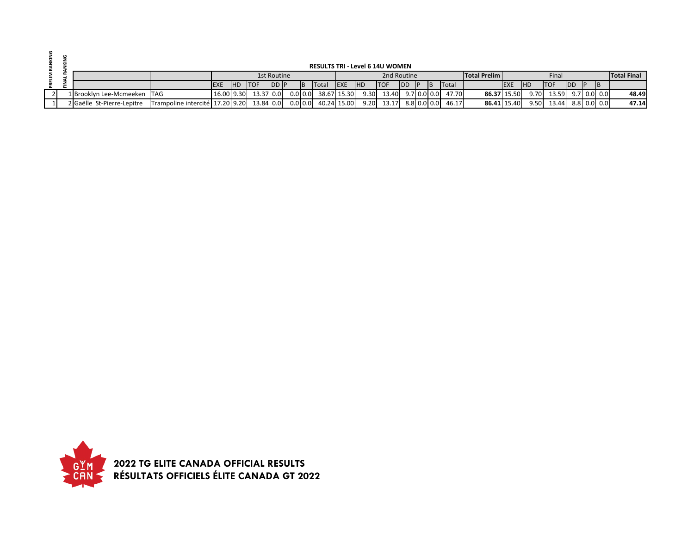|  |                             |                                               |                 |                        |               |           |                       |            | <b>RESULTS TRI - Level 6 14U WOMEN</b>              |            |  |                   |                     |             |            |                   |            |             |                    |
|--|-----------------------------|-----------------------------------------------|-----------------|------------------------|---------------|-----------|-----------------------|------------|-----------------------------------------------------|------------|--|-------------------|---------------------|-------------|------------|-------------------|------------|-------------|--------------------|
|  |                             |                                               |                 |                        | 1st Routine   |           |                       |            | 2nd Routine                                         |            |  |                   | <b>Total Prelim</b> |             |            | Final             |            |             | <b>Total Final</b> |
|  |                             |                                               | <b>IEXE IHD</b> | <b>ITOF</b>            | <b>IDD IP</b> | <b>IB</b> | Total EXE             | <b>IHD</b> | <b>ITOF</b>                                         | <b>IDD</b> |  | <b>Total</b>      |                     | <b>IEXE</b> | <b>IHD</b> | <b>ITOF</b>       | <b>IDD</b> | B           |                    |
|  | 1 Brooklyn Lee-Mcmeeken TAG |                                               |                 | $16.00$ 9.30 13.37 0.0 |               |           |                       |            | $0.0 0.0 $ 38.67 15.30 9.30 13.40 9.7 0.0 0.0 47.70 |            |  |                   |                     | 86.37 15.50 | 9.70       | 13.59 9.7 0.0 0.0 |            |             | 48.49              |
|  | 2 Gaëlle St-Pierre-Lepitre  | Trampoline intercité   17.20 9.20   13.84 0.0 |                 |                        |               |           | $0.0$ 0.0 40.24 15.00 | 9.20       | 13.17                                               |            |  | 8.8 0.0 0.0 46.17 |                     | 86.41 15.40 | 9.50       | 13.44             |            | 8.8 0.0 0.0 | 47.14              |

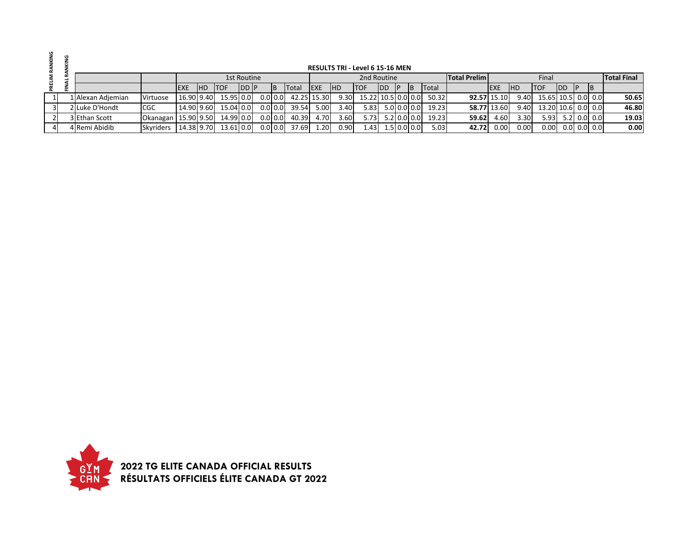|  |                   |                       |             |            |             |               |                             |               |              |             |            | <b>RESULTS TRI - Level 6 15-16 MEN</b> |                      |    |              |                     |             |            |                    |            |   |               |                    |
|--|-------------------|-----------------------|-------------|------------|-------------|---------------|-----------------------------|---------------|--------------|-------------|------------|----------------------------------------|----------------------|----|--------------|---------------------|-------------|------------|--------------------|------------|---|---------------|--------------------|
|  |                   |                       |             |            |             | 1st Routine   |                             |               |              |             |            | 2nd Routine                            |                      |    |              | <b>Total Prelim</b> |             |            | Final              |            |   |               | <b>Total Final</b> |
|  |                   |                       | <b>IEXE</b> | <b>IHD</b> | <b>ITOF</b> | <b>IDD IP</b> |                             | 1B            | <b>Total</b> | <b>IEXE</b> | <b>IHD</b> | <b>ITOF</b>                            | <b>I</b> DD          | ΙB | <b>Total</b> |                     | <b>EXE</b>  | <b>IHD</b> | <b>ITOF</b>        | <b>IDD</b> | P | <b>IB</b>     |                    |
|  | 1 Alexan Adjemian | Virtuose              | 16.90 9.40  |            | 15.95 0.0   |               | $0.0$ $\vert$ $0.0$ $\vert$ |               | 42.25 15.30  |             | 9.30       | 15.22 10.5 0.0 0.0                     |                      |    | 50.32        |                     | 92.57 15.10 | 9.40       | 15.65 10.5 0.0 0.0 |            |   |               | 50.65              |
|  | 2 Luke D'Hondt    | <b>CGC</b>            | 14.90 9.60  |            | 15.04 0.0   |               |                             | $0.0$   $0.0$ | 39.54        | 5.00        | 3.40       | 5.83                                   | 5.0 0.0 0.0          |    | 19.23        |                     | 58.77 13.60 | 9.40       | 13.20 10.6 0.0 0.0 |            |   |               | 46.80              |
|  | 3 Ethan Scott     | Okanagan   15.90 9.50 |             |            | 14.99 0.0   |               |                             | $0.0$ 0.0     | 40.39        | 4.70        | 3.60       |                                        | $5.73$ $5.2$ 0.0 0.0 |    | 19.23        | 59.62               | 4.60        | 3.30       | 5.93               |            |   | $5.2$ 0.0 0.0 | 19.03              |
|  | 4 Remi Abidib     | <b>Skyriders</b>      | 14.38 9.70  |            | 13.61 0.0   |               |                             | $0.0$ 0.0     | 37.69        | 1.20        | 0.90       | 1.43 I                                 | $1.5$ 0.0 0.0        |    | 5.03         | 42.72               | 0.00        | 0.00       | 0.00 <sub>l</sub>  |            |   | $0.0$ 0.0 0.0 | 0.00               |

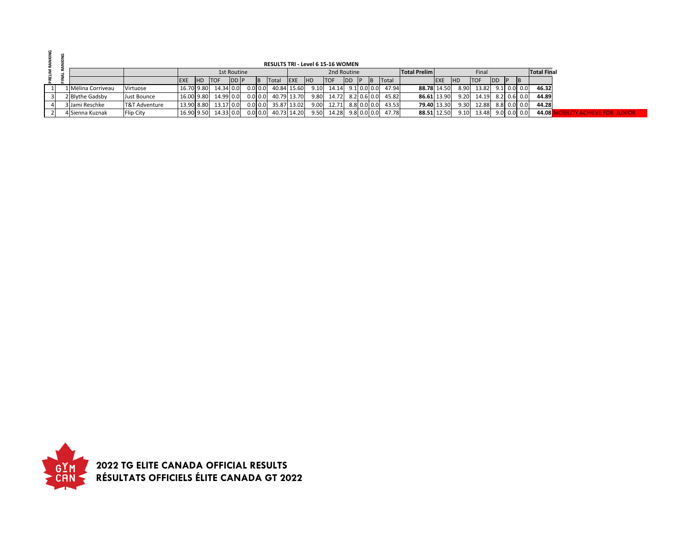|  |                    |                  |            |           |             |           | <b>RESULTS TRI - Level 6 15-16 WOMEN</b> |             |            |                            |              |  |          |                     |            |            |            |               |                |                    |                    |
|--|--------------------|------------------|------------|-----------|-------------|-----------|------------------------------------------|-------------|------------|----------------------------|--------------|--|----------|---------------------|------------|------------|------------|---------------|----------------|--------------------|--------------------|
|  |                    |                  |            |           | 1st Routine |           |                                          |             |            |                            | 2nd Routine  |  |          | <b>Total Prelim</b> |            |            | Final      |               |                | <b>Total Final</b> |                    |
|  |                    |                  |            | HD TOF    | DD P        |           | <b>Total</b>                             | <b>EXE</b>  | <b>IHD</b> | <b>TOF</b>                 | <b>IDD P</b> |  | B  Total |                     | <b>EXE</b> | <b>IHD</b> | <b>TOF</b> | DD            | $\blacksquare$ |                    |                    |
|  | 1 Mélina Corriveau | Virtuose         | 16.70 9.80 | 14.34 0.0 |             | 0.0 0.0   |                                          | 40.84 15.60 |            | $9.10$ 14.14 $9.1$ 0.0 0.0 |              |  | 47.94    | 88.78 14.50         |            | 8.90       | 13.82      | $9.1$ 0.0 0.0 |                | 46.32              |                    |
|  | 2 Blythe Gadsby    | Just Bounce      | 16.00 9.80 | 14.99 0.0 |             | $0.0$ 0.0 | 40.79 13.70                              |             | 9.80       | 14.72 8.2 0.6 0.0          |              |  | 45.82    | 86.61 13.90         |            | 9.20       | 14.19      | 8.2 0.6 0.0   |                | 44.89              |                    |
|  | 3 Jami Reschke     | T&T Adventure    | 13.90 8.80 | 13.17 0.0 |             |           | $0.0$ 0.0 35.87 13.02                    |             |            | $9.00$ 12.71 8.8 0.0 0.0   |              |  | 43.53    | 79.40 13.30         |            | 9.30       | 12.88      | 8.8 0.0 0.0   |                | 44.28              |                    |
|  | 4 Sienna Kuznak    | <b>Flip City</b> | 16.90 9.50 | 14.33 0.0 |             | $0.0$ 0.0 |                                          | 40.73 14.20 | 9.50       | 14.28 9.8 0.0 0.0          |              |  | 47.78    | 88.51 12.50         |            | 9.10       | 13.48      | $9.0$ 0.0 0.0 |                | 44.08 <sup>1</sup> | ACHIEVE FOR THMIOR |

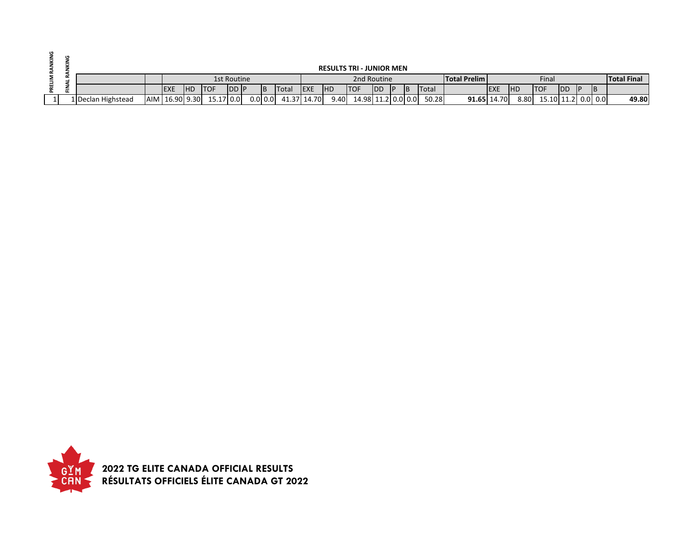|  |                    |            |            |                          |               |           |                       |             |           | <b>RESULTS TRI - JUNIOR MEN</b> |            |           |           |              |                     |             |            |                         |            |    |                    |
|--|--------------------|------------|------------|--------------------------|---------------|-----------|-----------------------|-------------|-----------|---------------------------------|------------|-----------|-----------|--------------|---------------------|-------------|------------|-------------------------|------------|----|--------------------|
|  |                    |            |            |                          | 1st Routine   |           |                       |             |           | 2nd Routine                     |            |           |           |              | <b>Total Prelim</b> |             |            | Final                   |            |    | <b>Total Final</b> |
|  |                    | <b>EXE</b> | <b>IHD</b> | <b>ITOF</b>              | <b>IDD IP</b> | <b>IB</b> | <b>Total</b>          | <b>IEXE</b> | <b>HD</b> | <b>ITOF</b>                     | <b>IDD</b> | <b>IP</b> | <b>IB</b> | <b>Total</b> |                     | <b>EXE</b>  | <b>IHD</b> | <b>ITOF</b>             | <b>IDD</b> | IΒ |                    |
|  | 1 Declan Highstead |            |            | AIM 16.90 9.30 15.17 0.0 |               |           | $0.0$ 0.0 41.37 14.70 |             | 9.40      | 14.98 11.2 0.0 0.0              |            |           |           | 50.28        |                     | 91.65 14.70 |            | 8.80 15.10 11.2 0.0 0.0 |            |    | 49.80              |

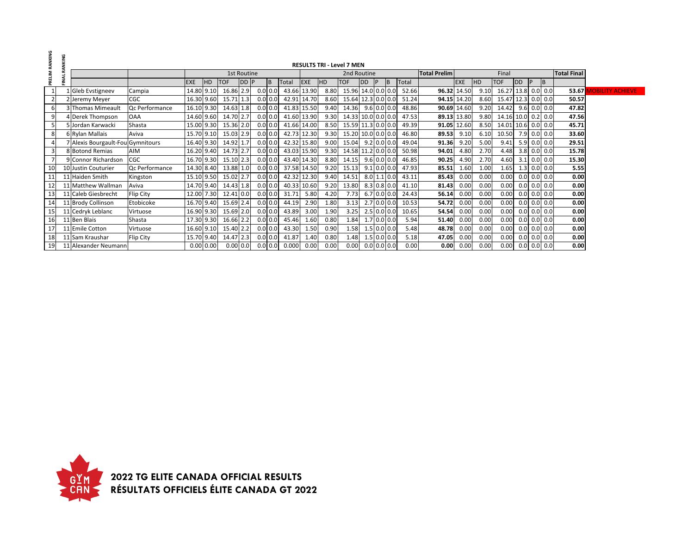| PRELIM RANKING | KING |                                   |                |            |               |            |                    |           |     |             |      |           | <b>RESULTS TRI - Level 7 MEN</b> |           |   |               |              |                     |             |           |                    |           |   |               |                    |                         |
|----------------|------|-----------------------------------|----------------|------------|---------------|------------|--------------------|-----------|-----|-------------|------|-----------|----------------------------------|-----------|---|---------------|--------------|---------------------|-------------|-----------|--------------------|-----------|---|---------------|--------------------|-------------------------|
|                |      |                                   |                |            |               |            | <b>1st Routine</b> |           |     |             |      |           | 2nd Routine                      |           |   |               |              | <b>Total Prelim</b> |             |           | Final              |           |   |               | <b>Total Final</b> |                         |
|                | z    |                                   |                | <b>EXE</b> | HD.           | <b>TOF</b> | DD P               |           | IB. | Total       | EXE  | <b>HD</b> | <b>TOF</b>                       | <b>DD</b> | P | <b>IB</b>     | <b>Total</b> |                     | <b>EXE</b>  | <b>HD</b> | <b>TOF</b>         | <b>DD</b> | P | B             |                    |                         |
|                |      | 1 Gleb Evstigneev                 | Campia         | 14.80 9.10 |               | 16.86 2.9  |                    | 0.0 0.0   |     | 43.66 13.90 |      | 8.80      | 15.96 14.0 0.0 0.0               |           |   |               | 52.66        |                     | 96.32 14.50 | 9.10      | 16.27 13.8 0.0 0.0 |           |   |               | 53.67              | <b>JOBILITY ACHIEVE</b> |
|                |      | 2 Jeremy Meyer                    | <b>CGC</b>     | 16.30 9.60 |               | 15.71 1.3  |                    | 0.0 0.0   |     | 42.91 14.70 |      | 8.60      | 15.64 12.3 0.0 0.0               |           |   |               | 51.24        |                     | 94.15 14.20 | 8.60      | 15.47 12.3 0.0 0.0 |           |   |               | 50.57              |                         |
|                |      | 3 Thomas Mimeault                 | Qc Performance | 16.10 9.30 |               | 14.63 1.8  |                    | 0.0 0.0   |     | 41.83 15.50 |      | 9.40      | 14.36                            |           |   | $9.6$ 0.0 0.0 | 48.86        |                     | 90.69 14.60 | 9.20      | 14.42              |           |   | $9.6$ 0.0 0.0 | 47.82              |                         |
|                |      | 4 Derek Thompson                  | <b>OAA</b>     | 14.60 9.60 |               | 14.70 2.7  |                    | 0.0 0.0   |     | 41.60 13.90 |      | 9.30      | 14.33 10.0 0.0 0.0               |           |   |               | 47.53        |                     | 89.13 13.80 | 9.80      | 14.16 10.0 0.2 0.0 |           |   |               | 47.56              |                         |
|                |      | 5 Jordan Karwacki                 | Shasta         | 15.00 9.30 |               | 15.36 2.0  |                    | $0.0$ 0.0 |     | 41.66 14.00 |      | 8.50      | 15.59 11.3 0.0 0.0               |           |   |               | 49.39        |                     | 91.05 12.60 | 8.50      | 14.01 10.6 0.0 0.0 |           |   |               | 45.71              |                         |
|                |      | 6 Rylan Mallais                   | Aviva          | 15.70 9.10 |               | 15.03 2.9  |                    | $0.0$ 0.0 |     | 42.73 12.30 |      | 9.30      | 15.20 10.0 0.0 0.0               |           |   |               | 46.80        | 89.53               | 9.10        | 6.10      | 10.50              |           |   | 7.9 0.0 0.0   | 33.60              |                         |
|                |      | 7 Alexis Bourgault-Fou Gymnitours |                | 16.40 9.30 |               | 14.92 1.7  |                    | $0.0$ 0.0 |     | 42.32 15.80 |      | 9.00      | 15.04                            |           |   | $9.2$ 0.0 0.0 | 49.04        | 91.36               | 9.20        | 5.00      | 9.41               |           |   | $5.9$ 0.0 0.0 | 29.51              |                         |
|                |      | 8 Botond Remias                   | AIM            | 16.20 9.40 |               | 14.73 2.7  |                    | 0.0 0.0   |     | 43.03 15.90 |      | 9.30      | 14.58 11.2 0.0 0.0               |           |   |               | 50.98        | 94.01               | 4.80        | 2.70      | 4.48               |           |   | $3.8$ 0.0 0.0 | 15.78              |                         |
|                |      | 9 Connor Richardson               | CGC            | 16.70 9.30 |               | 15.10 2.3  |                    | 0.0 0.0   |     | 43.40 14.30 |      | 8.80      | 14.15                            |           |   | $9.6$ 0.0 0.0 | 46.85        | 90.25               | 4.90        | 2.70      | 4.60               |           |   | $3.1$ 0.0 0.0 | 15.30              |                         |
| 10             |      | 10 Justin Couturier               | Oc Performance | 14.30 8.40 |               | 13.88 1.0  |                    | 0.0 0.0   |     | 37.58 14.50 |      | 9.20      | 15.13                            |           |   | $9.1$ 0.0 0.0 | 47.93        | 85.51               | 1.60        | 1.00      | 1.65               |           |   | $1.3$ 0.0 0.0 | 5.55               |                         |
|                |      | 11 Haiden Smith                   | Kingston       | 15.10 9.50 |               | 15.02 2.7  |                    | $0.0$ 0.0 |     | 42.32 12.30 |      | 9.40      | 14.51                            |           |   | $8.0$ 1.1 0.0 | 43.11        | 85.43               | 0.00        | 0.00      | 0.00               |           |   | $0.0$ 0.0 0.0 | 0.00               |                         |
| 12             |      | 11 Matthew Wallman                | Aviva          | 14.70 9.40 |               | 14.43 1.8  |                    | $0.0$ 0.0 |     | 40.33 10.60 |      | 9.20      | 13.80                            |           |   | $8.3$ 0.8 0.0 | 41.10        | 81.43               | 0.00        | 0.00      | 0.00               |           |   | $0.0$ 0.0 0.0 | 0.00               |                         |
| 13             |      | 11 Caleb Giesbrecht               | Flip City      | 12.00 7.30 |               | 12.41 0.0  |                    | 0.0 0.0   |     | 31.71       | 5.80 | 4.20      | 7.73                             |           |   | $6.7$ 0.0 0.0 | 24.43        | 56.14               | 0.00        | 0.00      | 0.00               |           |   | $0.0$ 0.0 0.0 | 0.00               |                         |
| 14             |      | 11 Brody Collinson                | Etobicoke      | 16.70 9.40 |               | 15.69 2.4  |                    | $0.0$ 0.0 |     | 44.19       | 2.90 | 1.80      | 3.13                             |           |   | $2.7$ 0.0 0.0 | 10.53        | 54.72               | 0.00        | 0.00      | 0.00               |           |   | $0.0$ 0.0 0.0 | 0.00               |                         |
| 15             |      | 11 Cedryk Leblanc                 | Virtuose       | 16.90 9.30 |               | 15.69 2.0  |                    | $0.0$ 0.0 |     | 43.89       | 3.00 | 1.90      | 3.25                             |           |   | $2.5$ 0.0 0.0 | 10.65        |                     | 54.54 0.00  | 0.00      | 0.00               |           |   | $0.0$ 0.0 0.0 | 0.00               |                         |
| 16             |      | 11 Ben Blais                      | Shasta         | 17.30 9.30 |               | 16.66 2.2  |                    | $0.0$ 0.0 |     | 45.46       | 1.60 | 0.80      | 1.84                             |           |   | $1.7$ 0.0 0.0 | 5.94         | 51.40               | 0.00        | 0.00      | 0.00               |           |   | $0.0$ 0.0 0.0 | 0.00               |                         |
| 17             |      | 11 Emile Cotton                   | Virtuose       | 16.60 9.10 |               | 15.40 2.2  |                    | 0.0 0.0   |     | 43.30       | 1.50 | 0.90      | 1.58                             |           |   | $1.5$ 0.0 0.0 | 5.48         | 48.78               | 0.00        | 0.00      | 0.00               |           |   | $0.0$ 0.0 0.0 | 0.00               |                         |
| 18             |      | 11 Sam Kraushar                   | Flip City      | 15.70 9.40 |               | 14.47 2.3  |                    | $0.0$ 0.0 |     | 41.87       | 1.40 | 0.80      | 1.48                             |           |   | $1.5$ 0.0 0.0 | 5.18         | 47.05               | 0.00        | 0.00      | 0.00               |           |   | $0.0$ 0.0 0.0 | 0.00               |                         |
| 19             |      | 11 Alexander Neumann              |                |            | $0.00$ $0.00$ | $0.00$ 0.0 |                    | $0.0$ 0.0 |     | 0.000       | 0.00 | 0.00      | 0.00                             |           |   | $0.0$ 0.0 0.0 | 0.00         | 0.00                | 0.00        | 0.00      | 0.00               |           |   | $0.0$ 0.0 0.0 | 0.00               |                         |

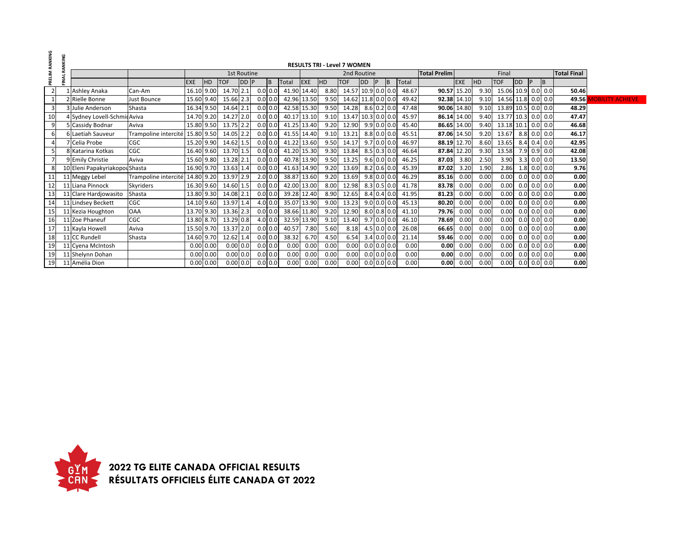| PRELIM RANKING  |         |                                |                                 |            |           |            |             |            |             |            |      |                                    |    |           |               |       |                     |             |      |                    |           |   |               |                    |
|-----------------|---------|--------------------------------|---------------------------------|------------|-----------|------------|-------------|------------|-------------|------------|------|------------------------------------|----|-----------|---------------|-------|---------------------|-------------|------|--------------------|-----------|---|---------------|--------------------|
|                 | RANKING |                                |                                 |            |           |            |             |            |             |            |      | <b>RESULTS TRI - Level 7 WOMEN</b> |    |           |               |       |                     |             |      |                    |           |   |               |                    |
|                 |         |                                |                                 |            |           |            | 1st Routine |            |             |            |      | 2nd Routine                        |    |           |               |       | <b>Total Prelim</b> |             |      | Final              |           |   |               | <b>Total Final</b> |
|                 | FINAL   |                                |                                 | <b>EXE</b> | <b>HD</b> | <b>TOF</b> | DD P        |            | Total       | <b>EXE</b> | HD   | <b>TOF</b>                         | DD | <b>IP</b> | <b>B</b>      | Total |                     | <b>EXE</b>  | HD   | <b>TOF</b>         | <b>DD</b> | P | B             |                    |
|                 |         | Ashley Anaka                   | Can-Am                          | 16.10 9.00 |           | 14.70 2.1  |             | 0.0 0.0    | 41.90 14.40 |            | 8.80 | 14.57 10.9 0.0 0.0                 |    |           |               | 48.67 |                     | 90.57 15.20 | 9.30 | 15.06 10.9 0.0 0.0 |           |   |               | 50.46              |
|                 |         | 2 Rielle Bonne                 | Just Bounce                     | 15.60 9.40 |           | 15.66 2.3  |             | $0.0$ 0.0  | 42.96 13.50 |            | 9.50 | 14.62 11.8 0.0 0.0                 |    |           |               | 49.42 |                     | 92.38 14.10 | 9.10 | 14.56 11.8 0.0 0.0 |           |   |               | 49.56              |
|                 |         | 3 Julie Anderson               | Shasta                          | 16.34 9.50 |           | 14.64 2.1  |             | 0.0 0.0    | 42.58 15.30 |            | 9.50 | 14.28                              |    |           | $8.6$ 0.2 0.0 | 47.48 |                     | 90.06 14.80 | 9.10 | 13.89 10.5 0.0 0.0 |           |   |               | 48.29              |
| 10 <sup>1</sup> |         | 4 Sydney Lovell-SchmicAviva    |                                 | 14.70 9.20 |           | 14.27 2.0  |             | 0.0 0.0    | 40.17 13.10 |            | 9.10 | 13.47 10.3 0.0 0.0                 |    |           |               | 45.97 |                     | 86.14 14.00 | 9.40 | 13.77 10.3 0.0 0.0 |           |   |               | 47.47              |
| 9               |         | 5 Cassidy Bodnar               | Aviva                           | 15.80 9.50 |           | 13.75 2.2  |             | 0.0 0.0    | 41.25 13.40 |            | 9.20 | 12.90                              |    |           | $9.9$ 0.0 0.0 | 45.40 |                     | 86.65 14.00 | 9.40 | 13.18 10.1 0.0 0.0 |           |   |               | 46.68              |
|                 |         | 6 Laetiah Sauveur              | Trampoline intercité 15.80 9.50 |            |           | 14.05 2.2  |             | 0.0 0.0    | 41.55 14.40 |            | 9.10 | 13.21                              |    |           | $8.8$ 0.0 0.0 | 45.51 |                     | 87.06 14.50 | 9.20 | 13.67              |           |   | $8.8$ 0.0 0.0 | 46.17              |
|                 |         | 7 Celia Probe                  | CGC                             | 15.20 9.90 |           | 14.62 1.5  |             | 0.0 0.0    | 41.22 13.60 |            | 9.50 | 14.17                              |    |           | $9.7$ 0.0 0.0 | 46.97 |                     | 88.19 12.70 | 8.60 | 13.65              |           |   | $8.4$ 0.4 0.0 | 42.95              |
|                 |         | 8 Katarina Kotkas              | CGC                             | 16.40 9.60 |           | 13.70 1.5  |             | 0.0 0.0    | 41.20 15.30 |            | 9.30 | 13.84                              |    |           | $8.5$ 0.3 0.0 | 46.64 |                     | 87.84 12.20 | 9.30 | 13.58              |           |   | $7.9$ 0.9 0.0 | 42.08              |
|                 |         | 9 Emily Christie               | Aviva                           | 15.60 9.80 |           | 13.28 2.1  |             | 0.0 0.0    | 40.78 13.90 |            | 9.50 | 13.25                              |    |           | $9.6$ 0.0 0.0 | 46.25 | 87.03               | 3.80        | 2.50 | 3.90               |           |   | $3.3$ 0.0 0.0 | 13.50              |
|                 |         | 10 Eleni Papakyriakopou Shasta |                                 | 16.90 9.70 |           | 13.63 1.4  |             | 0.0 0.0    | 41.63 14.90 |            | 9.20 | 13.69                              |    |           | 8.2 0.6 0.0   | 45.39 | 87.02               | 3.20        | 1.90 | 2.86               |           |   | $1.8$ 0.0 0.0 | 9.76               |
| 11              |         | 11 Meggy Lebel                 | Trampoline intercité 14.80 9.20 |            |           | 13.97 2.9  |             | 2.0 0.0    | 38.87 13.60 |            | 9.20 | 13.69                              |    |           | $9.8$ 0.0 0.0 | 46.29 | 85.16               | 0.00        | 0.00 | 0.00               |           |   | $0.0$ 0.0 0.0 | 0.00               |
| 12              |         | 11 Liana Pinnock               | <b>Skvriders</b>                | 16.30 9.60 |           | 14.60 1.5  |             | 0.0 0.0    | 42.00 13.00 |            | 8.00 | 12.98                              |    |           | $8.3$ 0.5 0.0 | 41.78 | 83.78               | 0.00        | 0.00 | 0.00               |           |   | $0.0$ 0.0 0.0 | 0.00               |
| 13              |         | 11 Clare Hardjowasito          | Shasta                          | 13.80 9.30 |           | 14.08 2.1  |             | 0.0 0.0    | 39.28 12.40 |            | 8.90 | 12.65                              |    |           | 8.4 0.4 0.0   | 41.95 | 81.23               | 0.00        | 0.00 | 0.00               |           |   | $0.0$ 0.0 0.0 | 0.00               |
| 14              |         | 11 Lindsey Beckett             | CGC                             | 14.10 9.60 |           | 13.97 1.4  |             | $4.0\,0.0$ | 35.07 13.90 |            | 9.00 | 13.23                              |    |           | $9.0$ 0.0 0.0 | 45.13 | 80.20               | 0.00        | 0.00 | 0.00               |           |   | $0.0$ 0.0 0.0 | 0.00               |
| 15              |         | 11 Kezia Houghton              | <b>OAA</b>                      | 13.70 9.30 |           | 13.36 2.3  |             | 0.0 0.0    | 38.66 11.80 |            | 9.20 | 12.90                              |    |           | $8.0$ 0.8 0.0 | 41.10 | 79.76               | 0.00        | 0.00 | 0.00               |           |   | $0.0$ 0.0 0.0 | 0.00               |
| 16              |         | 11 Zoe Phaneuf                 | CGC                             | 13.80 8.70 |           | 13.29 0.8  |             | $4.0\,0.0$ | 32.59 13.90 |            | 9.10 | 13.40                              |    |           | $9.7$ 0.0 0.0 | 46.10 | 78.69               | 0.00        | 0.00 | 0.00               |           |   | $0.0$ 0.0 0.0 | 0.00               |
| 17              |         | 11 Kayla Howell                | Aviva                           | 15.50 9.70 |           | 13.37 2.0  |             | 0.0 0.0    | 40.57       | 7.80       | 5.60 | 8.18                               |    |           | $4.5$ 0.0 0.0 | 26.08 | 66.65               | 0.00        | 0.00 | 0.00               |           |   | $0.0$ 0.0 0.0 | 0.00               |
| 18              |         | 11 CC Rundell                  | Shasta                          | 14.60 9.70 |           | 12.62 1.4  |             | 0.0 0.0    | 38.32       | 6.70       | 4.50 | 6.54                               |    |           | $3.4$ 0.0 0.0 | 21.14 | 59.46               | 0.00        | 0.00 | 0.00               |           |   | $0.0$ 0.0 0.0 | 0.00               |
| 19              |         | 11 Cyena McIntosh              |                                 |            | 0.00 0.00 | $0.00$ 0.0 |             | 0.0   0.0  | 0.00        | 0.00       | 0.00 | 0.00                               |    |           | $0.0$ 0.0 0.0 | 0.00  | 0.00                | 0.00        | 0.00 | 0.00               |           |   | $0.0$ 0.0 0.0 | 0.00               |
| 19              |         | 11 Shelynn Dohan               |                                 |            | 0.00 0.00 | $0.00$ 0.0 |             | 0.0   0.0  | 0.00        | 0.00       | 0.00 | 0.00                               |    |           | $0.0$ 0.0 0.0 | 0.00  | 0.00                | 0.00        | 0.00 | 0.00               |           |   | $0.0$ 0.0 0.0 | 0.00               |
| 19              |         | 11 Amélia Dion                 |                                 |            | 0.00 0.00 | $0.00$ 0.0 |             | $0.0$ 0.0  | 0.00        | 0.00       | 0.00 | 0.00                               |    |           | $0.0$ 0.0 0.0 | 0.00  | 0.00                | 0.00        | 0.00 | 0.00               |           |   | $0.0$ 0.0 0.0 | 0.00               |

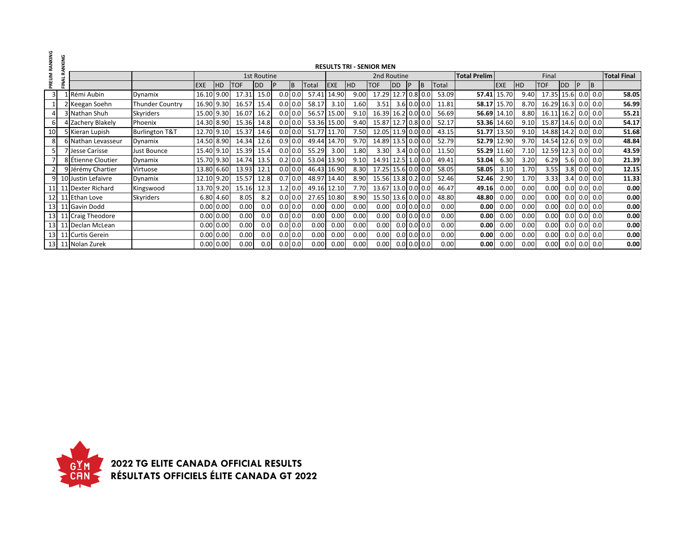| PRELIM RANKING | RANKING |                    |                           |            |             |            |             |     |              |             |            |      | <b>RESULTS TRI - SENIOR MEN</b> |                |    |               |       |                     |             |           |                    |                  |     |           |                    |
|----------------|---------|--------------------|---------------------------|------------|-------------|------------|-------------|-----|--------------|-------------|------------|------|---------------------------------|----------------|----|---------------|-------|---------------------|-------------|-----------|--------------------|------------------|-----|-----------|--------------------|
|                |         |                    |                           |            |             |            | 1st Routine |     |              |             |            |      | 2nd Routine                     |                |    |               |       | <b>Total Prelim</b> |             |           | Final              |                  |     |           | <b>Total Final</b> |
|                | FINAL   |                    |                           | <b>EXE</b> | HD          | <b>TOF</b> | <b>IDD</b>  |     | B            | Total       | <b>EXE</b> | HD   | <b>TOF</b>                      | <b>DD</b>      | IP | IB.           | Total |                     | <b>EXE</b>  | <b>HD</b> | <b>TOF</b>         | <b>DD</b>        |     | <b>B</b>  |                    |
| $\overline{3}$ |         | LRémi Aubin        | Dynamix                   | 16.10      | 9.00        | 17.31      | 15.0        |     | $0.0$ 0.0    | 57.41       | 14.90      | 9.00 | 17.29                           | 12.7 0.8 0.0   |    |               | 53.09 | 57.41               | 15.70       | 9.40      | 17.35 15.6         |                  |     | $0.0$ 0.0 | 58.05              |
|                |         | 2 Keegan Soehn     | <b>Thunder Country</b>    | 16.90      | 9.30        | 16.57      | 15.4        |     | $0.0$ 0.0    | 58.17       | 3.10       | 1.60 | 3.51                            |                |    | $3.6$ 0.0 0.0 | 11.81 |                     | 58.17 15.70 | 8.70      | 16.29 16.3 0.0 0.0 |                  |     |           | 56.99              |
|                |         | 3 Nathan Shuh      | <b>Skyriders</b>          | 15.00 9.30 |             | 16.07      | 16.2        |     | $0.0$ 0.0    | 56.57       | 15.00      | 9.10 | 16.39                           | 16.2 0.0 0.0   |    |               | 56.69 | 56.69               | 14.10       | 8.80      | 16.11              | 16.2 0.0 0.0     |     |           | 55.21              |
| 61             |         | 4 Zachery Blakely  | Phoenix                   | 14.30 8.90 |             | 15.36      | 14.8        |     | $0.0$ 0.0    | 53.36 15.00 |            | 9.40 | 15.87                           | $12.7$ 0.8 0.0 |    |               | 52.17 |                     | 53.36 14.60 | 9.10      | 15.87 14.6 0.0 0.0 |                  |     |           | 54.17              |
| 10             |         | 5 Kieran Lupish    | <b>Burlington T&amp;T</b> | 12.70      | 9.10        | 15.37      | 14.6        |     | $0.0$ 0.0    | 51.77       | 11.70      | 7.50 | 12.05 11.9 0.0 0.0              |                |    |               | 43.15 | 51.77               | 13.50       | 9.10      | 14.88 14.2 0.0 0.0 |                  |     |           | 51.68              |
| 8              |         | 6 Nathan Levasseur | Dynamix                   | 14.50 8.90 |             | 14.34      | 12.6        |     | $0.9 \, 0.0$ | 49.44       | 14.70      | 9.70 | 14.89 13.5 0.0 0.0              |                |    |               | 52.79 |                     | 52.79 12.90 | 9.70      | 14.54 12.6         |                  |     | $0.9$ 0.0 | 48.84              |
|                |         | 7 Jesse Carisse    | Just Bounce               | 15.40 9.10 |             | 15.39      | 15.4        |     | $0.0$ 0.0    | 55.29       | 3.00       | 1.80 | 3.30                            | $3.4$ 0.0 0.0  |    |               | 11.50 | 55.29               | 11.60       | 7.10      | 12.59 12.3 0.0 0.0 |                  |     |           | 43.59              |
|                |         | 8 Étienne Cloutier | Dynamix                   | 15.70 9.30 |             | 14.74      | 13.5        |     | $0.2 \, 0.0$ | 53.04 13.90 |            | 9.10 | 14.91 12.5 1.0 0.0              |                |    |               | 49.41 | 53.04               | 6.30        | 3.20      | 6.29               | 5.6              |     | $0.0$ 0.0 | 21.39              |
|                |         | 9 Jérémy Chartier  | Virtuose                  | 13.80 6.60 |             | 13.93      | 12.1        |     | $0.0$ 0.0    | 46.43       | 16.90      | 8.30 | 17.25                           | 15.6 0.0 0.0   |    |               | 58.05 | 58.05               | 3.10        | 1.70      | 3.55               | 3.8              |     | $0.0$ 0.0 | 12.15              |
| 9              |         | 10 Justin Lefaivre | Dynamix                   | 12.10 9.20 |             | 15.57      | 12.8        |     | $0.7$ 0.0    | 48.97       | 14.40      | 8.90 | 15.56 13.8 0.2 0.0              |                |    |               | 52.46 | 52.46               | 2.90        | 1.70      | 3.33               | 3.4              |     | $0.0$ 0.0 | 11.33              |
|                |         | 11 Dexter Richard  | Kingswood                 | 13.70      | 9.20        | 15.16      | 12.3        |     | $1.2$ 0.0    | 49.16       | 12.10      | 7.70 | 13.67                           | 13.0 0.0 0.0   |    |               | 46.47 | 49.16               | 0.00        | 0.00      | 0.00               | 0.0              |     | $0.0$ 0.0 | 0.00               |
| $12 \square$   |         | 11 Ethan Love      | Skyriders                 |            | 6.80 4.60   | 8.05       | 8.2         |     | $0.0$ 0.0    | 27.65       | 10.80      | 8.90 | 15.50 13.6 0.0 0.0              |                |    |               | 48.80 | 48.80               | 0.00        | 0.00      | 0.00               | 0.0 <sub>l</sub> |     | $0.0$ 0.0 | 0.00               |
| 13             |         | 11 Gavin Dodd      |                           |            | 0.00   0.00 | 0.00       | 0.0         |     | $0.0$ 0.0    | 0.00        | 0.00       | 0.00 | 0.00                            |                |    | $0.0$ 0.0 0.0 | 0.00  | 0.00                | 0.00        | 0.00      | 0.00               | 0.0              |     | $0.0$ 0.0 | 0.00               |
| 13             |         | 11 Craig Theodore  |                           |            | 0.00   0.00 | 0.00       | 0.0         |     | $0.0$ 0.0    | 0.00        | 0.00       | 0.00 | 0.00                            |                |    | $0.0$ 0.0 0.0 | 0.00  | 0.00                | 0.00        | 0.00      | 0.00               | 0.0 <sub>l</sub> |     | $0.0$ 0.0 | 0.00               |
| 13             |         | 11 Declan McLean   |                           |            | 0.00 0.00   | 0.00       | 0.0         |     | $0.0$ 0.0    | 0.00        | 0.00       | 0.00 | 0.00                            |                |    | $0.0$ 0.0 0.0 | 0.00  | 0.00                | 0.00        | 0.00      | 0.00               | 0.0              |     | $0.0$ 0.0 | 0.00               |
| 13             |         | 11 Curtis Gerein   |                           |            | 0.00   0.00 | 0.00       | 0.0         |     | $0.0$ 0.0    | 0.00        | 0.00       | 0.00 | 0.00                            |                |    | $0.0$ 0.0 0.0 | 0.00  | 0.00                | 0.00        | 0.00      | 0.00               | 0.0 <sub>l</sub> |     | $0.0$ 0.0 | 0.00               |
| 13             |         | 11 Nolan Zurek     |                           |            | $0.00$ 0.00 | 0.00       | 0.0         | 0.0 | 0.0          | 0.00        | 0.00       | 0.00 | 0.00                            | $0.0$ 0.0 0.0  |    |               | 0.00  | 0.00                | 0.00        | 0.00      | 0.00               | 0.0              | 0.0 | 0.0       | 0.00               |

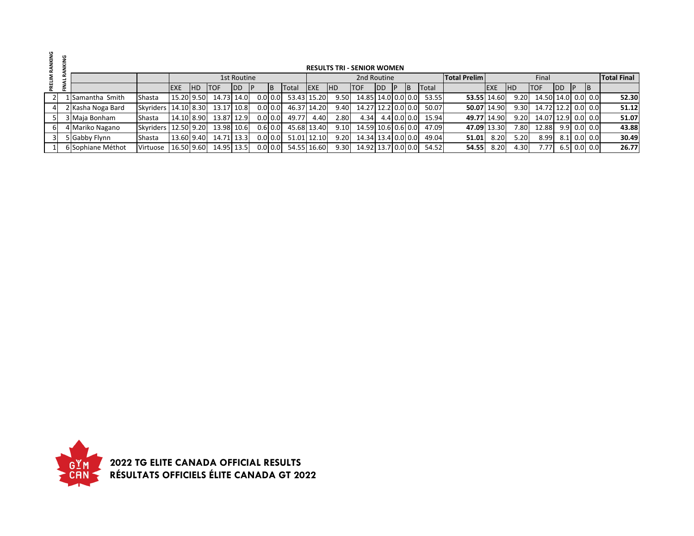|                |                   |                        |             |            |             |             |           |           |             |             |            | <b>RESULTS TRI - SENIOR WOMEN</b> |             |    |              |                     |             |            |                    |            |     |               |                    |
|----------------|-------------------|------------------------|-------------|------------|-------------|-------------|-----------|-----------|-------------|-------------|------------|-----------------------------------|-------------|----|--------------|---------------------|-------------|------------|--------------------|------------|-----|---------------|--------------------|
|                |                   |                        |             |            |             | 1st Routine |           |           |             |             |            | 2nd Routine                       |             |    |              | <b>Total Prelim</b> |             |            | Final              |            |     |               | <b>Total Final</b> |
|                |                   |                        | <b>IEXE</b> | <b>IHD</b> | <b>ITOF</b> | <b>IDD</b>  |           | <b>IB</b> | Total       | <b>IEXE</b> | <b>IHD</b> | ITOF.                             | <b>IDD</b>  | ΙB | <b>Total</b> |                     | <b>EXE</b>  | <b>IHD</b> | <b>TOF</b>         | <b>IDD</b> | IP. | <b>IB</b>     |                    |
|                | 1 Samantha Smith  | Shasta                 | 15.20 9.50  |            | 14.73 14.0  |             | $0.0$ 0.0 |           | 53.43 15.20 |             | 9.50       | 14.85 14.0 0.0 0.0                |             |    | 53.55        | 53.55 14.60         |             | 9.20       | 14.50 14.0 0.0 0.0 |            |     |               | 52.30              |
| 4 <sup>1</sup> | 2 Kasha Noga Bard | Skyriders   14.10 8.30 |             |            | 13.17 10.8  |             | $0.0$ 0.0 |           | 46.37 14.20 |             | 9.40       | 14.27 12.2 0.0 0.0                |             |    | 50.07        |                     | 50.07 14.90 | 9.30       | 14.72 12.2 0.0 0.0 |            |     |               | 51.12              |
| 51             | 3 Maja Bonham     | Shasta                 | 14.10 8.90  |            | 13.87 12.9  |             | $0.0$ 0.0 |           | 49.77       | 4.40        | 2.80       | 4.34                              | 4.4 0.0 0.0 |    | 15.94        |                     | 49.77 14.90 | 9.20       | 14.07 12.9 0.0 0.0 |            |     |               | 51.07              |
| 6I             | 4 Mariko Nagano   | Skyriders   12.50 9.20 |             |            | 13.98 10.6  |             | $0.6$ 0.0 |           | 45.68 13.40 |             | 9.10       | 14.59 10.6 0.6 0.0                |             |    | 47.09        |                     | 47.09 13.30 | 7.80       | 12.88              |            |     | $9.9$ 0.0 0.0 | 43.88              |
| 3 <sup>1</sup> | 5 Gabby Flynn     | Shasta                 | 13.60 9.40  |            | 14.71 13.3  |             | $0.0$ 0.0 |           | 51.01 12.10 |             | 9.20       | 14.34 13.4 0.0 0.0                |             |    | 49.04        | 51.01               | 8.20        | 5.20       | 8.99               |            |     | $8.1$ 0.0 0.0 | 30.49              |
|                | 6 Sophiane Méthot | Virtuose               | 16.50 9.60  |            | 14.95 13.5  |             |           | $0.0$ 0.0 |             | 54.55 16.60 | 9.30       | 14.92 13.7 0.0 0.0                |             |    | 54.52        | 54.55               | 8.20        | 4.30       | 7.77               |            |     | $6.5$ 0.0 0.0 | 26.77              |

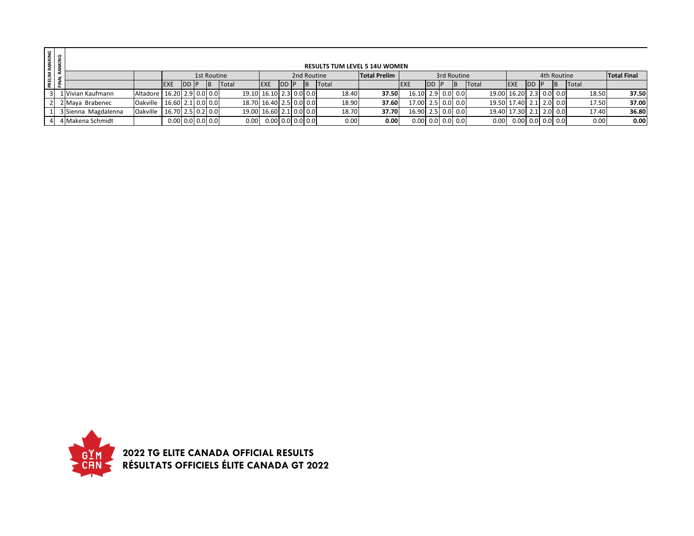| <b>RANKING</b><br>(ANKING |                         |                                  |                    |               |             |   |                   |                         |               |             |              |       | <b>RESULTS TUM LEVEL 5 14U WOMEN</b> |                    |     |             |       |                         |    |               |       |                    |
|---------------------------|-------------------------|----------------------------------|--------------------|---------------|-------------|---|-------------------|-------------------------|---------------|-------------|--------------|-------|--------------------------------------|--------------------|-----|-------------|-------|-------------------------|----|---------------|-------|--------------------|
| PRELIM                    |                         |                                  |                    |               | 1st Routine |   |                   |                         |               | 2nd Routine |              |       | <b>Total Prelim</b>                  |                    |     | 3rd Routine |       |                         |    | 4th Routine   |       | <b>Total Final</b> |
|                           |                         |                                  | <b>EXE</b>         | <b>IDD II</b> |             | B | Total             | <b>EXE</b>              | <b>IDD IP</b> | ΙB          | <b>Total</b> |       |                                      | <b>IEXE</b>        | IDD |             | Total | <b>EXE</b>              | DD | <b>IB</b>     | Total |                    |
|                           | ⊥ Vivian Kaufmann       | Altadore   16.20 2.9 0.0 0.0 0.0 |                    |               |             |   |                   | 19.10 16.10 2.3 0.0 0.0 |               |             |              | 18.40 | 37.50                                | 16.10 2.9 0.0 0.0  |     |             |       | 19.00 16.20 2.3 0.0 0.0 |    |               | 18.50 | 37.50              |
|                           | Maya Brabenec           | Oakville   16.60 2.1 0.0 0.0     |                    |               |             |   |                   | 18.70 16.40 2.5 0.0 0.0 |               |             |              | 18.90 | 37.60                                | 17.00 2.5 0.0 0.0  |     |             |       | 19.50 17.40 2.1 2.0 0.0 |    |               | 17.50 | 37.00              |
|                           | 3 Sienna Magdalenna     | Oakville                         | 16.70 2.5 0.2 0.0  |               |             |   |                   | 19.00 16.60 2.1 0.0 0.0 |               |             |              | 18.70 | 37.70                                | 16.90 2.5 0.0 0.0  |     |             |       | 19.40 17.30             |    | $2.1$ 2.0 0.0 | 17.40 | 36.80              |
|                           | <b>' Makena Schmidt</b> |                                  | $0.00$ 0.0 0.0 0.0 |               |             |   | 0.00 <sub>1</sub> | $0.00$ 0.0 0.0 0.0      |               |             |              | 0.00  | 0.00                                 | $0.00$ 0.0 0.0 0.0 |     |             | 0.00  | 0.00 0.0 0.0 0.0 0.0    |    |               | 0.00  | 0.00               |

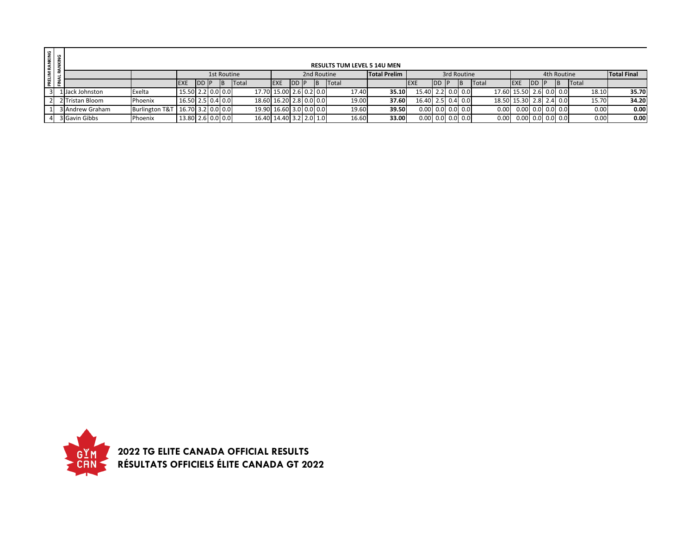|                | PRELIM RANKING<br>FINAL RANKING |                  |                           |                     |      |             |       |                         |                         |               |             |       |       | <b>RESULTS TUM LEVEL 5 14U MEN</b> |                    |     |             |                   |                         |                      |      |             |              |                    |
|----------------|---------------------------------|------------------|---------------------------|---------------------|------|-------------|-------|-------------------------|-------------------------|---------------|-------------|-------|-------|------------------------------------|--------------------|-----|-------------|-------------------|-------------------------|----------------------|------|-------------|--------------|--------------------|
|                |                                 |                  |                           |                     |      | 1st Routine |       |                         |                         |               | 2nd Routine |       |       | <b>Total Prelim</b>                |                    |     | 3rd Routine |                   |                         |                      |      | 4th Routine |              | <b>Total Final</b> |
|                |                                 |                  |                           | <b>EXE</b>          | DD P |             | Total |                         | <b>EXE</b>              | <b>IDD IP</b> |             | Total |       |                                    | <b>EXE</b>         | IDD | ΙB          | <b>Total</b>      | <b>EXE</b>              | <b>IDD</b>           | / IP | B           | <b>Total</b> |                    |
| 31             |                                 | l lJack Johnston | Exelta                    | 15.50 2.2 0.0 0.0   |      |             |       | 17.70 15.00 2.6 0.2 0.0 |                         |               |             |       | 17.40 | 35.10                              | 15.40 2.2 0.0 0.0  |     |             |                   | 17.60 15.50 2.6 0.0 0.0 |                      |      |             | 18.10        | 35.70              |
| $\overline{2}$ |                                 | 2 Tristan Bloom  | Phoenix                   | 16.50 2.5 0.4 0.0   |      |             |       | 18.60 16.20 2.8 0.0 0.0 |                         |               |             |       | 19.00 | 37.60                              | 16.40 2.5 0.4 0.0  |     |             |                   | 18.50 15.30 2.8 2.4 0.0 |                      |      |             | 15.70        | 34.20              |
|                |                                 | 3 Andrew Graham  | <b>Burlington T&amp;T</b> | $16.70$ 3.2 0.0 0.0 |      |             |       |                         | 19.90 16.60 3.0 0.0 0.0 |               |             |       | 19.60 | 39.50                              | $0.00$ 0.0 0.0 0.0 |     |             | 0.00 <sub>1</sub> |                         | $0.00$ 0.0 $0.0$ 0.0 |      |             | 0.00         | 0.00               |
|                |                                 | 3 Gavin Gibbs    | Phoenix                   | 13.80 2.6 0.0 0.0   |      |             |       |                         | 16.40 14.40 3.2 2.0 1.0 |               |             |       | 16.60 | 33.00                              | $0.00$ 0.0 0.0 0.0 |     |             | 0.00              |                         | $0.00$ 0.0 0.0 0.0   |      |             | 0.00         | 0.00               |

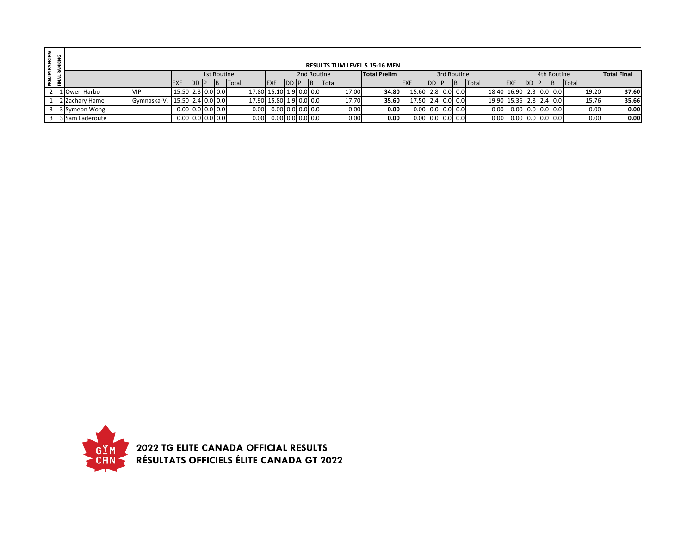| RANKING<br>ANKING |                    |                 |                               |                    |       |             |                   |                            |               |   |              |       | <b>RESULTS TUM LEVEL 5 15-16 MEN</b> |                          |            |             |       |                         |            |                    |              |                    |
|-------------------|--------------------|-----------------|-------------------------------|--------------------|-------|-------------|-------------------|----------------------------|---------------|---|--------------|-------|--------------------------------------|--------------------------|------------|-------------|-------|-------------------------|------------|--------------------|--------------|--------------------|
|                   | PRELIM<br>FINAL RJ |                 |                               |                    |       | 1st Routine |                   |                            |               |   | 2nd Routine  |       | <b>Total Prelim</b>                  |                          |            | 3rd Routine |       |                         |            | 4th Routine        |              | <b>Total Final</b> |
|                   |                    |                 |                               | <b>EXE</b>         | DD IP | IΒ          | Total             | <b>IEXE</b>                | <b>IDD IP</b> | B | <b>Total</b> |       |                                      |                          | <b>IDD</b> |             | Total | <b>EXE</b>              | <b>IDD</b> | ΙB                 | <b>Total</b> |                    |
|                   |                    | 1 Owen Harbo    | <b>VIP</b>                    | 15.50 2.3 0.0 0.0  |       |             |                   | 17.80 15.10 1.9 0.0 0.0    |               |   |              | 17.00 | 34.80                                | 15.60 2.8 0.0 0.0        |            |             |       | 18.40 16.90 2.3 0.0 0.0 |            |                    | 19.20        | 37.60              |
|                   |                    | 2 Zachary Hamel | Gymnaska-V. 15.50 2.4 0.0 0.0 |                    |       |             |                   | 17.90 15.80 1.9 0.0 0.0    |               |   |              | 17.70 | 35.60                                | 17.50 2.4 0.0 0.0        |            |             |       | 19.90 15.36 2.8 2.4 0.0 |            |                    | 15.76        | 35.66              |
|                   |                    | 3 Symeon Wong   |                               | $0.00$ 0.0 0.0 0.0 |       |             | 0.00              | $0.00$ 0.0 $0.0$ 0.0 $0.0$ |               |   |              | 0.00  | 0.00                                 | $0.00$ $0.0$ $0.0$ $0.0$ |            |             | 0.00  |                         |            | 0.00 0.0 0.0 0.0   | 0.00         | 0.00               |
|                   |                    | 3 Sam Laderoute |                               | $0.00$ 0.0 0.0 0.0 |       |             | 0.00 <sub>1</sub> | $0.00$ 0.0 0.0 0.0         |               |   |              | 0.00  | 0.00                                 | $0.00$ 0.0 0.0 0.0       |            |             | 0.00  |                         |            | $0.00$ 0.0 0.0 0.0 | 0.00         | 0.00               |

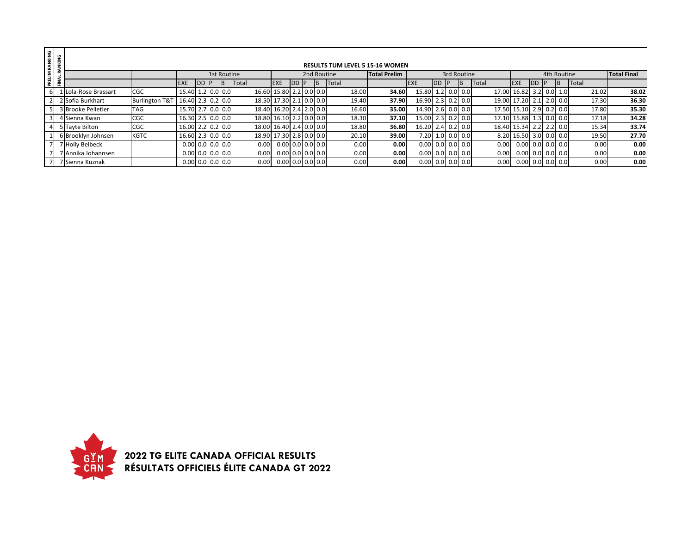| RANKING |        |                    |                           |                            |             |             |    |       |                         |                            |           |  |                                        |                     |                     |           |                          |                   |                          |            |             |       |       |                    |
|---------|--------|--------------------|---------------------------|----------------------------|-------------|-------------|----|-------|-------------------------|----------------------------|-----------|--|----------------------------------------|---------------------|---------------------|-----------|--------------------------|-------------------|--------------------------|------------|-------------|-------|-------|--------------------|
|         | ANKING |                    |                           |                            |             |             |    |       |                         |                            |           |  | <b>RESULTS TUM LEVEL 5 15-16 WOMEN</b> |                     |                     |           |                          |                   |                          |            |             |       |       |                    |
| PRELIM  |        |                    |                           |                            |             | 1st Routine |    |       |                         |                            |           |  | 2nd Routine                            | <b>Total Prelim</b> |                     |           | 3rd Routine              |                   |                          |            | 4th Routine |       |       | <b>Total Final</b> |
|         | FINAL  |                    |                           | <b>EXE</b>                 | <b>DD</b> P |             | IΒ | Total |                         | <b>EXE</b>                 | <b>DD</b> |  | Total                                  |                     | <b>EXE</b>          | <b>IP</b> |                          | Total             | <b>IEXE</b>              | <b>IDD</b> |             | Total |       |                    |
| 6       |        | Lola-Rose Brassart | <b>CGC</b>                | 15.40 1.2 0.0 0.0          |             |             |    |       | 16.60 15.80 2.2 0.0 0.0 |                            |           |  | 18.00                                  | 34.60               | 15.80 1.2 0.0 0.0   |           |                          |                   | 17.00 16.82 3.2 0.0 1.0  |            |             |       | 21.02 | 38.02              |
|         |        | 2 Sofia Burkhart   | <b>Burlington T&amp;T</b> | 16.40 2.3 0.2 0.0          |             |             |    |       | 18.50 17.30 2.1 0.0 0.0 |                            |           |  | 19.40                                  | 37.90               | $16.90$ 2.3 0.2 0.0 |           |                          |                   | 19.00 17.20 2.1 2.0 0.0  |            |             |       | 17.30 | 36.30              |
|         |        | 3 Brooke Pelletier | <b>TAG</b>                | 15.70 2.7 0.0 0.0          |             |             |    |       | 18.40 16.20 2.4 2.0 0.0 |                            |           |  | 16.60                                  | 35.00               | 14.90 2.6 0.0 0.0   |           |                          |                   | 17.50 15.10 2.9 0.2 0.0  |            |             |       | 17.80 | 35.30              |
|         |        | 4 Sienna Kwan      | <b>CGC</b>                | 16.30 2.5 0.0 0.0          |             |             |    |       | 18.80 16.10 2.2 0.0 0.0 |                            |           |  | 18.30                                  | 37.10               | 15.00 2.3 0.2 0.0   |           |                          |                   | 17.10 15.88 1.3 0.0 0.0  |            |             |       | 17.18 | 34.28              |
|         |        | 5 Tayte Bilton     | <b>CGC</b>                | 16.00 2.2 0.2 0.0          |             |             |    |       | 18.00 16.40 2.4 0.0 0.0 |                            |           |  | 18.80                                  | 36.80               | 16.20 2.4 0.2 0.0   |           |                          |                   | 18.40 15.34 2.2 2.2 0.0  |            |             |       | 15.34 | 33.74              |
|         |        | 6 Brooklyn Johnsen | <b>KGTC</b>               | 16.60 2.3 0.0 0.0          |             |             |    |       | 18.90 17.30 2.8 0.0 0.0 |                            |           |  | 20.10                                  | 39.00               |                     |           | 7.20 1.0 0.0 0.0         |                   | 8.20 16.50 3.0 0.0 0.0   |            |             |       | 19.50 | 27.70              |
|         |        | 7 Holly Belbeck    |                           | $0.00$ 0.0 $0.0$ 0.0 $0.0$ |             |             |    |       | 0.00                    | 0.0010.010.010.0           |           |  | 0.00                                   | 0.00                |                     |           | $0.00$ $0.0$ $0.0$ $0.0$ | 0.00              | $0.00$ 0.0 $0.0$ 0.0     |            |             |       | 0.00  | 0.00               |
|         |        | 7 Annika Johannsen |                           | $0.00$ 0.0 $0.0$ 0.0 $0.0$ |             |             |    |       | 0.00                    | $0.00$ 0.0 $0.0$ 0.0 $0.0$ |           |  | 0.00                                   | 0.00                |                     |           | $0.00$ 0.0 0.0 0.0       | 0.00 <sub>1</sub> | $0.00$ $0.0$ $0.0$ $0.0$ |            |             |       | 0.00  | 0.00               |
|         |        | 7 Sienna Kuznak    |                           | $0.00$ 0.0 $0.0$ 0.0 $0.0$ |             |             |    |       | 0.00                    | $0.00$ 0.0 0.0 0.0         |           |  | 0.00                                   | 0.00                |                     |           | $0.00$ 0.0 0.0 0.0       | 0.00              | $0.00$ 0.0 0.0 0.0       |            |             |       | 0.00  | 0.00               |

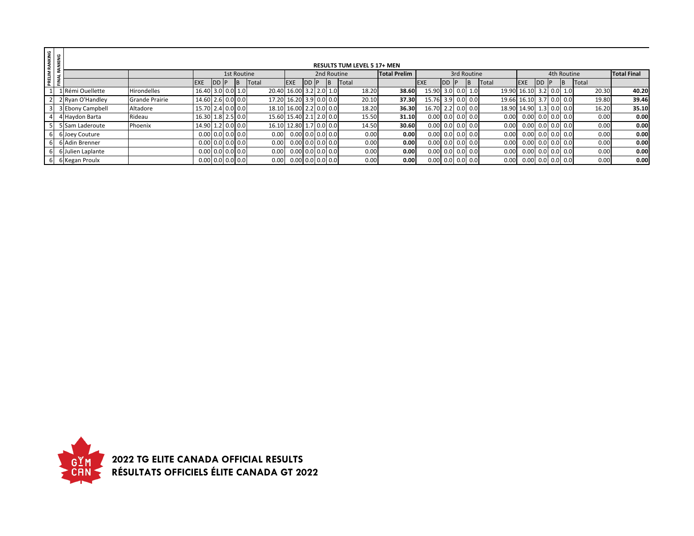| PRELIM RANKING<br>FINAL RANKING |                   |                       |                   |                            |             |                         |                      |              |    |             |                                    |                     |                            |    |             |       |                          |              |             |       |                    |
|---------------------------------|-------------------|-----------------------|-------------------|----------------------------|-------------|-------------------------|----------------------|--------------|----|-------------|------------------------------------|---------------------|----------------------------|----|-------------|-------|--------------------------|--------------|-------------|-------|--------------------|
|                                 |                   |                       |                   |                            |             |                         |                      |              |    |             | <b>RESULTS TUM LEVEL 5 17+ MEN</b> |                     |                            |    |             |       |                          |              |             |       |                    |
|                                 |                   |                       |                   |                            | 1st Routine |                         |                      |              |    | 2nd Routine |                                    | <b>Total Prelim</b> |                            |    | 3rd Routine |       |                          |              | 4th Routine |       | <b>Total Final</b> |
|                                 |                   |                       | <b>EXE</b>        | DD P                       |             | Total                   | <b>EXE</b>           | <b>IDD P</b> | IB |             | Total                              |                     | <b>IEXE</b>                | DD |             | Total | <b>EXE</b>               | <b>IDD</b> P |             | Total |                    |
|                                 | 1 Rémi Ouellette  | <b>Hirondelles</b>    | 16.40 3.0 0.0 1.0 |                            |             | 20.40 16.00 3.2 2.0 1.0 |                      |              |    |             | 18.20                              | 38.60               | 15.90 3.0 0.0 1.0          |    |             |       | 19.90 16.10 3.2 0.0 1.0  |              |             | 20.30 | 40.20              |
|                                 | 2 Ryan O'Handley  | <b>Grande Prairie</b> | 14.60 2.6 0.0 0.0 |                            |             | 17.20 16.20 3.9 0.0 0.0 |                      |              |    |             | 20.10                              | 37.30               | 15.76 3.9 0.0 0.0          |    |             |       | 19.66 16.10 3.7 0.0 0.0  |              |             | 19.80 | 39.46              |
|                                 | 3 Ebony Campbell  | Altadore              | 15.70 2.4 0.0 0.0 |                            |             | 18.10 16.00 2.2 0.0 0.0 |                      |              |    |             | 18.20                              | 36.30               | 16.70 2.2 0.0 0.0          |    |             |       | 18.90 14.90 1.3 0.0 0.0  |              |             | 16.20 | 35.10              |
|                                 | 4 Haydon Barta    | Rideau                | 16.30 1.8 2.5 0.0 |                            |             | 15.60 15.40 2.1 2.0 0.0 |                      |              |    |             | 15.50                              | 31.10               | $0.00$ 0.0 0.0 0.0         |    |             | 0.00  | $0.00$ 0.0 0.0 0.0       |              |             | 0.00  | 0.00               |
|                                 | 5 Sam Laderoute   | Phoenix               | 14.90 1.2 0.0 0.0 |                            |             | 16.10 12.80 1.7 0.0 0.0 |                      |              |    |             | 14.50                              | 30.60               | $0.00$ 0.0 0.0 0.0         |    |             | 0.00  | $0.00$ 0.0 0.0 0.0       |              |             | 0.00  | 0.00               |
|                                 | 6 Joey Couture    |                       |                   | $0.00$ 0.0 0.0 0.0         |             | 0.00                    | $0.00$ 0.0 $0.0$ 0.0 |              |    |             | 0.00                               | 0.00                | $0.00$ 0.0 $0.0$ 0.0 $0.0$ |    |             | 0.00  | $0.00$ $0.0$ $0.0$ $0.0$ |              |             | 0.00  | 0.00               |
|                                 | 6 Adin Brenner    |                       |                   | $0.00$ 0.0 $0.0$ 0.0 $0.0$ |             | 0.00                    | $0.00$ 0.0 0.0 0.0   |              |    |             | 0.00                               | 0.00                | $0.00$ 0.0 $0.0$ 0.0 $0.0$ |    |             | 0.00  | $0.00$ 0.0 0.0 0.0       |              |             | 0.00  | 0.00               |
|                                 | 6 Julien Laplante |                       |                   | $0.00$ 0.0 0.0 0.0         |             | 0.00                    | $0.00$ 0.0 0.0 0.0   |              |    |             | 0.00                               | 0.00                | $0.00$ 0.0 0.0 0.0         |    |             | 0.00  | $0.00$ 0.0 0.0 0.0       |              |             | 0.00  | 0.00               |
|                                 | 6 Kegan Proulx    |                       |                   | $0.00$ 0.0 0.0 0.0         |             | 0.00                    | $0.00$ 0.0 0.0 0.0   |              |    |             | 0.00                               | 0.00                | $0.00$ 0.0 0.0 0.0         |    |             | 0.00  | $0.00$ 0.0 0.0 0.0       |              |             | 0.00  | 0.00               |

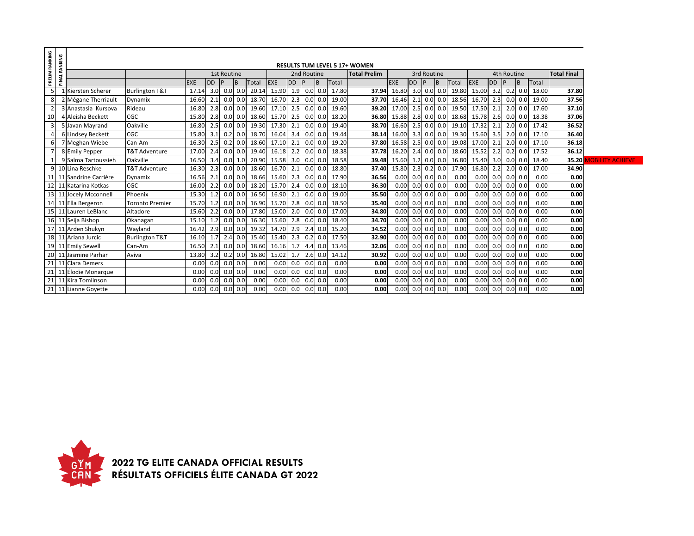| PRELIM RANKING | <b>FINAL RANKING</b>    |                           |                   |               |                    |                 |       |                         |     |               |              |       |                                      |                     |                    |   |                                   |                     |     |             |              |       |                               |
|----------------|-------------------------|---------------------------|-------------------|---------------|--------------------|-----------------|-------|-------------------------|-----|---------------|--------------|-------|--------------------------------------|---------------------|--------------------|---|-----------------------------------|---------------------|-----|-------------|--------------|-------|-------------------------------|
|                |                         |                           |                   |               |                    |                 |       |                         |     |               |              |       | <b>RESULTS TUM LEVEL 5 17+ WOMEN</b> |                     |                    |   |                                   |                     |     |             |              |       |                               |
|                |                         |                           |                   |               | <b>1st Routine</b> |                 |       |                         |     | 2nd Routine   |              |       | <b>Total Prelim</b>                  |                     | 3rd Routine        |   |                                   |                     |     | 4th Routine |              |       | <b>Total Final</b>            |
|                |                         |                           | <b>EXE</b>        | <b>DD</b>     |                    | B               | Total | EXE                     | DD  |               | B            | Total |                                      | <b>EXE</b>          | DD                 | B | Total                             | EXE                 | DD  |             | B            | Total |                               |
|                | 1 Kiersten Scherer      | <b>Burlington T&amp;T</b> | 17.14             | $3.0$ 0.0 0.0 |                    |                 |       | 20.14 15.90 1.9 0.0 0.0 |     |               |              | 17.80 | 37.94                                |                     |                    |   | 16.80 3.0 0.0 0.0 19.80 15.00 3.2 |                     |     |             | $0.2 \, 0.0$ | 18.00 | 37.80                         |
|                | 2 Mégane Therriault     | Dynamix                   | 16.60             |               | $2.1$ 0.0 0.0      |                 | 18.70 | 16.70                   | 2.3 |               | $0.0$ 0.0    | 19.00 | 37.70                                | $16.46$ 2.1 0.0 0.0 |                    |   | 18.56                             | 16.70 2.3           |     |             | $0.0$ 0.0    | 19.00 | 37.56                         |
|                | 3 Anastasia Kursova     | Rideau                    | 16.80             |               | $2.8$ 0.0 0.0      |                 | 19.60 | 17.10                   | 2.5 |               | $0.0$ 0.0    | 19.60 | 39.20                                | $17.00$ 2.5 0.0 0.0 |                    |   | 19.50                             | 17.50 2.1           |     |             | $2.0 \ 0.0$  | 17.60 | 37.10                         |
| 10             | 4 Aleisha Beckett       | CGC                       | 15.80             |               |                    | $2.8$ 0.0 0.0   | 18.60 | 15.70                   | 2.5 |               | $0.0\, 0.0$  | 18.20 | 36.80                                |                     |                    |   | 15.88 2.8 0.0 0.0 18.68           | 15.78 2.6           |     |             | $0.0$ 0.0    | 18.38 | 37.06                         |
| 3 <sup>l</sup> | 5 Javan Mayrand         | Oakville                  | 16.80             |               |                    | $2.5$ 0.0 0.0   |       | 19.30 17.30             | 2.1 | $0.0$ 0.0     |              | 19.40 | 38.70                                |                     |                    |   | 16.60 2.5 0.0 0.0 19.10           | $17.32$ 2.1 2.0 0.0 |     |             |              | 17.42 | 36.52                         |
|                | 6 Lindsey Beckett       | CGC                       | 15.80             |               |                    | $3.1$ 0.2 0.0   | 18.70 | 16.04                   | 3.4 |               | $0.0$ 0.0    | 19.44 | 38.14                                |                     |                    |   | 16.00 3.3 0.0 0.0 19.30 15.60 3.5 |                     |     |             | $2.0 \ 0.0$  | 17.10 | 36.40                         |
|                | 7 Meghan Wiebe          | Can-Am                    | 16.30             |               |                    | $2.5$ 0.2 0.0   | 18.60 | 17.10                   | 2.1 |               | $0.0$ 0.0    | 19.20 | 37.80                                |                     |                    |   | 16.58 2.5 0.0 0.0 19.08 17.00 2.1 |                     |     |             | $2.0 \, 0.0$ | 17.10 | 36.18                         |
|                | 8 Emily Pepper          | <b>T&amp;T Adventure</b>  | 17.00             |               |                    | $2.4$ 0.0 0.0   | 19.40 | 16.18                   | 2.2 | $0.0$ 0.0     |              | 18.38 | 37.78                                |                     |                    |   | 16.20 2.4 0.0 0.0 18.60 15.52 2.2 |                     |     |             | $0.2$ 0.0    | 17.52 | 36.12                         |
|                | 9 Salma Tartoussieh     | Oakville                  | 16.50             | 3.4           |                    | 0.0 1.0         | 20.90 | 15.58                   | 3.0 |               | $0.0$ 0.0    | 18.58 | 39.48                                | 15.60 1.2 0.0 0.0   |                    |   | 16.80                             | 15.40 3.0           |     |             | $0.0$ 0.0    | 18.40 | <b>35.20 MOBILITY ACHIEVE</b> |
|                | 9 10 Lina Reschke       | <b>T&amp;T Adventure</b>  | 16.30             |               |                    | $2.3$ 0.0 0.0   | 18.60 | 16.70                   | 2.1 |               | $0.0$ 0.0    | 18.80 | 37.40                                |                     |                    |   | 15.80 2.3 0.2 0.0 17.90           | 16.80 2.2           |     |             | $2.0$ 0.0    | 17.00 | 34.90                         |
|                | 11 11 Sandrine Carrière | Dynamix                   | 16.56             |               |                    | $2.1$ 0.0 0.0   |       | 18.66 15.60             | 2.3 |               | $0.0$ 0.0    | 17.90 | 36.56                                |                     | $0.00$ 0.0 0.0 0.0 |   | 0.00                              | $0.00 \ 0.0$        |     |             | $0.0$ 0.0    | 0.00  | 0.00                          |
|                | 12 11 Katarina Kotkas   | CGC                       | 16.00             |               |                    | $2.2$ 0.0 0.0   | 18.20 | 15.70                   | 2.4 |               | $0.0$ 0.0    | 18.10 | 36.30                                |                     | $0.00$ 0.0 0.0 0.0 |   | 0.00                              | $0.00$ 0.0 0.0 0.0  |     |             |              | 0.00  | 0.00                          |
|                | 13 11 Jocely Mcconnell  | Phoenix                   | 15.30             |               |                    | $1.2$ 0.0 0.0   | 16.50 | 16.90                   | 2.1 |               | $0.0$ 0.0    | 19.00 | 35.50                                |                     | $0.00$ 0.0 0.0 0.0 |   | 0.00                              | $0.00$ 0.0 0.0 0.0  |     |             |              | 0.00  | 0.00                          |
|                | 14 11 Ella Bergeron     | <b>Toronto Premier</b>    | 15.70             |               |                    | $1.2$ 0.0 0.0   | 16.90 | 15.70                   | 2.8 |               | $0.0$ 0.0    | 18.50 | 35.40                                |                     | $0.00$ 0.0 0.0 0.0 |   | 0.00                              | 0.00 0.0            |     |             | $0.0\ 0.0$   | 0.00  | 0.00                          |
|                | 15 11 Lauren LeBlanc    | Altadore                  | 15.60 2.2 0.0 0.0 |               |                    |                 |       | 17.80 15.00             |     | $2.0$ 0.0 0.0 |              | 17.00 | 34.80                                |                     | $0.00$ 0.0 0.0 0.0 |   | 0.00                              | $0.00$ 0.0 0.0 0.0  |     |             |              | 0.00  | 0.00                          |
|                | 16 11 Seija Bishop      | Okanagan                  | 15.10 1.2 0.0 0.0 |               |                    |                 |       | 16.30 15.60             |     | $2.8$ 0.0 0.0 |              | 18.40 | 34.70                                |                     | $0.00$ 0.0 0.0 0.0 |   | 0.00                              | $0.00 \ 0.0$        |     |             | $0.0\ 0.0$   | 0.00  | 0.00                          |
|                | 17 11 Arden Shukyn      | Wayland                   | 16.42 2.9 0.0 0.0 |               |                    |                 |       | 19.32 14.70             |     | $2.9$ 2.4 0.0 |              | 15.20 | 34.52                                |                     | $0.00$ 0.0 0.0 0.0 |   | 0.00                              | $0.00 \ 0.0$        |     |             | $0.0\ 0.0$   | 0.00  | 0.00                          |
|                | 18 11 Ariana Jurcic     | <b>Burlington T&amp;T</b> | 16.10             |               |                    | $1.7$ $2.4$ 0.0 | 15.40 | 15.40                   |     | $2.3$ 0.2 0.0 |              | 17.50 | 32.90                                |                     | $0.00$ 0.0 0.0 0.0 |   | 0.00                              | $0.00$ 0.0 0.0 0.0  |     |             |              | 0.00  | 0.00                          |
|                | 19 11 Emily Sewell      | Can-Am                    | 16.50             | 2.1           |                    | $0.0\ 0.0$      | 18.60 | 16.16                   | 1.7 |               | $4.4 \, 0.0$ | 13.46 | 32.06                                |                     | $0.00$ 0.0 0.0 0.0 |   | 0.00                              | 0.00                | 0.0 |             | $0.0$ 0.0    | 0.00  | 0.00                          |
|                | 20 11 Jasmine Parhar    | Aviva                     | 13.80             | $3.2$ 0.2 0.0 |                    |                 | 16.80 | 15.02                   | 1.7 |               | $2.6$ 0.0    | 14.12 | 30.92                                |                     | $0.00$ 0.0 0.0 0.0 |   | 0.00                              | $0.00$ 0.0 0.0 0.0  |     |             |              | 0.00  | 0.00                          |
|                | 21 11 Clara Demers      |                           | 0.00              | $0.0$ 0.0 0.0 |                    |                 | 0.00  | 0.00                    |     | $0.0$ 0.0 0.0 |              | 0.00  | 0.00                                 |                     | $0.00$ 0.0 0.0 0.0 |   | 0.00                              | $0.00$ 0.0 0.0 0.0  |     |             |              | 0.00  | 0.00                          |
|                | 21 11 Élodie Monarque   |                           | 0.00              |               | $0.0$ 0.0 0.0      |                 | 0.00  | 0.00                    |     | $0.0$ 0.0 0.0 |              | 0.00  | 0.00                                 |                     | $0.00$ 0.0 0.0 0.0 |   | 0.00                              | $0.00 \ 0.0$        |     |             | $0.0\ 0.0$   | 0.00  | 0.00                          |
|                | 21 11 Kira Tomlinson    |                           | 0.00              |               | $0.0$ 0.0 0.0      |                 | 0.00  | 0.00                    | 0.0 |               | $0.0$ 0.0    | 0.00  | 0.00                                 |                     | $0.00$ 0.0 0.0 0.0 |   | 0.00                              | $0.00 \ 0.0$        |     |             | $0.0\ 0.0$   | 0.00  | 0.00                          |
|                | 21 11 Lianne Govette    |                           | 0.00              | $0.0$ 0.0 0.0 |                    |                 | 0.00  | 0.00                    |     | $0.0$ 0.0 0.0 |              | 0.00  | 0.00                                 |                     | $0.00$ 0.0 0.0 0.0 |   | 0.00                              | $0.00 \ 0.0$        |     |             | $0.0$ 0.0    | 0.00  | 0.00                          |

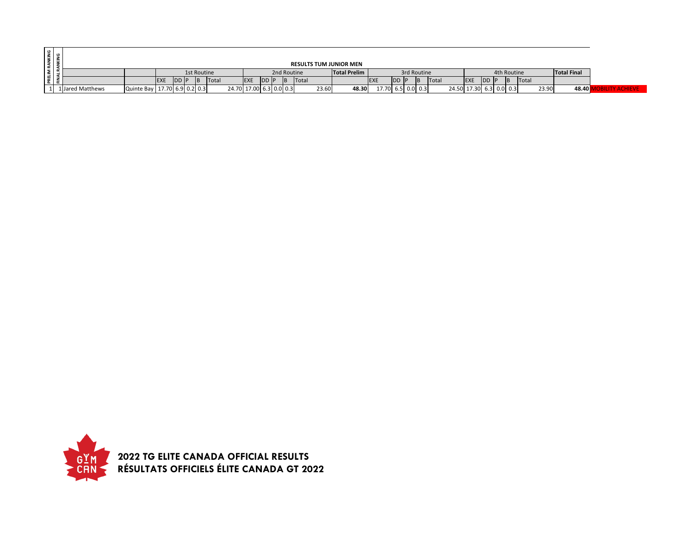| ي ا ≧ |             |                  |                                |             |           |             |       |                         |            |      |             |       |       |                               |            |                   |             |                         |            |       |             |       |       |                    |  |
|-------|-------------|------------------|--------------------------------|-------------|-----------|-------------|-------|-------------------------|------------|------|-------------|-------|-------|-------------------------------|------------|-------------------|-------------|-------------------------|------------|-------|-------------|-------|-------|--------------------|--|
|       | <b>NINE</b> |                  |                                |             |           |             |       |                         |            |      |             |       |       | <b>RESULTS TUM JUNIOR MEN</b> |            |                   |             |                         |            |       |             |       |       |                    |  |
|       |             |                  |                                |             |           | 1st Routine |       |                         |            |      | 2nd Routine |       |       | <b>Total Prelim</b>           |            |                   | 3rd Routine |                         |            |       | 4th Routine |       |       | <b>Total Final</b> |  |
| 운디운   |             |                  |                                | <b>IEXE</b> | <b>DD</b> |             | Total |                         | <b>EXE</b> | DD P | IB          | Total |       |                               | <b>EXE</b> | <b>IDD</b>        | Total       |                         | <b>EXE</b> | DD IP |             | Total |       |                    |  |
|       |             | 1 Jared Matthews | Quinte Bay   17.70 6.9 0.2 0.3 |             |           |             |       | 24.70 17.00 6.3 0.0 0.3 |            |      |             |       | 23.60 | 48.30                         |            | 17.70 6.5 0.0 0.3 |             | 24.50 17.30 6.3 0.0 0.3 |            |       |             |       | 23.90 | 48.40              |  |

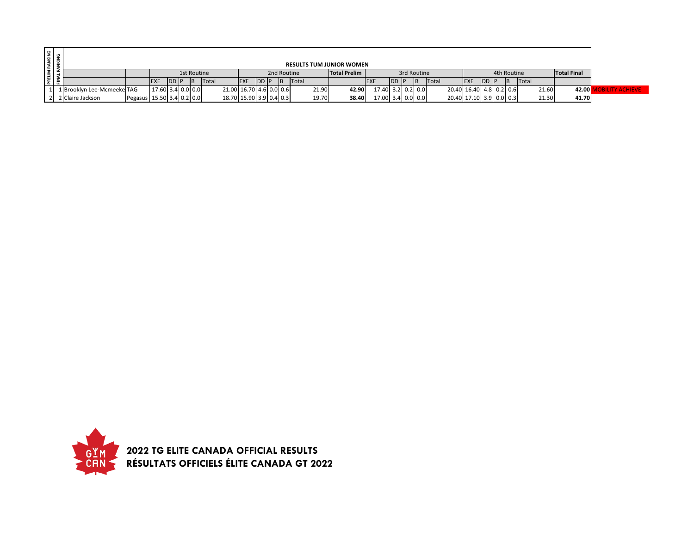| RANKING           |                            |                             |             |                   |  |       |                         |              |   |                     |       | <b>RESULTS TUM JUNIOR WOMEN</b> |                   |        |     |                         |                         |               |  |                    |       |       |                |
|-------------------|----------------------------|-----------------------------|-------------|-------------------|--|-------|-------------------------|--------------|---|---------------------|-------|---------------------------------|-------------------|--------|-----|-------------------------|-------------------------|---------------|--|--------------------|-------|-------|----------------|
|                   |                            |                             | 1st Routine |                   |  |       |                         | 2nd Routine  |   | <b>Total Prelim</b> |       |                                 | 3rd Routine       |        |     |                         | 4th Routine             |               |  | <b>Total Final</b> |       |       |                |
| PRELIM<br>FINAI P |                            |                             | <b>EXE</b>  | <b>IDD P</b>      |  | Total | <b>EXE</b>              | <b>IDD P</b> | B | Total               |       |                                 | <b>EXE</b>        | IDD IP | IB. | <b>Total</b>            | <b>EXE</b>              | <b>IDD IP</b> |  | Total              |       |       |                |
|                   | 1 Brooklyn Lee-Mcmeeke TAG |                             |             | 17.60 3.4 0.0 0.0 |  |       | 21.00 16.70 4.6 0.0 0.6 |              |   |                     | 21.90 | 42.90                           | 17.40 3.2 0.2 0.0 |        |     |                         | 20.40 16.40 4.8 0.2 0.6 |               |  |                    | 21.60 | 42.00 | <b>ACHIEVE</b> |
|                   | 2 Claire Jackson           | Pegasus   15.50 3.4 0.2 0.0 |             |                   |  |       | 18.70 15.90 3.9 0.4 0.3 |              |   |                     | 19.70 | 38.40                           | 17.00 3.4 0.0 0.0 |        |     | 20.40 17.10 3.9 0.0 0.3 |                         |               |  |                    | 21.30 | 41.70 |                |

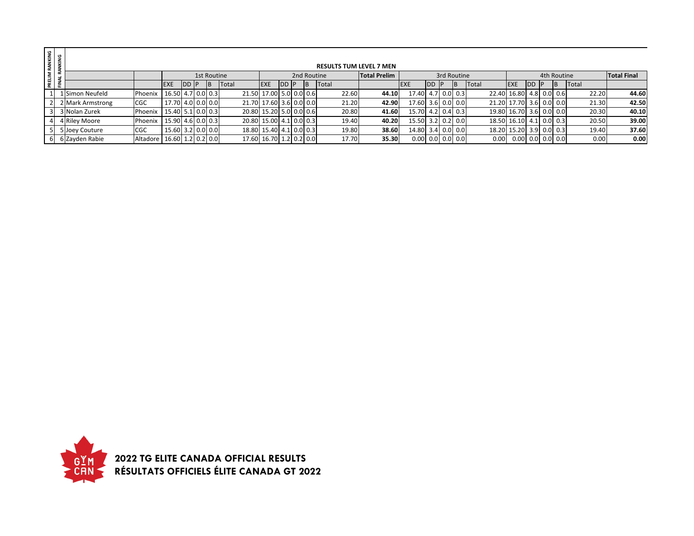| RANKING<br>ANKING |                       |                                    |                         |            |             |     |                         |                         |               |             | <b>RESULTS TUM LEVEL 7 MEN</b> |                     |                    |  |               |              |                          |           |             |       |                    |
|-------------------|-----------------------|------------------------------------|-------------------------|------------|-------------|-----|-------------------------|-------------------------|---------------|-------------|--------------------------------|---------------------|--------------------|--|---------------|--------------|--------------------------|-----------|-------------|-------|--------------------|
|                   |                       |                                    |                         |            | 1st Routine |     |                         |                         |               | 2nd Routine |                                | <b>Total Prelim</b> |                    |  | 3rd Routine   |              |                          |           | 4th Routine |       | <b>Total Final</b> |
| PRELIM I          |                       |                                    | <b>EXE</b>              | <b>DDP</b> |             | IB. | Total                   | <b>EXE</b>              | <b>IDD IP</b> | B           | Total                          |                     | <b>EXE</b>         |  | <b>IB</b>     | <b>Total</b> | <b>EXE</b>               | <b>DD</b> | <b>IB</b>   | Total |                    |
|                   | Simon Neufeld         | Phoenix                            | 16.50 4.7 0.0 0.3       |            |             |     |                         | 21.50 17.00 5.0 0.0 0.6 |               |             | 22.60                          | 44.10               | 17.40              |  | $4.7$ 0.0 0.3 |              | 22.40 16.80 4.8 0.0 0.6  |           |             | 22.20 | 44.60              |
|                   | <b>Mark Armstrong</b> | CGC                                | 17.70 4.0 0.0 0.0       |            |             |     |                         | 21.70 17.60 3.6 0.0 0.0 |               |             | 21.20                          | 42.90               | 17.60 3.6 0.0 0.0  |  |               |              | 21.20 17.70 3.6 0.0 0.0  |           |             | 21.30 | 42.50              |
|                   | Nolan Zurek           | Phoenix                            | 15.40 5.1 0.0 0.3       |            |             |     | 20.80 15.20 5.0 0.0 0.6 |                         |               |             | 20.80                          | 41.60               | 15.70 4.2 0.4 0.3  |  |               |              | 19.80 16.70 3.6 0.0 0.0  |           |             | 20.30 | 40.10              |
|                   | 4 Riley Moore         | Phoenix                            | 15.90   4.6   0.0   0.3 |            |             |     |                         | 20.80 15.00 4.1 0.0 0.3 |               |             | 19.40                          | 40.20               | 15.50 3.2 0.2 0.0  |  |               |              | 18.50 16.10 4.1 0.0 0.3  |           |             | 20.50 | 39.00              |
|                   | 5 Joey Couture        | <b>CGC</b>                         | $15.60$ 3.2 0.0 0.0     |            |             |     |                         | 18.80 15.40 4.1 0.0 0.3 |               |             | 19.80                          | 38.60               | 14.80 3.4 0.0 0.0  |  |               |              | 18.20 15.20 3.9 0.0 0.3  |           |             | 19.40 | 37.60              |
| 6                 | 6 Zayden Rabie        | Altadore   16.60   1.2   0.2   0.0 |                         |            |             |     |                         | 17.60 16.70 1.2 0.2 0.0 |               |             | 17.70                          | 35.30               | $0.00$ 0.0 0.0 0.0 |  |               | 0.00         | $0.00$ $0.0$ $0.0$ $0.0$ |           |             | 0.00  | 0.00               |

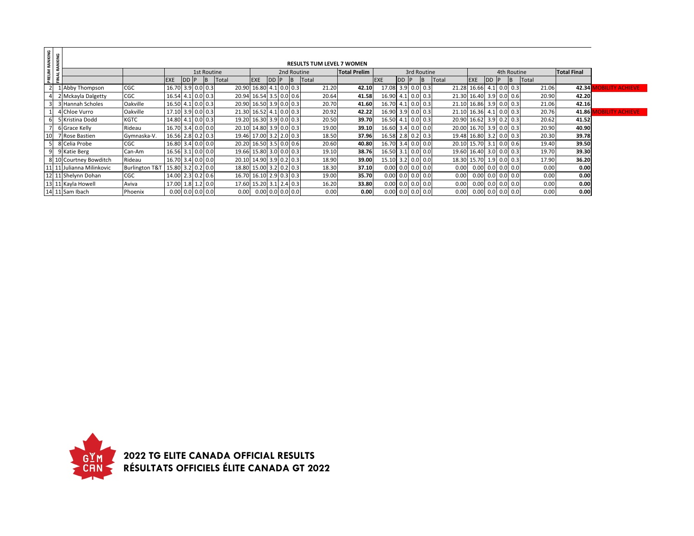| PRELIM RANKING<br>FINAL RANKING |                           |                           |                    |             |             |       |                         |      |                    |                                  |                     |                    |           |               |       |                         |           |             |       |                    |                        |
|---------------------------------|---------------------------|---------------------------|--------------------|-------------|-------------|-------|-------------------------|------|--------------------|----------------------------------|---------------------|--------------------|-----------|---------------|-------|-------------------------|-----------|-------------|-------|--------------------|------------------------|
|                                 |                           |                           |                    |             |             |       |                         |      |                    | <b>RESULTS TUM LEVEL 7 WOMEN</b> |                     |                    |           |               |       |                         |           |             |       |                    |                        |
|                                 |                           |                           |                    |             | 1st Routine |       |                         |      |                    | 2nd Routine                      | <b>Total Prelim</b> |                    |           | 3rd Routine   |       |                         |           | 4th Routine |       | <b>Total Final</b> |                        |
|                                 |                           |                           | EXE                | <b>DD</b> P | IB.         | Total | <b>EXE</b>              | DD P |                    | Total                            |                     | <b>EXE</b>         | <b>DD</b> |               | Total | <b>EXE</b>              | <b>DD</b> | <b>B</b>    | Total |                    |                        |
|                                 | 1 Abby Thompson           | CGC                       | 16.70 3.9 0.0 0.3  |             |             | 20.90 |                         |      | 16.80 4.1 0.0 0.3  | 21.20                            | 42.10               | 17.08              |           | $3.9$ 0.0 0.3 | 21.28 | 16.66 4.1 0.0 0.3       |           |             | 21.06 | 42.34              | <b>OBILITY ACHIEVE</b> |
|                                 | Mckayla Dalgetty          | CGC                       | 16.54 4.1 0.0 0.3  |             |             | 20.94 |                         |      | 16.54 3.5 0.0 0.6  | 20.64                            | 41.58               | 16.90              |           | 4.1 0.0 0.3   | 21.30 | 16.40 3.9 0.0 0.6       |           |             | 20.90 | 42.20              |                        |
|                                 | 3 Hannah Scholes          | Oakville                  | 16.50 4.1 0.0 0.3  |             |             |       | 20.90 16.50 3.9 0.0 0.3 |      |                    | 20.70                            | 41.60               | 16.70              |           | $4.1$ 0.0 0.3 | 21.10 | 16.86 3.9 0.0 0.3       |           |             | 21.06 | 42.16              |                        |
|                                 | 4 Chloe Vurro             | Oakville                  | 17.10 3.9 0.0 0.3  |             |             |       | 21.30 16.52 4.1 0.0 0.3 |      |                    | 20.92                            | 42.22               | 16.90 3.9 0.0 0.3  |           |               |       | 21.10 16.36 4.1 0.0 0.3 |           |             | 20.76 | 41.86              | <b>OBILITY ACHIEVE</b> |
|                                 | 5 Kristina Dodd           | <b>KGTC</b>               | 14.80 4.1 0.0 0.3  |             |             |       | 19.20 16.30 3.9 0.0 0.3 |      |                    | 20.50                            | 39.70               | 16.50 4.1 0.0 0.3  |           |               | 20.90 | $16.62$ 3.9 0.2 0.3     |           |             | 20.62 | 41.52              |                        |
|                                 | 6 Grace Kelly             | Rideau                    | 16.70 3.4 0.0 0.0  |             |             |       | 20.10 14.80 3.9 0.0 0.3 |      |                    | 19.00                            | 39.10               | 16.60 3.4 0.0 0.0  |           |               |       | 20.00 16.70 3.9 0.0 0.3 |           |             | 20.90 | 40.90              |                        |
| 10 <sup>1</sup>                 | 7 Rose Bastien            | Gymnaska-V.               | 16.56 2.8 0.2 0.3  |             |             |       | 19.46 17.00 3.2 2.0 0.3 |      |                    | 18.50                            | 37.96               | 16.58              |           | $2.8$ 0.2 0.3 | 19.48 | 16.80 3.2 0.0 0.3       |           |             | 20.30 | 39.78              |                        |
|                                 | 8 Celia Probe             | CGC                       | 16.80 3.4 0.0 0.0  |             |             |       | 20.20 16.50 3.5 0.0 0.6 |      |                    | 20.60                            | 40.80               | 16.70 3.4 0.0 0.0  |           |               |       | 20.10 15.70 3.1 0.0 0.6 |           |             | 19.40 | 39.50              |                        |
| 9                               | 9 Katie Berg              | Can-Am                    | 16.56 3.1 0.0 0.0  |             |             |       | 19.66 15.80 3.0 0.0 0.3 |      |                    | 19.10                            | 38.76               | 16.50 3.1 0.0 0.0  |           |               |       | 19.60 16.40 3.0 0.0 0.3 |           |             | 19.70 | 39.30              |                        |
|                                 | 8 10 Courtney Bowditch    | Rideau                    | 16.70 3.4 0.0 0.0  |             |             |       | 20.10 14.90 3.9 0.2 0.3 |      |                    | 18.90                            | 39.00               | 15.10 3.2 0.0 0.0  |           |               |       | 18.30 15.70 1.9 0.0 0.3 |           |             | 17.90 | 36.20              |                        |
|                                 | 11 11 Julianna Milinkovic | <b>Burlington T&amp;T</b> | 15.80 3.2 0.2 0.0  |             |             |       | 18.80 15.00 3.2 0.2 0.3 |      |                    | 18.30                            | 37.10               | $0.00$ 0.0 0.0 0.0 |           |               | 0.00  | $0.00$ 0.0 0.0 0.0      |           |             | 0.00  | 0.00               |                        |
|                                 | 12 11 Shelynn Dohan       | <b>CGC</b>                | 14.00 2.3 0.2 0.6  |             |             |       | 16.70 16.10 2.9 0.3 0.3 |      |                    | 19.00                            | 35.70               | $0.00$ 0.0 0.0 0.0 |           |               | 0.00  | $0.00$ 0.0 0.0 0.0      |           |             | 0.00  | 0.00               |                        |
|                                 | 13 11 Kayla Howell        | Aviva                     | 17.00 1.8 1.2 0.0  |             |             | 17.60 |                         |      | 15.20 3.1 2.4 0.3  | 16.20                            | 33.80               | $0.00$ 0.0 0.0 0.0 |           |               | 0.00  | $0.00$ 0.0 0.0 0.0      |           |             | 0.00  | 0.00               |                        |
|                                 | 14 11 Sam Ibach           | Phoenix                   | $0.00$ 0.0 0.0 0.0 |             |             | 0.00  |                         |      | $0.00$ 0.0 0.0 0.0 | 0.00                             | 0.00                | $0.00$ 0.0 0.0 0.0 |           |               | 0.00  | $0.00$ 0.0 0.0 0.0      |           |             | 0.00  | 0.00               |                        |

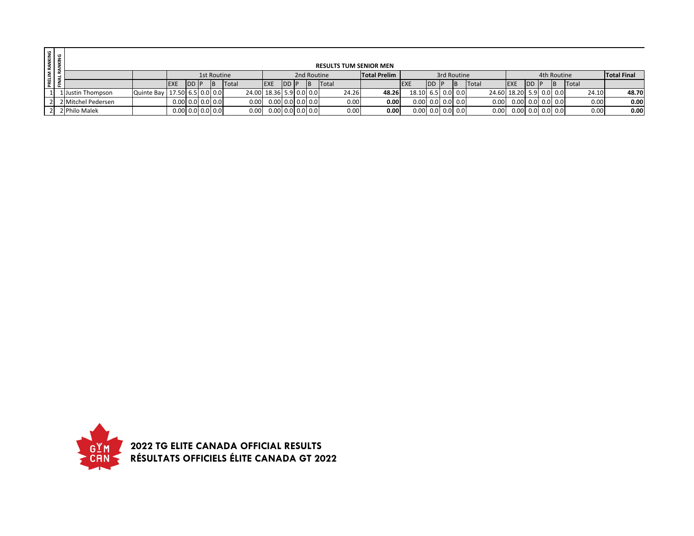| RANKING<br>ANKING  |                    |                                |                    |      |             |       |                         |                    |  |             |       | <b>RESULTS TUM SENIOR MEN</b> |                    |           |             |              |                         |    |               |       |                    |
|--------------------|--------------------|--------------------------------|--------------------|------|-------------|-------|-------------------------|--------------------|--|-------------|-------|-------------------------------|--------------------|-----------|-------------|--------------|-------------------------|----|---------------|-------|--------------------|
| PRELIM<br>FINAL RJ |                    |                                |                    |      | 1st Routine |       |                         |                    |  | 2nd Routine |       | <b>Total Prelim</b>           |                    |           | 3rd Routine |              |                         |    | 4th Routine   |       | <b>Total Final</b> |
|                    |                    |                                | <b>EXE</b>         | DD P | <b>IB</b>   | Total | <b>EXE</b>              | <b>IDD IP</b>      |  | Total       |       |                               |                    | <b>DD</b> |             | <b>Total</b> | <b>EXE</b>              | DD | <b>B</b>      | Total |                    |
|                    | 1 Justin Thompson  | Quinte Bay   17.50 6.5 0.0 0.0 |                    |      |             |       | 24.00 18.36 5.9 0.0 0.0 |                    |  |             | 24.26 | 48.26                         | 18.10 6.5 0.0 0.0  |           |             |              | 24.60 18.20 5.9 0.0 0.0 |    |               | 24.10 | 48.70              |
|                    | 2 Mitchel Pedersen |                                | $0.00$ 0.0 0.0 0.0 |      |             | 0.00  |                         | $0.00$ 0.0 0.0 0.0 |  |             | 0.00  | 0.00                          | $0.00$ 0.0 0.0 0.0 |           |             | 0.00         | $0.00$ 0.0 0.0 0.0      |    |               | 0.00  | 0.00               |
|                    | 2 Philo Malek      |                                | $0.00$ 0.0 0.0 0.0 |      |             | 0.00  |                         | $0.00$ 0.0 0.0 0.0 |  |             | 0.00  | 0.00                          | $0.00$ 0.0 0.0 0.0 |           |             | 0.00         | 0.00                    |    | $0.0$ 0.0 0.0 | 0.00  | 0.00               |